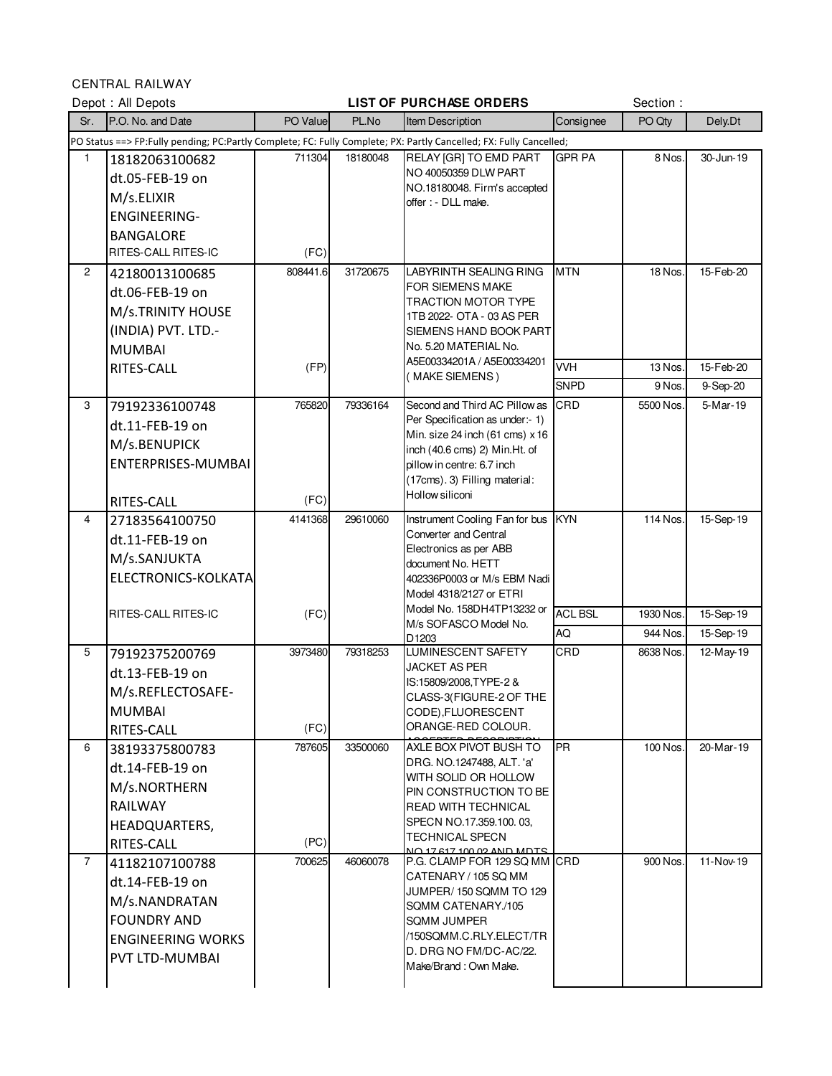CENTRAL RAILWAY

|                | Depot: All Depots                                                                                                  |          |          | <b>LIST OF PURCHASE ORDERS</b>                                     |                | Section:  |                        |  |
|----------------|--------------------------------------------------------------------------------------------------------------------|----------|----------|--------------------------------------------------------------------|----------------|-----------|------------------------|--|
| Sr.            | P.O. No. and Date                                                                                                  | PO Value | PL.No    | Item Description                                                   | Consignee      | PO Qty    | Dely.Dt                |  |
|                | PO Status ==> FP:Fully pending; PC:Partly Complete; FC: Fully Complete; PX: Partly Cancelled; FX: Fully Cancelled; |          |          |                                                                    |                |           |                        |  |
| 1              | 18182063100682                                                                                                     | 711304   | 18180048 | RELAY [GR] TO EMD PART                                             | <b>GPR PA</b>  | 8 Nos.    | 30-Jun-19              |  |
|                | dt.05-FEB-19 on                                                                                                    |          |          | NO 40050359 DLW PART<br>NO.18180048. Firm's accepted               |                |           |                        |  |
|                | M/s.ELIXIR                                                                                                         |          |          | offer : - DLL make.                                                |                |           |                        |  |
|                | <b>ENGINEERING-</b>                                                                                                |          |          |                                                                    |                |           |                        |  |
|                | <b>BANGALORE</b>                                                                                                   |          |          |                                                                    |                |           |                        |  |
|                | RITES-CALL RITES-IC                                                                                                | (FC)     |          |                                                                    |                |           |                        |  |
| $\overline{c}$ | 42180013100685                                                                                                     | 808441.6 | 31720675 | <b>LABYRINTH SEALING RING</b>                                      | <b>MTN</b>     | 18 Nos.   | 15-Feb-20              |  |
|                | dt.06-FEB-19 on                                                                                                    |          |          | FOR SIEMENS MAKE<br>TRACTION MOTOR TYPE                            |                |           |                        |  |
|                | M/s.TRINITY HOUSE                                                                                                  |          |          | 1TB 2022- OTA - 03 AS PER                                          |                |           |                        |  |
|                | (INDIA) PVT. LTD.-                                                                                                 |          |          | SIEMENS HAND BOOK PART                                             |                |           |                        |  |
|                | <b>MUMBAI</b>                                                                                                      |          |          | No. 5.20 MATERIAL No.                                              |                |           |                        |  |
|                | RITES-CALL                                                                                                         | (FP)     |          | A5E00334201A / A5E00334201<br>(MAKE SIEMENS)                       | <b>VVH</b>     | 13 Nos.   | 15-Feb-20              |  |
|                |                                                                                                                    |          |          |                                                                    | <b>SNPD</b>    | 9 Nos.    | 9-Sep-20               |  |
| 3              | 79192336100748                                                                                                     | 765820   | 79336164 | Second and Third AC Pillow as                                      | CRD            | 5500 Nos. | $\overline{5}$ -Mar-19 |  |
|                | dt.11-FEB-19 on                                                                                                    |          |          | Per Specification as under:- 1)<br>Min. size 24 inch (61 cms) x 16 |                |           |                        |  |
|                | M/s.BENUPICK                                                                                                       |          |          | inch (40.6 cms) 2) Min.Ht. of                                      |                |           |                        |  |
|                | ENTERPRISES-MUMBAI                                                                                                 |          |          | pillow in centre: 6.7 inch                                         |                |           |                        |  |
|                |                                                                                                                    |          |          | (17cms). 3) Filling material:                                      |                |           |                        |  |
|                | RITES-CALL                                                                                                         | (FC)     |          | Hollow siliconi                                                    |                |           |                        |  |
| 4              | 27183564100750                                                                                                     | 4141368  | 29610060 | Instrument Cooling Fan for bus KYN                                 |                | 114 Nos.  | 15-Sep-19              |  |
|                | dt.11-FEB-19 on                                                                                                    |          |          | Converter and Central<br>Electronics as per ABB                    |                |           |                        |  |
|                | M/s.SANJUKTA                                                                                                       |          |          | document No. HETT                                                  |                |           |                        |  |
|                | ELECTRONICS-KOLKATA                                                                                                |          |          | 402336P0003 or M/s EBM Nadi                                        |                |           |                        |  |
|                |                                                                                                                    |          |          | Model 4318/2127 or ETRI                                            |                |           |                        |  |
|                | RITES-CALL RITES-IC                                                                                                | (FC)     |          | Model No. 158DH4TP13232 or<br>M/s SOFASCO Model No.                | <b>ACL BSL</b> | 1930 Nos. | 15-Sep-19              |  |
|                |                                                                                                                    |          |          | D <sub>1203</sub>                                                  | AQ             | 944 Nos.  | 15-Sep-19              |  |
| 5              | 79192375200769                                                                                                     | 3973480  | 79318253 | LUMINESCENT SAFETY                                                 | CRD            | 8638 Nos. | $12$ -May-19           |  |
|                | dt.13-FEB-19 on                                                                                                    |          |          | <b>JACKET AS PER</b><br>IS:15809/2008, TYPE-2 &                    |                |           |                        |  |
|                | M/s.REFLECTOSAFE-                                                                                                  |          |          | CLASS-3(FIGURE-2 OF THE                                            |                |           |                        |  |
|                | <b>MUMBAI</b>                                                                                                      |          |          | CODE), FLUORESCENT                                                 |                |           |                        |  |
|                | RITES-CALL                                                                                                         | (FC)     |          | ORANGE-RED COLOUR.                                                 |                |           |                        |  |
| 6              | 38193375800783                                                                                                     | 787605   | 33500060 | AXLE BOX PIVOT BUSH TO<br>DRG. NO.1247488. ALT. 'a'                | <b>PR</b>      | 100 Nos.  | 20-Mar-19              |  |
|                | dt.14-FEB-19 on                                                                                                    |          |          | WITH SOLID OR HOLLOW                                               |                |           |                        |  |
|                | M/s.NORTHERN                                                                                                       |          |          | PIN CONSTRUCTION TO BE                                             |                |           |                        |  |
|                | <b>RAILWAY</b>                                                                                                     |          |          | READ WITH TECHNICAL                                                |                |           |                        |  |
|                | HEADQUARTERS,                                                                                                      |          |          | SPECN NO.17.359.100.03,<br><b>TECHNICAL SPECN</b>                  |                |           |                        |  |
|                | RITES-CALL                                                                                                         | (PC)     |          | 2 TAM AIAN CO QO 17 CH CH OIA                                      |                |           |                        |  |
| 7              | 41182107100788                                                                                                     | 700625   | 46060078 | P.G. CLAMP FOR 129 SQ MM CRD                                       |                | 900 Nos.  | 11-Nov-19              |  |
|                | dt.14-FEB-19 on                                                                                                    |          |          | CATENARY / 105 SQ MM<br>JUMPER/150 SQMM TO 129                     |                |           |                        |  |
|                | M/s.NANDRATAN                                                                                                      |          |          | SQMM CATENARY./105                                                 |                |           |                        |  |
|                | <b>FOUNDRY AND</b>                                                                                                 |          |          | <b>SQMM JUMPER</b>                                                 |                |           |                        |  |
|                | <b>ENGINEERING WORKS</b>                                                                                           |          |          | /150SQMM.C.RLY.ELECT/TR<br>D. DRG NO FM/DC-AC/22.                  |                |           |                        |  |
|                | PVT LTD-MUMBAI                                                                                                     |          |          | Make/Brand: Own Make.                                              |                |           |                        |  |
|                |                                                                                                                    |          |          |                                                                    |                |           |                        |  |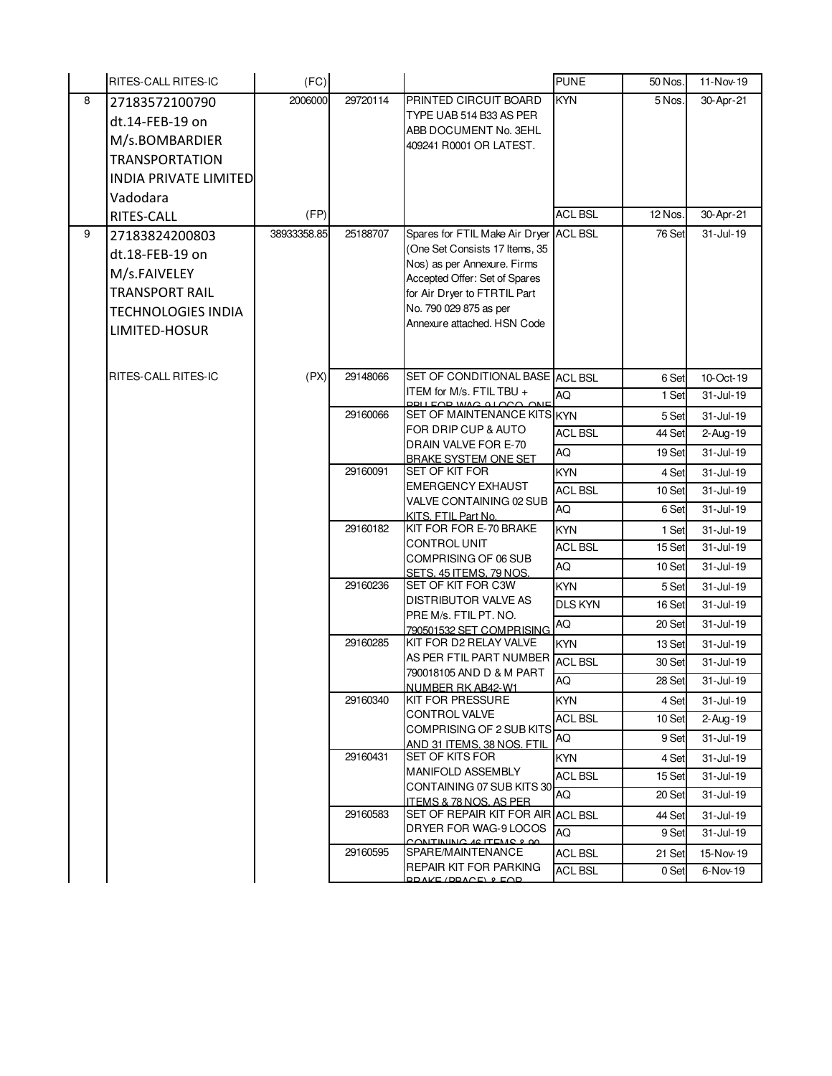|   | <b>RITES-CALL RITES-IC</b>   | (FC)        |          |                                                                          | <b>PUNE</b>    | 50 Nos. | 11-Nov-19      |
|---|------------------------------|-------------|----------|--------------------------------------------------------------------------|----------------|---------|----------------|
| 8 | 27183572100790               | 2006000     | 29720114 | PRINTED CIRCUIT BOARD                                                    | <b>KYN</b>     | 5 Nos.  | 30-Apr-21      |
|   | dt.14-FEB-19 on              |             |          | TYPE UAB 514 B33 AS PER                                                  |                |         |                |
|   | M/s.BOMBARDIER               |             |          | ABB DOCUMENT No. 3EHL                                                    |                |         |                |
|   | <b>TRANSPORTATION</b>        |             |          | 409241 R0001 OR LATEST.                                                  |                |         |                |
|   | <b>INDIA PRIVATE LIMITED</b> |             |          |                                                                          |                |         |                |
|   |                              |             |          |                                                                          |                |         |                |
|   | Vadodara                     |             |          |                                                                          |                |         |                |
|   | RITES-CALL                   | (FP)        |          |                                                                          | <b>ACL BSL</b> | 12 Nos. | 30-Apr-21      |
| 9 | 27183824200803               | 38933358.85 | 25188707 | Spares for FTIL Make Air Dryer ACL BSL<br>(One Set Consists 17 Items, 35 |                | 76 Set  | 31-Jul-19      |
|   | dt.18-FEB-19 on              |             |          | Nos) as per Annexure. Firms                                              |                |         |                |
|   | M/s.FAIVELEY                 |             |          | Accepted Offer: Set of Spares                                            |                |         |                |
|   | <b>TRANSPORT RAIL</b>        |             |          | for Air Dryer to FTRTIL Part                                             |                |         |                |
|   | <b>TECHNOLOGIES INDIA</b>    |             |          | No. 790 029 875 as per                                                   |                |         |                |
|   | LIMITED-HOSUR                |             |          | Annexure attached. HSN Code                                              |                |         |                |
|   |                              |             |          |                                                                          |                |         |                |
|   |                              |             |          |                                                                          |                |         |                |
|   | RITES-CALL RITES-IC          | (PX)        | 29148066 | SET OF CONDITIONAL BASE ACL BSL                                          |                | 6 Set   | 10-Oct-19      |
|   |                              |             |          | ITEM for M/s. FTIL TBU +<br><b>EQD WAS ALOCO, ONE</b>                    | AQ             | 1 Set   | $31 -$ Jul-19  |
|   |                              |             | 29160066 | SET OF MAINTENANCE KITS KYN                                              |                | 5 Set   | 31-Jul-19      |
|   |                              |             |          | FOR DRIP CUP & AUTO                                                      | <b>ACL BSL</b> | 44 Set  | 2-Aug-19       |
|   |                              |             |          | DRAIN VALVE FOR E-70<br><b>BRAKE SYSTEM ONE SET</b>                      | AQ             | 19 Set  | $31 -$ Jul-19  |
|   |                              |             | 29160091 | SET OF KIT FOR                                                           | <b>KYN</b>     | 4 Set   | 31-Jul-19      |
|   |                              |             |          | <b>EMERGENCY EXHAUST</b>                                                 | <b>ACL BSL</b> | 10 Set  | 31-Jul-19      |
|   |                              |             |          | VALVE CONTAINING 02 SUB                                                  | AQ             | 6 Set   | 31-Jul-19      |
|   |                              |             | 29160182 | KITS. FTIL Part No.<br>KIT FOR FOR E-70 BRAKE                            | KYN            | 1 Set   | 31-Jul-19      |
|   |                              |             |          | <b>CONTROL UNIT</b>                                                      | <b>ACL BSL</b> | 15 Set  | 31-Jul-19      |
|   |                              |             |          | COMPRISING OF 06 SUB                                                     | AQ             | 10 Set  | 31-Jul-19      |
|   |                              |             | 29160236 | SETS. 45 ITEMS. 79 NOS.<br>SET OF KIT FOR C3W                            |                |         |                |
|   |                              |             |          | <b>DISTRIBUTOR VALVE AS</b>                                              | <b>KYN</b>     | 5 Set   | 31-Jul-19      |
|   |                              |             |          | PRE M/s. FTIL PT. NO.                                                    | <b>DLS KYN</b> | 16 Set  | 31-Jul-19      |
|   |                              |             |          | 790501532 SET COMPRISING                                                 | AQ             | 20 Set  | 31-Jul-19      |
|   |                              |             | 29160285 | KIT FOR D2 RELAY VALVE                                                   | <b>KYN</b>     | 13 Set  | 31-Jul-19      |
|   |                              |             |          | AS PER FTIL PART NUMBER<br>790018105 AND D & M PART                      | <b>ACL BSL</b> | 30 Set  | $31 -$ Jul-19  |
|   |                              |             |          | NUMBER RK AB42-W1                                                        | AQ             | 28 Set  | 31-Jul-19      |
|   |                              |             | 29160340 | <b>KIT FOR PRESSURE</b>                                                  | <b>KYN</b>     | 4 Set   | 31-Jul-19      |
|   |                              |             |          | <b>CONTROL VALVE</b>                                                     | <b>ACL BSL</b> | 10 Set  | $2 - Aug - 19$ |
|   |                              |             |          | <b>COMPRISING OF 2 SUB KITS</b>                                          | AQ             | 9 Set   | 31-Jul-19      |
|   |                              |             | 29160431 | AND 31 ITEMS, 38 NOS, FTIL<br><b>SET OF KITS FOR</b>                     | KYN            | 4 Set   | 31-Jul-19      |
|   |                              |             |          | <b>MANIFOLD ASSEMBLY</b>                                                 | <b>ACL BSL</b> | 15 Set  | 31-Jul-19      |
|   |                              |             |          | CONTAINING 07 SUB KITS 30                                                | AQ             | 20 Set  | 31-Jul-19      |
|   |                              |             | 29160583 | ITEMS & 78 NOS. AS PER<br>SET OF REPAIR KIT FOR AIR ACL BSL              |                | 44 Set  | 31-Jul-19      |
|   |                              |             |          | DRYER FOR WAG-9 LOCOS                                                    | AQ             | 9 Set   | 31-Jul-19      |
|   |                              |             |          | CONTINUNO 40 ITEMP 8 00                                                  |                |         |                |
|   |                              |             | 29160595 | SPARE/MAINTENANCE<br>REPAIR KIT FOR PARKING                              | <b>ACL BSL</b> | 21 Set  | 15-Nov-19      |
|   |                              |             |          | <b>DDAI/E (DDACE) 8 FOD</b>                                              | <b>ACL BSL</b> | 0 Set   | 6-Nov-19       |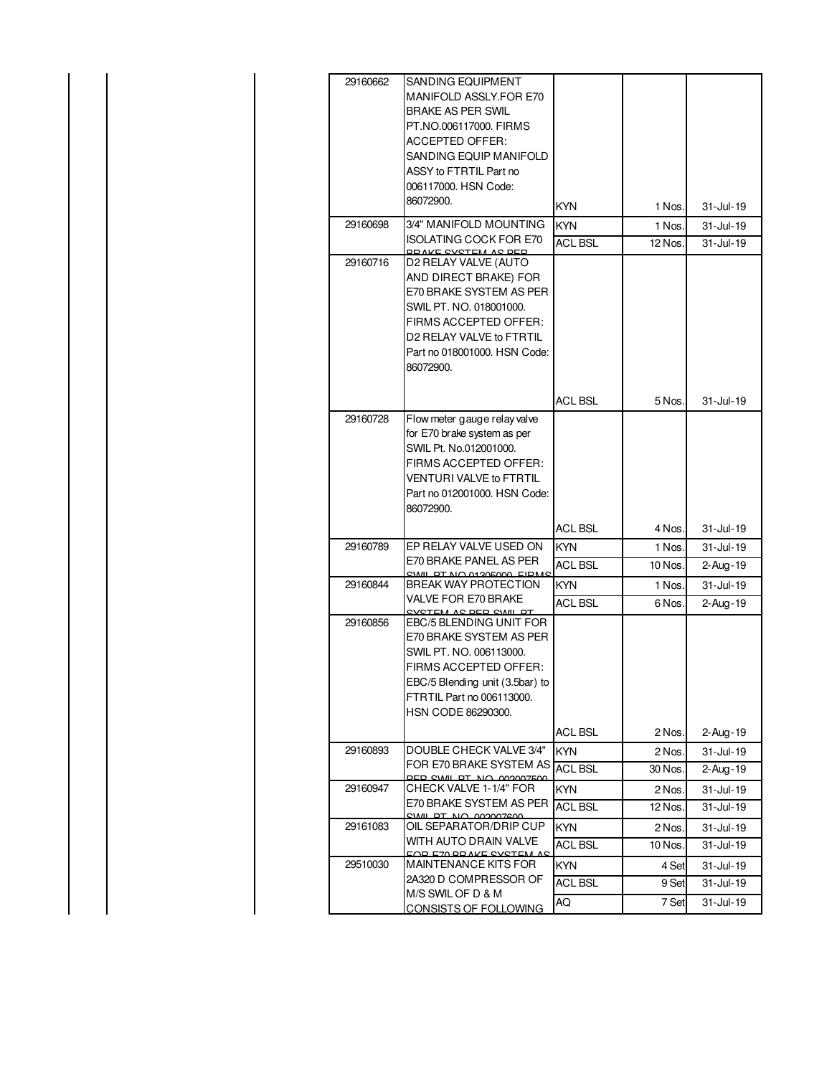| 29160662 | SANDING EQUIPMENT<br>MANIFOLD ASSLY.FOR E70<br><b>BRAKE AS PER SWIL</b><br>PT.NO.006117000. FIRMS<br><b>ACCEPTED OFFER:</b><br>SANDING EQUIP MANIFOLD<br>ASSY to FTRTIL Part no<br>006117000. HSN Code:<br>86072900.            | <b>KYN</b>                   | 1 Nos.            | 31-Jul-19                   |
|----------|---------------------------------------------------------------------------------------------------------------------------------------------------------------------------------------------------------------------------------|------------------------------|-------------------|-----------------------------|
| 29160698 | 3/4" MANIFOLD MOUNTING<br><b>ISOLATING COCK FOR E70</b>                                                                                                                                                                         | <b>KYN</b>                   | 1 Nos.            | 31-Jul-19                   |
| 29160716 | DD AIZE CVOTEM AC DED.<br>D2 RELAY VALVE (AUTO<br>AND DIRECT BRAKE) FOR<br>E70 BRAKE SYSTEM AS PER<br>SWIL PT. NO. 018001000.<br>FIRMS ACCEPTED OFFER:<br>D2 RELAY VALVE to FTRTIL<br>Part no 018001000. HSN Code:<br>86072900. | <b>ACL BSL</b>               | 12 Nos.           | $31 -$ Jul-19               |
|          |                                                                                                                                                                                                                                 | <b>ACL BSL</b>               | 5 Nos.            | 31-Jul-19                   |
| 29160728 | Flow meter gauge relay valve<br>for E70 brake system as per<br>SWIL Pt. No.012001000.<br>FIRMS ACCEPTED OFFER:<br>VENTURI VALVE to FTRTIL<br>Part no 012001000. HSN Code:<br>86072900.                                          |                              |                   |                             |
|          |                                                                                                                                                                                                                                 | <b>ACL BSL</b>               | 4 Nos.            | 31-Jul-19                   |
| 29160789 | EP RELAY VALVE USED ON<br>E70 BRAKE PANEL AS PER                                                                                                                                                                                | <b>KYN</b><br><b>ACL BSL</b> | 1 Nos.<br>10 Nos. | 31-Jul-19<br>$2 - Aug - 19$ |
| 29160844 | AL DI NO 01005000 FID<br><b>BREAK WAY PROTECTION</b><br>VALVE FOR E70 BRAKE<br>TEM AC DED CIMIL DT                                                                                                                              | <b>KYN</b><br><b>ACL BSL</b> | 1 Nos.<br>6 Nos.  | 31-Jul-19<br>2-Aug-19       |
| 29160856 | EBC/5 BLENDING UNIT FOR<br>E70 BRAKE SYSTEM AS PER<br>SWIL PT. NO. 006113000.<br>FIRMS ACCEPTED OFFER:<br>EBC/5 Blending unit (3.5bar) to<br>FTRTIL Part no 006113000.<br>HSN CODE 86290300.                                    |                              |                   |                             |
|          |                                                                                                                                                                                                                                 | ACL BSL                      | 2 Nos.            | 2-Aug-19                    |
| 29160893 | DOUBLE CHECK VALVE 3/4"<br>FOR E70 BRAKE SYSTEM AS<br>DED CWIL DT NO AMAMZEAA                                                                                                                                                   | <b>KYN</b><br><b>ACL BSL</b> | 2 Nos.<br>30 Nos. | 31-Jul-19<br>$2 - Aug - 19$ |
| 29160947 | CHECK VALVE 1-1/4" FOR<br>E70 BRAKE SYSTEM AS PER<br>CIALL DT NO AMAMAZEAN                                                                                                                                                      | <b>KYN</b><br><b>ACL BSL</b> | 2 Nos.<br>12 Nos. | 31-Jul-19<br>31-Jul-19      |
| 29161083 | OIL SEPARATOR/DRIP CUP<br>WITH AUTO DRAIN VALVE                                                                                                                                                                                 | <b>KYN</b><br><b>ACL BSL</b> | 2 Nos.<br>10 Nos. | 31-Jul-19<br>31-Jul-19      |
| 29510030 | <u>EAD EZA DD AIZE CVCTEM AC</u><br>MAINTENANCE KITS FOR<br>2A320 D COMPRESSOR OF                                                                                                                                               | <b>KYN</b><br><b>ACL BSL</b> | 4 Set<br>9 Set    | 31-Jul-19<br>31-Jul-19      |
|          | M/S SWIL OF D & M<br>CONSISTS OF FOLLOWING                                                                                                                                                                                      | AQ                           | 7 Set             | $31 -$ Jul-19               |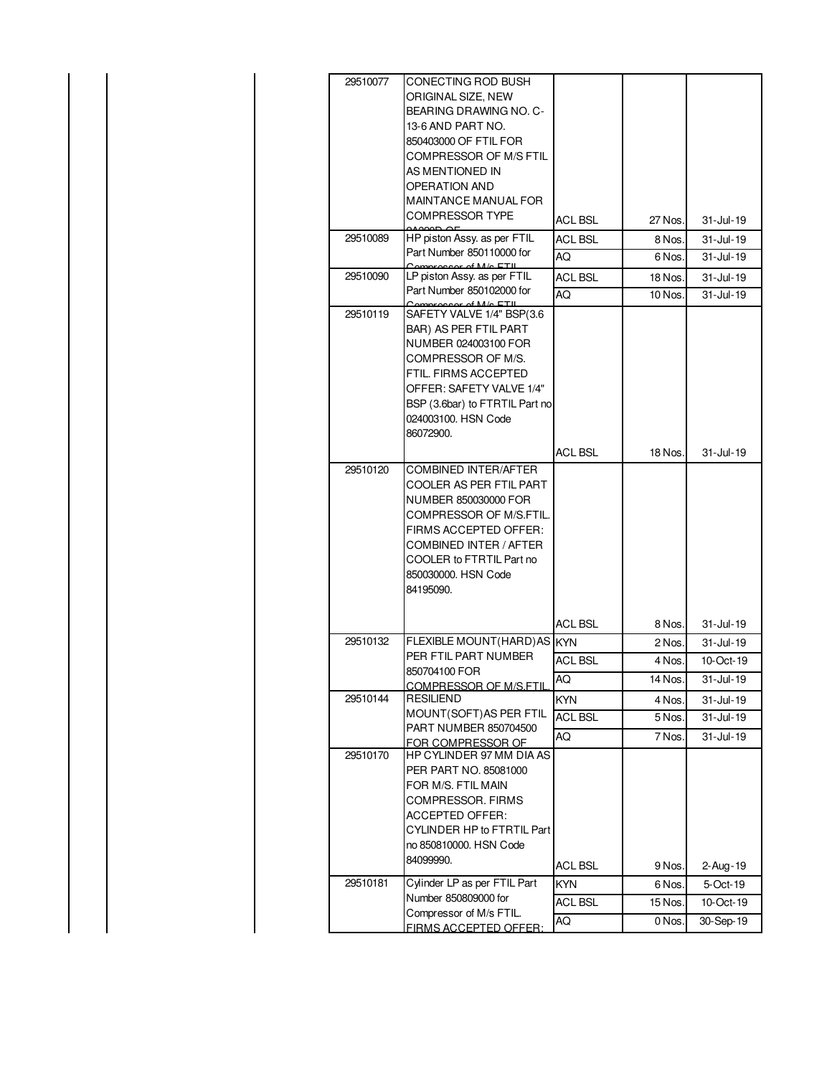| 29510077             | CONECTING ROD BUSH<br>ORIGINAL SIZE, NEW<br>BEARING DRAWING NO. C-<br>13-6 AND PART NO.<br>850403000 OF FTIL FOR<br><b>COMPRESSOR OF M/S FTIL</b><br>AS MENTIONED IN<br>OPERATION AND<br><b>MAINTANCE MANUAL FOR</b><br><b>COMPRESSOR TYPE</b>                                                                      |                      |                    |                              |
|----------------------|---------------------------------------------------------------------------------------------------------------------------------------------------------------------------------------------------------------------------------------------------------------------------------------------------------------------|----------------------|--------------------|------------------------------|
|                      |                                                                                                                                                                                                                                                                                                                     | <b>ACL BSL</b>       | 27 Nos.            | 31-Jul-19                    |
| 29510089             | HP piston Assy. as per FTIL<br>Part Number 850110000 for                                                                                                                                                                                                                                                            | <b>ACL BSL</b><br>AQ | 8 Nos.<br>6 Nos.   | 31-Jul-19<br>31-Jul-19       |
| 29510090             | $m$ <sup><math>\alpha</math><math>\alpha</math><sup><math>\alpha</math></sup><math>\alpha</math><sup><math>\beta</math></sup><math>\beta</math><math>\beta</math><math>\beta</math><math>\beta</math><math>\beta</math><math>\beta</math><math>\gamma</math><math>\beta</math></sup><br>LP piston Assy. as per FTIL |                      |                    |                              |
|                      | Part Number 850102000 for                                                                                                                                                                                                                                                                                           | <b>ACL BSL</b><br>AQ | 18 Nos.<br>10 Nos. | $31 -$ Jul - 19<br>31-Jul-19 |
| 29510119<br>29510120 | $\alpha$ of M/o ETIL<br>SAFETY VALVE 1/4" BSP(3.6<br>BAR) AS PER FTIL PART<br>NUMBER 024003100 FOR<br>COMPRESSOR OF M/S.<br>FTIL. FIRMS ACCEPTED<br>OFFER: SAFETY VALVE 1/4"<br>BSP (3.6bar) to FTRTIL Part no<br>024003100. HSN Code<br>86072900.<br><b>COMBINED INTER/AFTER</b><br>COOLER AS PER FTIL PART        | <b>ACL BSL</b>       | 18 Nos.            | 31-Jul-19                    |
|                      | NUMBER 850030000 FOR<br>COMPRESSOR OF M/S.FTIL.<br>FIRMS ACCEPTED OFFER:<br>COMBINED INTER / AFTER<br>COOLER to FTRTIL Part no<br>850030000. HSN Code<br>84195090.                                                                                                                                                  | <b>ACL BSL</b>       | 8 Nos.             | 31-Jul-19                    |
| 29510132             | FLEXIBLE MOUNT(HARD) AS KYN                                                                                                                                                                                                                                                                                         |                      | 2 Nos.             | 31-Jul-19                    |
|                      | PER FTIL PART NUMBER<br>850704100 FOR                                                                                                                                                                                                                                                                               | ACL BSL              | 4 Nos.             | 10-Oct-19                    |
|                      | <u>COMPRESSOR OF M/S.FTIL</u>                                                                                                                                                                                                                                                                                       | AQ                   | 14 Nos.            | 31-Jul-19                    |
| 29510144             | RESILIEND                                                                                                                                                                                                                                                                                                           | <b>KYN</b>           | 4 Nos.             | 31-Jul-19                    |
|                      | MOUNT(SOFT) AS PER FTIL<br>PART NUMBER 850704500                                                                                                                                                                                                                                                                    | <b>ACL BSL</b>       | 5 Nos.             | $31 -$ Jul-19                |
|                      | FOR COMPRESSOR OF                                                                                                                                                                                                                                                                                                   | AQ                   | 7 Nos.             | $31 -$ Jul-19                |
| 29510170             | HP CYLINDER 97 MM DIA AS<br>PER PART NO. 85081000<br>FOR M/S. FTIL MAIN<br>COMPRESSOR, FIRMS<br>ACCEPTED OFFER:<br>CYLINDER HP to FTRTIL Part<br>no 850810000. HSN Code<br>84099990.                                                                                                                                | <b>ACL BSL</b>       | 9 Nos.             | 2-Aug-19                     |
| 29510181             | Cylinder LP as per FTIL Part                                                                                                                                                                                                                                                                                        | <b>KYN</b>           | 6 Nos.             | 5-Oct-19                     |
|                      | Number 850809000 for                                                                                                                                                                                                                                                                                                | <b>ACL BSL</b>       | 15 Nos.            | 10-Oct-19                    |
|                      | Compressor of M/s FTIL.<br>FIRMS ACCEPTED OFFER:                                                                                                                                                                                                                                                                    | AQ                   | 0 Nos.             | 30-Sep-19                    |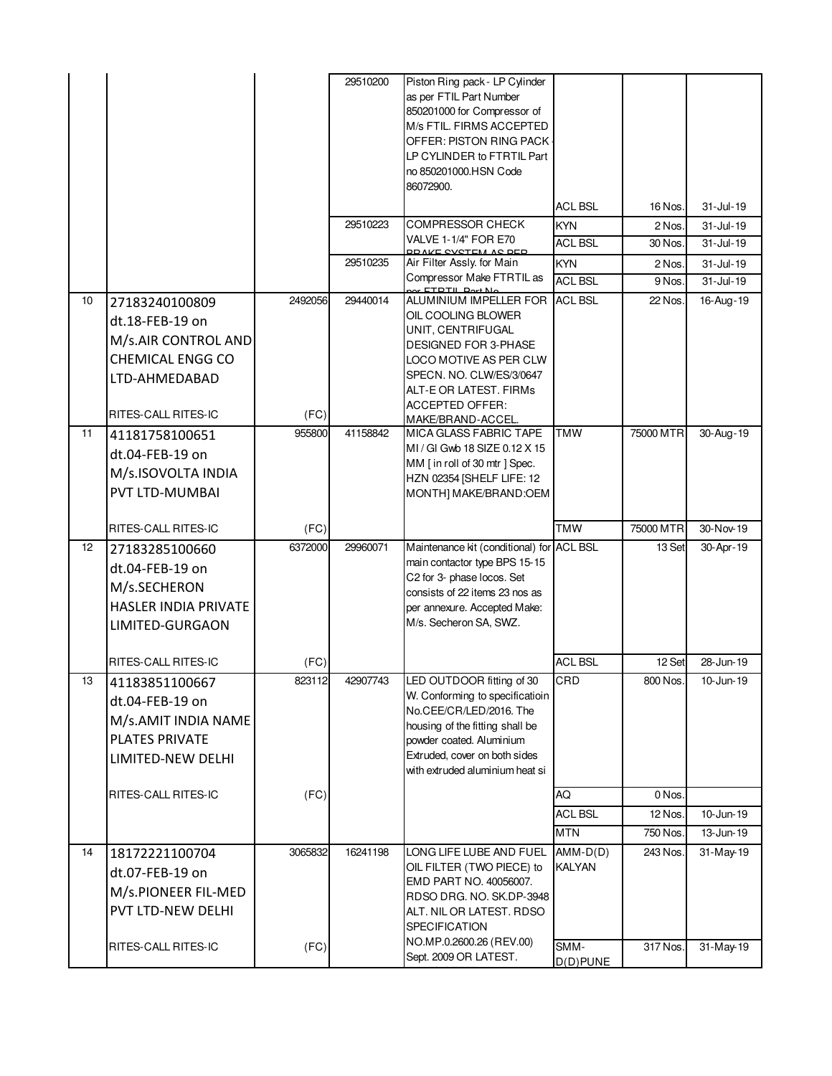|    |                                                                                                                             |                 | 29510200 | Piston Ring pack - LP Cylinder<br>as per FTIL Part Number<br>850201000 for Compressor of<br>M/s FTIL. FIRMS ACCEPTED<br>OFFER: PISTON RING PACK<br>LP CYLINDER to FTRTIL Part<br>no 850201000.HSN Code<br>86072900.             |                              |                   |                            |
|----|-----------------------------------------------------------------------------------------------------------------------------|-----------------|----------|---------------------------------------------------------------------------------------------------------------------------------------------------------------------------------------------------------------------------------|------------------------------|-------------------|----------------------------|
|    |                                                                                                                             |                 | 29510223 | <b>COMPRESSOR CHECK</b>                                                                                                                                                                                                         | <b>ACL BSL</b><br><b>KYN</b> | 16 Nos.<br>2 Nos. | 31-Jul-19<br>$31 -$ Jul-19 |
|    |                                                                                                                             |                 |          | VALVE 1-1/4" FOR E70                                                                                                                                                                                                            | <b>ACL BSL</b>               | 30 Nos.           | 31-Jul-19                  |
|    |                                                                                                                             |                 | 29510235 | OD ALCE CVOTEM AC DED.<br>Air Filter Assly. for Main                                                                                                                                                                            | <b>KYN</b>                   | 2 Nos.            | 31-Jul-19                  |
|    |                                                                                                                             |                 |          | Compressor Make FTRTIL as<br><u>r ETDTIL Dort No</u>                                                                                                                                                                            | <b>ACL BSL</b>               | 9 Nos.            | 31-Jul-19                  |
| 10 | 27183240100809<br>dt.18-FEB-19 on<br>M/s.AIR CONTROL AND<br><b>CHEMICAL ENGG CO</b><br>LTD-AHMEDABAD<br>RITES-CALL RITES-IC | 2492056<br>(FC) | 29440014 | ALUMINIUM IMPELLER FOR<br>OIL COOLING BLOWER<br>UNIT, CENTRIFUGAL<br><b>DESIGNED FOR 3-PHASE</b><br>LOCO MOTIVE AS PER CLW<br>SPECN. NO. CLW/ES/3/0647<br>ALT-E OR LATEST. FIRMs<br><b>ACCEPTED OFFER:</b><br>MAKE/BRAND-ACCEL. | <b>ACL BSL</b>               | 22 Nos.           | 16-Aug-19                  |
| 11 | 41181758100651<br>dt.04-FEB-19 on<br>M/s.ISOVOLTA INDIA<br>PVT LTD-MUMBAI                                                   | 955800          | 41158842 | MICA GLASS FABRIC TAPE<br>MI / GI Gwb 18 SIZE 0.12 X 15<br>MM [in roll of 30 mtr] Spec.<br>HZN 02354 [SHELF LIFE: 12<br>MONTH] MAKE/BRAND:OEM                                                                                   | <b>TMW</b>                   | 75000 MTR         | 30-Aug-19                  |
|    | RITES-CALL RITES-IC                                                                                                         | (FC)            |          |                                                                                                                                                                                                                                 | <b>TMW</b>                   | 75000 MTR         | 30-Nov-19                  |
| 12 | 27183285100660<br>dt.04-FEB-19 on<br>M/s.SECHERON<br><b>HASLER INDIA PRIVATE</b><br><b>LIMITED-GURGAON</b>                  | 6372000         | 29960071 | Maintenance kit (conditional) for ACL BSL<br>main contactor type BPS 15-15<br>C2 for 3- phase locos. Set<br>consists of 22 items 23 nos as<br>per annexure. Accepted Make:<br>M/s. Secheron SA, SWZ.                            |                              | 13 Set            | 30-Apr-19                  |
|    | RITES-CALL RITES-IC                                                                                                         | (FC)            |          |                                                                                                                                                                                                                                 | <b>ACL BSL</b>               | 12 Set            | 28-Jun-19                  |
| 13 | 41183851100667<br>dt.04-FEB-19 on<br>M/s.AMIT INDIA NAME<br><b>PLATES PRIVATE</b><br>LIMITED-NEW DELHI                      | 823112          | 42907743 | LED OUTDOOR fitting of 30<br>W. Conforming to specificatioin<br>No.CEE/CR/LED/2016. The<br>housing of the fitting shall be<br>powder coated. Aluminium<br>Extruded, cover on both sides<br>with extruded aluminium heat si      | CRD                          | 800 Nos.          | 10-Jun-19                  |
|    | RITES-CALL RITES-IC                                                                                                         | (FC)            |          |                                                                                                                                                                                                                                 | AQ                           | 0 Nos.            |                            |
|    |                                                                                                                             |                 |          |                                                                                                                                                                                                                                 | <b>ACL BSL</b>               | 12 Nos.           | 10-Jun-19                  |
|    |                                                                                                                             |                 |          |                                                                                                                                                                                                                                 | <b>MTN</b>                   | 750 Nos.          | 13-Jun-19                  |
| 14 | 18172221100704<br>dt.07-FEB-19 on<br>M/s.PIONEER FIL-MED<br>PVT LTD-NEW DELHI                                               | 3065832         | 16241198 | LONG LIFE LUBE AND FUEL<br>OIL FILTER (TWO PIECE) to<br>EMD PART NO. 40056007.<br>RDSO DRG. NO. SK.DP-3948<br>ALT. NIL OR LATEST. RDSO<br><b>SPECIFICATION</b><br>NO.MP.0.2600.26 (REV.00)                                      | $AMM-D(D)$<br><b>KALYAN</b>  | 243 Nos.          | 31-May-19                  |
|    | RITES-CALL RITES-IC                                                                                                         | (FC)            |          | Sept. 2009 OR LATEST.                                                                                                                                                                                                           | SMM-<br>$D(D)$ PUNE          | 317 Nos.          | 31-May-19                  |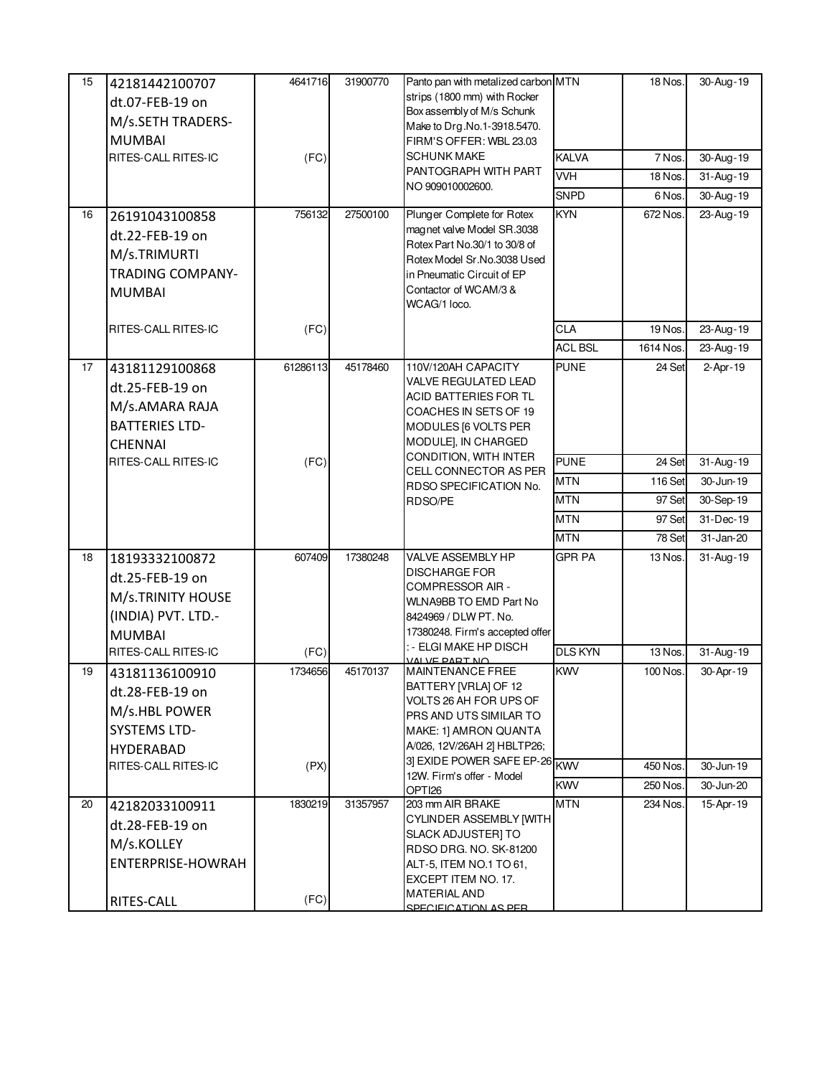| 15 | 42181442100707<br>dt.07-FEB-19 on<br>M/s.SETH TRADERS-<br><b>MUMBAI</b><br>RITES-CALL RITES-IC                       | 4641716<br>(FC) | 31900770 | Panto pan with metalized carbon MTN<br>strips (1800 mm) with Rocker<br>Box assembly of M/s Schunk<br>Make to Drg.No.1-3918.5470.<br>FIRM'S OFFER: WBL 23.03<br><b>SCHUNK MAKE</b><br>PANTOGRAPH WITH PART<br>NO 909010002600. | <b>KALVA</b><br><b>VVH</b><br><b>SNPD</b> | 18 Nos.<br>7 Nos.<br>18 Nos.<br>6 Nos. | 30-Aug-19<br>30-Aug-19<br>31-Aug-19<br>30-Aug-19 |
|----|----------------------------------------------------------------------------------------------------------------------|-----------------|----------|-------------------------------------------------------------------------------------------------------------------------------------------------------------------------------------------------------------------------------|-------------------------------------------|----------------------------------------|--------------------------------------------------|
| 16 | 26191043100858<br>dt.22-FEB-19 on<br>M/s.TRIMURTI<br><b>TRADING COMPANY-</b><br><b>MUMBAI</b>                        | 756132          | 27500100 | Plunger Complete for Rotex<br>magnet valve Model SR.3038<br>Rotex Part No.30/1 to 30/8 of<br>Rotex Model Sr.No.3038 Used<br>in Pneumatic Circuit of EP<br>Contactor of WCAM/3 &<br>WCAG/1 loco.                               | <b>KYN</b>                                | 672 Nos.                               | 23-Aug-19                                        |
|    | RITES-CALL RITES-IC                                                                                                  | (FC)            |          |                                                                                                                                                                                                                               | CLA                                       | 19 Nos.                                | 23-Aug-19                                        |
| 17 | 43181129100868<br>dt.25-FEB-19 on<br>M/s.AMARA RAJA<br><b>BATTERIES LTD-</b><br><b>CHENNAI</b>                       | 61286113        | 45178460 | 110V/120AH CAPACITY<br><b>VALVE REGULATED LEAD</b><br>ACID BATTERIES FOR TL<br>COACHES IN SETS OF 19<br>MODULES [6 VOLTS PER<br>MODULE], IN CHARGED                                                                           | <b>ACL BSL</b><br><b>PUNE</b>             | 1614 Nos.<br>24 Set                    | 23-Aug-19<br>2-Apr-19                            |
|    | RITES-CALL RITES-IC                                                                                                  | (FC)            |          | CONDITION, WITH INTER<br>CELL CONNECTOR AS PER                                                                                                                                                                                | <b>PUNE</b>                               | 24 Set                                 | 31-Aug-19                                        |
|    |                                                                                                                      |                 |          | RDSO SPECIFICATION No.                                                                                                                                                                                                        | <b>MTN</b>                                | <b>116 Set</b>                         | $30 - Jun-19$                                    |
|    |                                                                                                                      |                 |          | RDSO/PE                                                                                                                                                                                                                       | <b>MTN</b>                                | 97 Set                                 | 30-Sep-19                                        |
|    |                                                                                                                      |                 |          |                                                                                                                                                                                                                               | <b>MTN</b>                                | 97 Set                                 | 31-Dec-19                                        |
|    |                                                                                                                      |                 |          |                                                                                                                                                                                                                               | <b>MTN</b>                                | 78 Set                                 | 31-Jan-20                                        |
| 18 | 18193332100872<br>dt.25-FEB-19 on<br>M/s.TRINITY HOUSE<br>(INDIA) PVT. LTD.-<br><b>MUMBAI</b>                        | 607409          | 17380248 | VALVE ASSEMBLY HP<br><b>DISCHARGE FOR</b><br><b>COMPRESSOR AIR -</b><br>WLNA9BB TO EMD Part No<br>8424969 / DLW PT. No.<br>17380248. Firm's accepted offer                                                                    | <b>GPR PA</b>                             | 13 Nos.                                | 31-Aug-19                                        |
|    | RITES-CALL RITES-IC                                                                                                  | (FC)            |          | : - ELGI MAKE HP DISCH<br>VALVE PART NO                                                                                                                                                                                       | <b>DLS KYN</b>                            | 13 Nos.                                | 31-Aug-19                                        |
| 19 | 43181136100910<br>dt.28-FEB-19 on<br>M/s.HBL POWER<br><b>SYSTEMS LTD-</b><br><b>HYDERABAD</b><br>RITES-CALL RITES-IC | 1734656<br>(PX) | 45170137 | MAINTENANCE FREE<br>BATTERY [VRLA] OF 12<br>VOLTS 26 AH FOR UPS OF<br>PRS AND UTS SIMILAR TO<br>MAKE: 1] AMRON QUANTA<br>A/026, 12V/26AH 2] HBLTP26;<br>3] EXIDE POWER SAFE EP-26 KWV<br>12W. Firm's offer - Model            | <b>KWV</b>                                | 100 Nos.<br>450 Nos.                   | 30-Apr-19<br>30-Jun-19                           |
|    |                                                                                                                      |                 |          | OPTI <sub>26</sub>                                                                                                                                                                                                            | <b>KWV</b>                                | 250 Nos.                               | 30-Jun-20                                        |
| 20 | 42182033100911<br>dt.28-FEB-19 on<br>M/s.KOLLEY<br>ENTERPRISE-HOWRAH<br>RITES-CALL                                   | 1830219<br>(FC) | 31357957 | 203 mm AIR BRAKE<br><b>CYLINDER ASSEMBLY [WITH</b><br>SLACK ADJUSTER] TO<br>RDSO DRG. NO. SK-81200<br>ALT-5, ITEM NO.1 TO 61,<br>EXCEPT ITEM NO. 17.<br><b>MATERIAL AND</b><br>SPECIFICATION AS PER                           | <b>MTN</b>                                | 234 Nos.                               | 15-Apr-19                                        |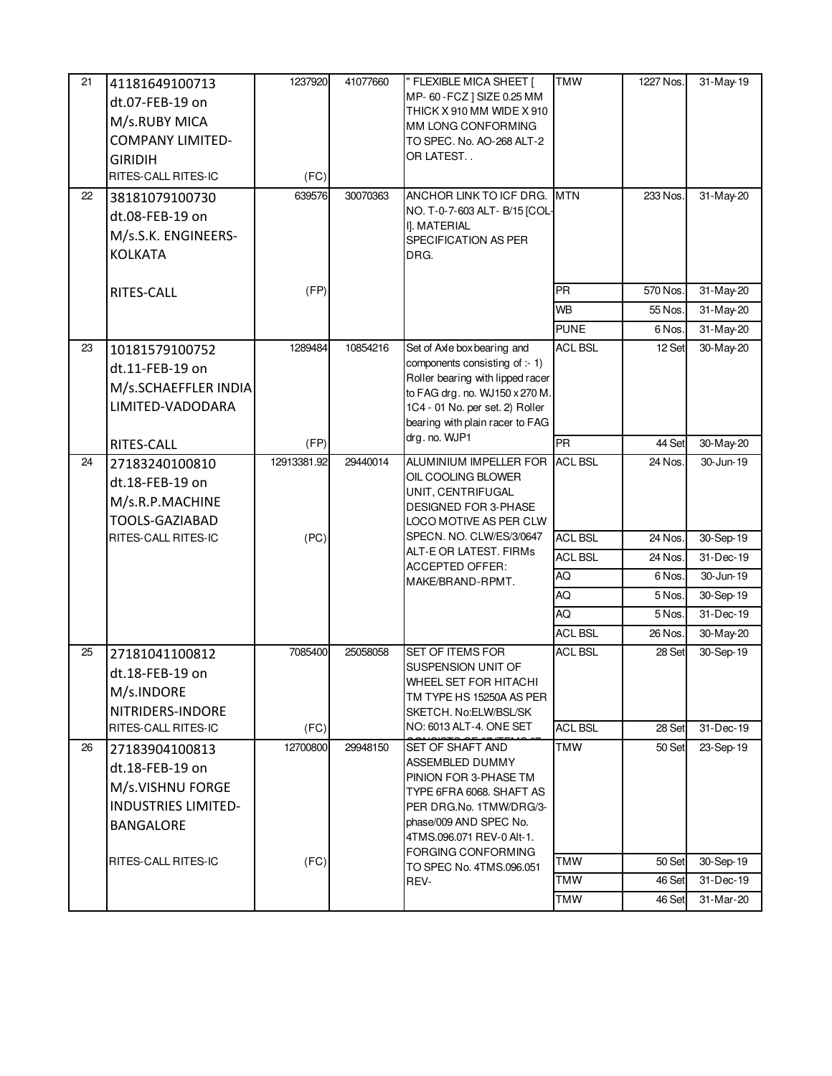| 21 | 41181649100713<br>dt.07-FEB-19 on<br>M/s.RUBY MICA<br><b>COMPANY LIMITED-</b><br><b>GIRIDIH</b><br>RITES-CALL RITES-IC                | 1237920<br>(FC)     | 41077660 | " FLEXIBLE MICA SHEET [<br>MP- 60 - FCZ ] SIZE 0.25 MM<br>THICK X 910 MM WIDE X 910<br>MM LONG CONFORMING<br>TO SPEC. No. AO-268 ALT-2<br>OR LATEST                                                                                                | <b>TMW</b>                                    | 1227 Nos.                            | 31-May-19                                        |
|----|---------------------------------------------------------------------------------------------------------------------------------------|---------------------|----------|----------------------------------------------------------------------------------------------------------------------------------------------------------------------------------------------------------------------------------------------------|-----------------------------------------------|--------------------------------------|--------------------------------------------------|
| 22 | 38181079100730<br>dt.08-FEB-19 on<br>M/s.S.K. ENGINEERS-<br><b>KOLKATA</b>                                                            | 639576<br>(FP)      | 30070363 | ANCHOR LINK TO ICF DRG.<br>NO. T-0-7-603 ALT- B/15 [COL-<br>I]. MATERIAL<br>SPECIFICATION AS PER<br>DRG.                                                                                                                                           | <b>MTN</b><br><b>PR</b>                       | 233 Nos.<br>570 Nos.                 | 31-May-20<br>31-May-20                           |
|    | RITES-CALL                                                                                                                            |                     |          |                                                                                                                                                                                                                                                    | <b>WB</b>                                     | 55 Nos.                              | 31-May-20                                        |
|    |                                                                                                                                       |                     |          |                                                                                                                                                                                                                                                    | <b>PUNE</b>                                   | 6 Nos.                               | 31-May-20                                        |
| 23 | 10181579100752<br>dt.11-FEB-19 on<br>M/s.SCHAEFFLER INDIA<br>LIMITED-VADODARA                                                         | 1289484             | 10854216 | Set of Axle box bearing and<br>components consisting of :- 1)<br>Roller bearing with lipped racer<br>to FAG drg. no. WJ150 x 270 M.<br>1C4 - 01 No. per set. 2) Roller<br>bearing with plain racer to FAG                                          | <b>ACL BSL</b>                                | 12 Set                               | 30-May-20                                        |
|    | RITES-CALL                                                                                                                            | (FP)                |          | drg. no. WJP1                                                                                                                                                                                                                                      | PR                                            | 44 Set                               | 30-May-20                                        |
| 24 | 27183240100810<br>dt.18-FEB-19 on<br>M/s.R.P.MACHINE<br><b>TOOLS-GAZIABAD</b><br>RITES-CALL RITES-IC                                  | 12913381.92<br>(PC) | 29440014 | ALUMINIUM IMPELLER FOR<br>OIL COOLING BLOWER<br>UNIT, CENTRIFUGAL<br><b>DESIGNED FOR 3-PHASE</b><br>LOCO MOTIVE AS PER CLW<br>SPECN. NO. CLW/ES/3/0647                                                                                             | <b>ACL BSL</b><br><b>ACL BSL</b>              | 24 Nos.<br>24 Nos.                   | 30-Jun-19<br>30-Sep-19                           |
|    |                                                                                                                                       |                     |          | ALT-E OR LATEST. FIRMs                                                                                                                                                                                                                             | <b>ACL BSL</b>                                | 24 Nos.                              | 31-Dec-19                                        |
|    |                                                                                                                                       |                     |          | <b>ACCEPTED OFFER:</b><br>MAKE/BRAND-RPMT.                                                                                                                                                                                                         | AQ                                            | 6 Nos.                               | 30-Jun-19                                        |
|    |                                                                                                                                       |                     |          |                                                                                                                                                                                                                                                    | AQ                                            | 5 Nos.                               | 30-Sep-19                                        |
|    |                                                                                                                                       |                     |          |                                                                                                                                                                                                                                                    | AQ                                            | 5 Nos.                               | 31-Dec-19                                        |
|    |                                                                                                                                       |                     |          |                                                                                                                                                                                                                                                    | <b>ACL BSL</b>                                | 26 Nos.                              | 30-May-20                                        |
| 25 | 27181041100812<br>dt.18-FEB-19 on<br>M/s.INDORE<br>NITRIDERS-INDORE                                                                   | 7085400             | 25058058 | SET OF ITEMS FOR<br>SUSPENSION UNIT OF<br>WHEEL SET FOR HITACHI<br>TM TYPE HS 15250A AS PER<br>SKETCH, No:ELW/BSL/SK                                                                                                                               | <b>ACL BSL</b>                                | 28 Set                               | 30-Sep-19                                        |
|    | RITES-CALL RITES-IC                                                                                                                   | (FC)                |          | NO: 6013 ALT-4. ONE SET                                                                                                                                                                                                                            | <b>ACL BSL</b>                                | 28 Set                               | 31-Dec-19                                        |
| 26 | 27183904100813<br>dt.18-FEB-19 on<br>M/s.VISHNU FORGE<br><b>INDUSTRIES LIMITED-</b><br><b>BANGALORE</b><br><b>RITES-CALL RITES-IC</b> | 12700800<br>(FC)    | 29948150 | <b>SET OF SHAFT AND</b><br>ASSEMBLED DUMMY<br>PINION FOR 3-PHASE TM<br>TYPE 6FRA 6068. SHAFT AS<br>PER DRG.No. 1TMW/DRG/3-<br>phase/009 AND SPEC No.<br>4TMS.096.071 REV-0 Alt-1.<br><b>FORGING CONFORMING</b><br>TO SPEC No. 4TMS.096.051<br>REV- | TMW<br><b>TMW</b><br><b>TMW</b><br><b>TMW</b> | 50 Set<br>50 Set<br>46 Set<br>46 Set | 23-Sep-19<br>30-Sep-19<br>31-Dec-19<br>31-Mar-20 |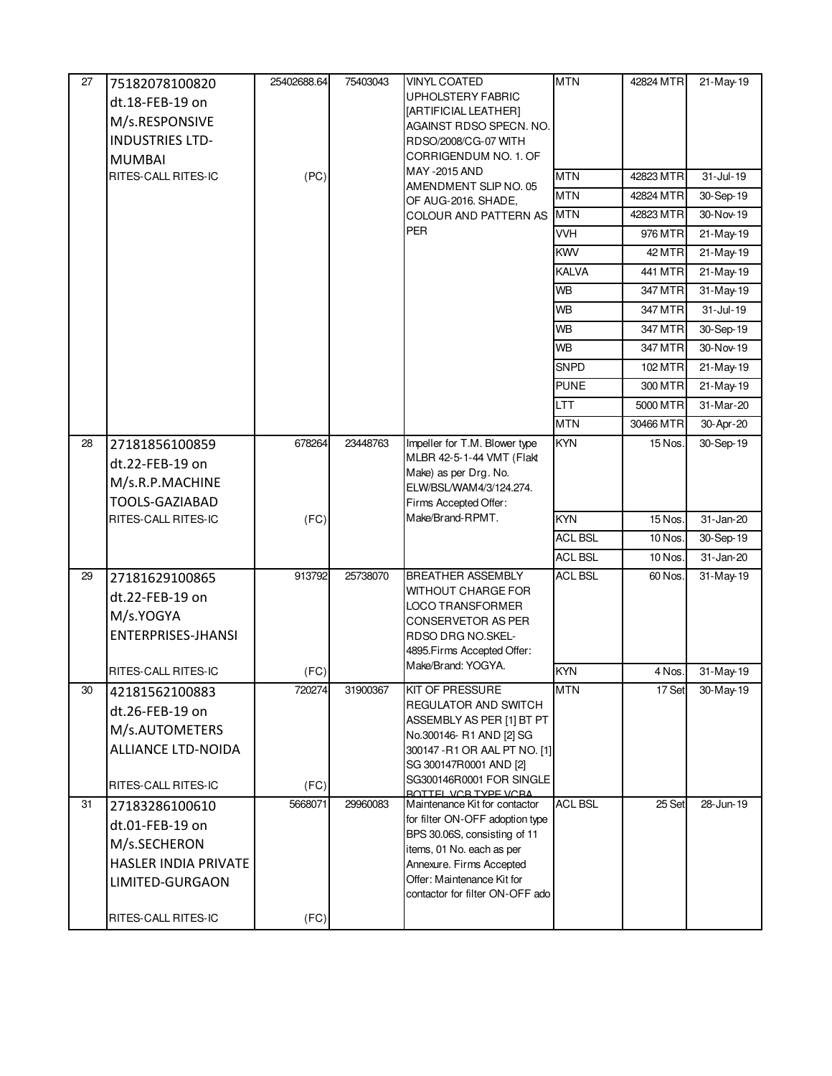| 27 | 75182078100820              | 25402688.64 | 75403043 | <b>VINYL COATED</b>                                       | <b>MTN</b>     | 42824 MTR | 21-May-19     |
|----|-----------------------------|-------------|----------|-----------------------------------------------------------|----------------|-----------|---------------|
|    |                             |             |          | <b>UPHOLSTERY FABRIC</b>                                  |                |           |               |
|    | dt.18-FEB-19 on             |             |          | [ARTIFICIAL LEATHER]                                      |                |           |               |
|    | M/s.RESPONSIVE              |             |          | AGAINST RDSO SPECN. NO.                                   |                |           |               |
|    | <b>INDUSTRIES LTD-</b>      |             |          | RDSO/2008/CG-07 WITH<br>CORRIGENDUM NO. 1. OF             |                |           |               |
|    | <b>MUMBAI</b>               |             |          | MAY -2015 AND                                             |                |           |               |
|    | RITES-CALL RITES-IC         | (PC)        |          | AMENDMENT SLIP NO. 05                                     | <b>MTN</b>     | 42823 MTR | 31-Jul-19     |
|    |                             |             |          | OF AUG-2016. SHADE,                                       | <b>MTN</b>     | 42824 MTR | 30-Sep-19     |
|    |                             |             |          | <b>COLOUR AND PATTERN AS</b><br><b>PER</b>                | <b>MTN</b>     | 42823 MTR | 30-Nov-19     |
|    |                             |             |          |                                                           | <b>VVH</b>     | 976 MTR   | 21-May-19     |
|    |                             |             |          |                                                           | <b>KWV</b>     | 42 MTR    | $21 - May-19$ |
|    |                             |             |          |                                                           | <b>KALVA</b>   | 441 MTR   | 21-May-19     |
|    |                             |             |          |                                                           | <b>WB</b>      | 347 MTR   | 31-May-19     |
|    |                             |             |          |                                                           | <b>WB</b>      | 347 MTR   | 31-Jul-19     |
|    |                             |             |          |                                                           | <b>WB</b>      | 347 MTR   | 30-Sep-19     |
|    |                             |             |          |                                                           | <b>WB</b>      | 347 MTR   | 30-Nov-19     |
|    |                             |             |          |                                                           | <b>SNPD</b>    | 102 MTR   | 21-May-19     |
|    |                             |             |          |                                                           | <b>PUNE</b>    | 300 MTR   | 21-May-19     |
|    |                             |             |          |                                                           | <b>LTT</b>     | 5000 MTR  | 31-Mar-20     |
|    |                             |             |          |                                                           | <b>MTN</b>     | 30466 MTR | 30-Apr-20     |
| 28 | 27181856100859              | 678264      | 23448763 | Impeller for T.M. Blower type                             | <b>KYN</b>     | 15 Nos.   | 30-Sep-19     |
|    | dt.22-FEB-19 on             |             |          | MLBR 42-5-1-44 VMT (Flakt                                 |                |           |               |
|    | M/s.R.P.MACHINE             |             |          | Make) as per Drg. No.<br>ELW/BSL/WAM4/3/124.274.          |                |           |               |
|    | <b>TOOLS-GAZIABAD</b>       |             |          | Firms Accepted Offer:                                     |                |           |               |
|    | RITES-CALL RITES-IC         | (FC)        |          | Make/Brand-RPMT.                                          | <b>KYN</b>     | 15 Nos.   | 31-Jan-20     |
|    |                             |             |          |                                                           | <b>ACL BSL</b> | 10 Nos.   | 30-Sep-19     |
|    |                             |             |          |                                                           | <b>ACL BSL</b> | 10 Nos.   | 31-Jan-20     |
| 29 | 27181629100865              | 913792      | 25738070 | <b>BREATHER ASSEMBLY</b>                                  | <b>ACL BSL</b> | 60 Nos.   | 31-May-19     |
|    | dt.22-FEB-19 on             |             |          | WITHOUT CHARGE FOR                                        |                |           |               |
|    | M/s.YOGYA                   |             |          | LOCO TRANSFORMER                                          |                |           |               |
|    | ENTERPRISES-JHANSI          |             |          | <b>CONSERVETOR AS PER</b><br><b>RDSO DRG NO.SKEL-</b>     |                |           |               |
|    |                             |             |          | 4895. Firms Accepted Offer:                               |                |           |               |
|    | <b>RITES-CALL RITES-IC</b>  | (FC)        |          | Make/Brand: YOGYA.                                        | <b>KYN</b>     | 4 Nos.    | 31-May-19     |
| 30 | 42181562100883              | 720274      | 31900367 | <b>KIT OF PRESSURE</b>                                    | <b>MTN</b>     | 17 Set    | 30-May-19     |
|    | dt.26-FEB-19 on             |             |          | REGULATOR AND SWITCH                                      |                |           |               |
|    | M/s.AUTOMETERS              |             |          | ASSEMBLY AS PER [1] BT PT                                 |                |           |               |
|    | <b>ALLIANCE LTD-NOIDA</b>   |             |          | No.300146- R1 AND [2] SG<br>300147 - R1 OR AAL PT NO. [1] |                |           |               |
|    |                             |             |          | SG 300147R0001 AND [2]                                    |                |           |               |
|    | RITES-CALL RITES-IC         | (FC)        |          | SG300146R0001 FOR SINGLE                                  |                |           |               |
| 31 | 27183286100610              | 5668071     | 29960083 | ROTTEL VOR TVDE VORA<br>Maintenance Kit for contactor     | <b>ACL BSL</b> | 25 Set    | 28-Jun-19     |
|    | dt.01-FEB-19 on             |             |          | for filter ON-OFF adoption type                           |                |           |               |
|    |                             |             |          | BPS 30.06S, consisting of 11                              |                |           |               |
|    | M/s.SECHERON                |             |          | items, 01 No. each as per                                 |                |           |               |
|    | <b>HASLER INDIA PRIVATE</b> |             |          | Annexure. Firms Accepted<br>Offer: Maintenance Kit for    |                |           |               |
|    | LIMITED-GURGAON             |             |          | contactor for filter ON-OFF ado                           |                |           |               |
|    |                             |             |          |                                                           |                |           |               |
|    | RITES-CALL RITES-IC         | (FC)        |          |                                                           |                |           |               |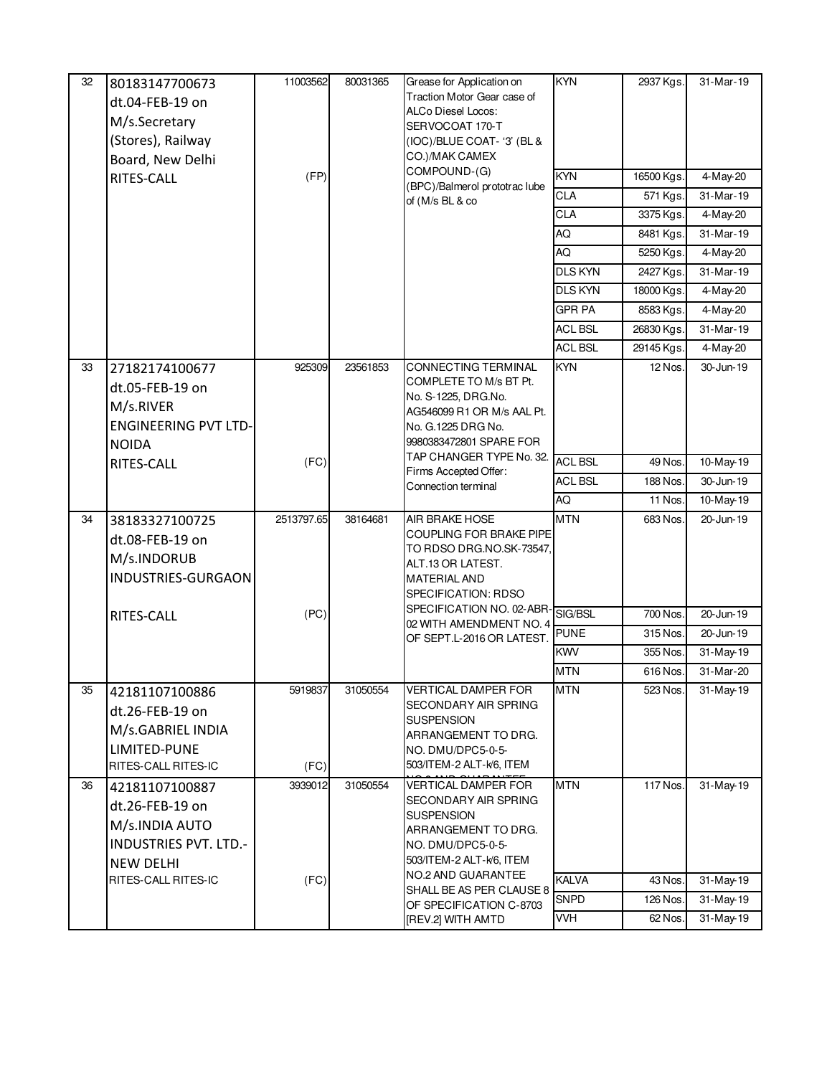| 32 | 80183147700673<br>dt.04-FEB-19 on<br>M/s.Secretary<br>(Stores), Railway<br>Board, New Delhi<br>RITES-CALL                      | 11003562<br>(FP)   | 80031365 | Grease for Application on<br>Traction Motor Gear case of<br>ALCo Diesel Locos:<br>SERVOCOAT 170-T<br>(IOC)/BLUE COAT-'3' (BL &<br>CO.)/MAK CAMEX<br>COMPOUND-(G)<br>(BPC)/Balmerol prototrac lube<br>of (M/s BL & co                   | <b>KYN</b><br><b>KYN</b><br><b>CLA</b><br>CLA<br>AQ<br>AQ<br><b>DLS KYN</b><br><b>DLS KYN</b><br><b>GPR PA</b><br><b>ACL BSL</b><br><b>ACL BSL</b> | 2937 Kgs.<br>16500 Kgs.<br>571 Kgs.<br>3375 Kgs.<br>8481 Kgs.<br>5250 Kgs.<br>2427 Kgs.<br>18000 Kgs.<br>8583 Kgs.<br>26830 Kgs.<br>29145 Kgs. | 31-Mar-19<br>4-May-20<br>31-Mar-19<br>4-May-20<br>31-Mar-19<br>4-May-20<br>31-Mar-19<br>4-May-20<br>4-May-20<br>31-Mar-19<br>4-May-20 |
|----|--------------------------------------------------------------------------------------------------------------------------------|--------------------|----------|----------------------------------------------------------------------------------------------------------------------------------------------------------------------------------------------------------------------------------------|----------------------------------------------------------------------------------------------------------------------------------------------------|------------------------------------------------------------------------------------------------------------------------------------------------|---------------------------------------------------------------------------------------------------------------------------------------|
| 33 | 27182174100677<br>dt.05-FEB-19 on<br>M/s.RIVER<br><b>ENGINEERING PVT LTD-</b><br><b>NOIDA</b><br>RITES-CALL                    | 925309<br>(FC)     | 23561853 | <b>CONNECTING TERMINAL</b><br>COMPLETE TO M/s BT Pt.<br>No. S-1225, DRG.No.<br>AG546099 R1 OR M/s AAL Pt.<br>No. G.1225 DRG No.<br>9980383472801 SPARE FOR<br>TAP CHANGER TYPE No. 32.<br>Firms Accepted Offer:<br>Connection terminal | <b>KYN</b><br><b>ACL BSL</b><br><b>ACL BSL</b><br>AQ                                                                                               | 12 Nos.<br>49 Nos.<br>188 Nos.<br>11 Nos.                                                                                                      | 30-Jun-19<br>10-May-19<br>$\overline{30}$ -Jun-19<br>10-May-19                                                                        |
| 34 | 38183327100725<br>dt.08-FEB-19 on<br>M/s.INDORUB<br>INDUSTRIES-GURGAON<br><b>RITES-CALL</b>                                    | 2513797.65<br>(PC) | 38164681 | <b>AIR BRAKE HOSE</b><br>COUPLING FOR BRAKE PIPE<br>TO RDSO DRG.NO.SK-73547,<br>ALT.13 OR LATEST.<br><b>MATERIAL AND</b><br>SPECIFICATION: RDSO<br>SPECIFICATION NO. 02-ABR-<br>02 WITH AMENDMENT NO. 4<br>OF SEPT.L-2016 OR LATEST.   | <b>MTN</b><br>SIG/BSL<br><b>PUNE</b><br><b>KWV</b>                                                                                                 | 683 Nos.<br>700 Nos.<br>315 Nos.<br>355 Nos.                                                                                                   | 20-Jun-19<br>20-Jun-19<br>20-Jun-19<br>31-May-19                                                                                      |
| 35 | 42181107100886<br>dt.26-FEB-19 on<br>M/s.GABRIEL INDIA<br>LIMITED-PUNE<br>RITES-CALL RITES-IC                                  | 5919837<br>(FC)    | 31050554 | <b>VERTICAL DAMPER FOR</b><br>SECONDARY AIR SPRING<br><b>SUSPENSION</b><br>ARRANGEMENT TO DRG.<br>NO. DMU/DPC5-0-5-<br>503/ITEM-2 ALT-k/6, ITEM                                                                                        | <b>MTN</b><br><b>MTN</b>                                                                                                                           | 616 Nos.<br>523 Nos.                                                                                                                           | 31-Mar-20<br>31-May-19                                                                                                                |
| 36 | 42181107100887<br>dt.26-FEB-19 on<br>M/s.INDIA AUTO<br><b>INDUSTRIES PVT. LTD.-</b><br><b>NEW DELHI</b><br>RITES-CALL RITES-IC | 3939012<br>(FC)    | 31050554 | VERTICAL DAMPER FOR<br>SECONDARY AIR SPRING<br><b>SUSPENSION</b><br>ARRANGEMENT TO DRG.<br>NO. DMU/DPC5-0-5-<br>503/ITEM-2 ALT-k/6, ITEM<br>NO.2 AND GUARANTEE<br>SHALL BE AS PER CLAUSE 8                                             | <b>MTN</b><br>KALVA<br><b>SNPD</b>                                                                                                                 | 117 Nos.<br>43 Nos.<br>126 Nos.                                                                                                                | 31-May-19<br>31-May-19<br>31-May-19                                                                                                   |
|    |                                                                                                                                |                    |          | OF SPECIFICATION C-8703<br>[REV.2] WITH AMTD                                                                                                                                                                                           | <b>VVH</b>                                                                                                                                         | 62 Nos.                                                                                                                                        | 31-May-19                                                                                                                             |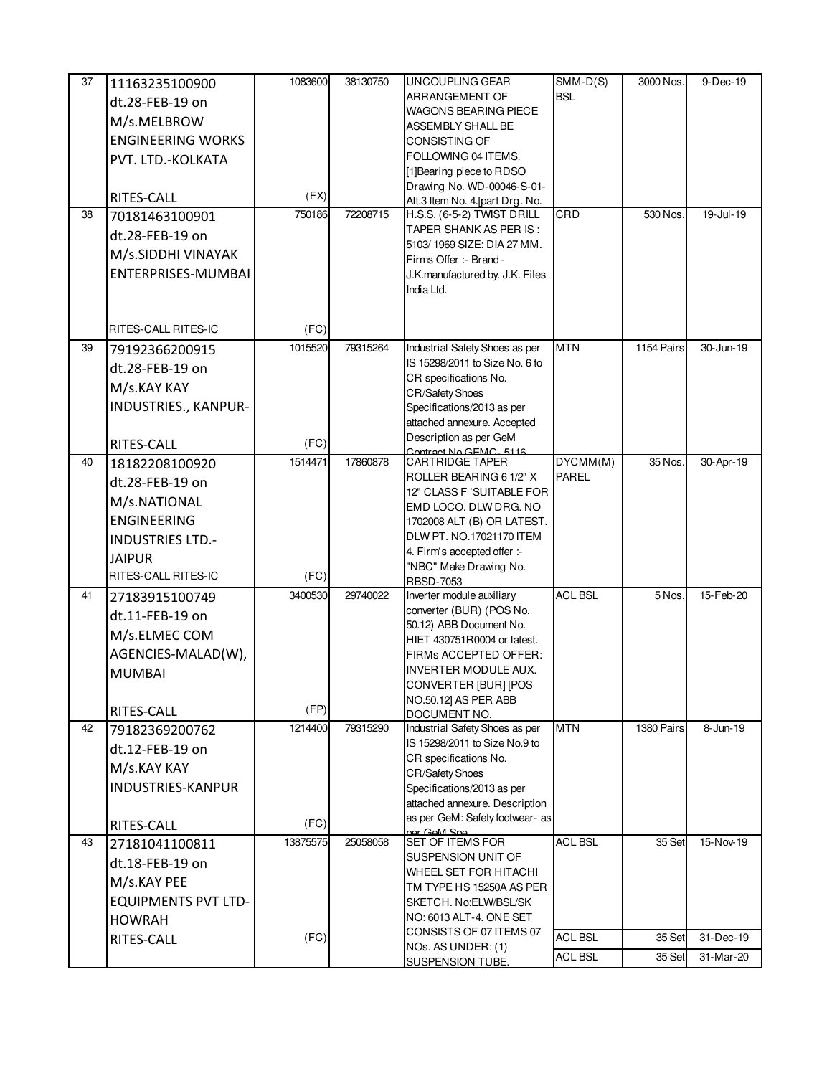| 37 | 11163235100900             | 1083600  | 38130750 | UNCOUPLING GEAR                                              | $SMM-D(S)$     | 3000 Nos.  | 9-Dec-19  |
|----|----------------------------|----------|----------|--------------------------------------------------------------|----------------|------------|-----------|
|    | dt.28-FEB-19 on            |          |          | ARRANGEMENT OF                                               | <b>BSL</b>     |            |           |
|    | M/s.MELBROW                |          |          | <b>WAGONS BEARING PIECE</b>                                  |                |            |           |
|    | <b>ENGINEERING WORKS</b>   |          |          | ASSEMBLY SHALL BE<br>CONSISTING OF                           |                |            |           |
|    |                            |          |          | FOLLOWING 04 ITEMS.                                          |                |            |           |
|    | PVT. LTD.-KOLKATA          |          |          | [1] Bearing piece to RDSO                                    |                |            |           |
|    |                            |          |          | Drawing No. WD-00046-S-01-                                   |                |            |           |
|    | RITES-CALL                 | (FX)     |          | Alt.3 Item No. 4. [part Drg. No.                             |                |            |           |
| 38 | 70181463100901             | 750186   | 72208715 | H.S.S. (6-5-2) TWIST DRILL                                   | CRD            | 530 Nos.   | 19-Jul-19 |
|    | dt.28-FEB-19 on            |          |          | TAPER SHANK AS PER IS:<br>5103/1969 SIZE: DIA 27 MM.         |                |            |           |
|    | M/s.SIDDHI VINAYAK         |          |          | Firms Offer :- Brand -                                       |                |            |           |
|    | ENTERPRISES-MUMBAI         |          |          | J.K.manufactured by. J.K. Files                              |                |            |           |
|    |                            |          |          | India Ltd.                                                   |                |            |           |
|    |                            |          |          |                                                              |                |            |           |
|    | RITES-CALL RITES-IC        | (FC)     |          |                                                              |                |            |           |
| 39 | 79192366200915             | 1015520  | 79315264 | Industrial Safety Shoes as per                               | <b>MTN</b>     | 1154 Pairs | 30-Jun-19 |
|    | dt.28-FEB-19 on            |          |          | IS 15298/2011 to Size No. 6 to<br>CR specifications No.      |                |            |           |
|    | M/s.KAY KAY                |          |          | <b>CR/Safety Shoes</b>                                       |                |            |           |
|    | INDUSTRIES., KANPUR-       |          |          | Specifications/2013 as per                                   |                |            |           |
|    |                            |          |          | attached annexure. Accepted                                  |                |            |           |
|    | RITES-CALL                 | (FC)     |          | Description as per GeM                                       |                |            |           |
| 40 | 18182208100920             | 1514471  | 17860878 | Contract No GEMC, 5116<br>CARTRIDGE TAPER                    | DYCMM(M)       | 35 Nos.    | 30-Apr-19 |
|    | dt.28-FEB-19 on            |          |          | ROLLER BEARING 6 1/2" X                                      | <b>PAREL</b>   |            |           |
|    | M/s.NATIONAL               |          |          | 12" CLASS F 'SUITABLE FOR                                    |                |            |           |
|    | <b>ENGINEERING</b>         |          |          | EMD LOCO. DLW DRG. NO                                        |                |            |           |
|    |                            |          |          | 1702008 ALT (B) OR LATEST.<br>DLW PT. NO.17021170 ITEM       |                |            |           |
|    | <b>INDUSTRIES LTD.-</b>    |          |          | 4. Firm's accepted offer :-                                  |                |            |           |
|    | <b>JAIPUR</b>              |          |          | "NBC" Make Drawing No.                                       |                |            |           |
|    | RITES-CALL RITES-IC        | (FC)     |          | RBSD-7053                                                    |                |            |           |
| 41 | 27183915100749             | 3400530  | 29740022 | Inverter module auxiliary                                    | <b>ACL BSL</b> | 5 Nos.     | 15-Feb-20 |
|    | dt.11-FEB-19 on            |          |          | converter (BUR) (POS No.<br>50.12) ABB Document No.          |                |            |           |
|    | M/s.ELMEC COM              |          |          | HIET 430751R0004 or latest.                                  |                |            |           |
|    | AGENCIES-MALAD(W),         |          |          | FIRMs ACCEPTED OFFER:                                        |                |            |           |
|    | <b>MUMBAI</b>              |          |          | <b>INVERTER MODULE AUX.</b>                                  |                |            |           |
|    |                            |          |          | CONVERTER [BUR] [POS                                         |                |            |           |
|    | RITES-CALL                 | (FP)     |          | NO.50.12] AS PER ABB<br>DOCUMENT NO.                         |                |            |           |
| 42 | 79182369200762             | 1214400  | 79315290 | Industrial Safety Shoes as per                               | <b>MTN</b>     | 1380 Pairs | 8-Jun-19  |
|    | dt.12-FEB-19 on            |          |          | IS 15298/2011 to Size No.9 to                                |                |            |           |
|    | M/s.KAY KAY                |          |          | CR specifications No.                                        |                |            |           |
|    | <b>INDUSTRIES-KANPUR</b>   |          |          | <b>CR/Safety Shoes</b>                                       |                |            |           |
|    |                            |          |          | Specifications/2013 as per<br>attached annexure. Description |                |            |           |
|    |                            |          |          | as per GeM: Safety footwear- as                              |                |            |           |
|    | RITES-CALL                 | (FC)     |          | ner GeM Sne                                                  |                |            |           |
| 43 | 27181041100811             | 13875575 | 25058058 | SET OF ITEMS FOR<br>SUSPENSION UNIT OF                       | <b>ACL BSL</b> | 35 Set     | 15-Nov-19 |
|    | dt.18-FEB-19 on            |          |          | WHEEL SET FOR HITACHI                                        |                |            |           |
|    | M/s.KAY PEE                |          |          | TM TYPE HS 15250A AS PER                                     |                |            |           |
|    | <b>EQUIPMENTS PVT LTD-</b> |          |          | SKETCH. No:ELW/BSL/SK                                        |                |            |           |
|    | <b>HOWRAH</b>              |          |          | NO: 6013 ALT-4. ONE SET                                      |                |            |           |
|    | RITES-CALL                 | (FC)     |          | CONSISTS OF 07 ITEMS 07                                      | <b>ACL BSL</b> | 35 Set     | 31-Dec-19 |
|    |                            |          |          | NOs. AS UNDER: (1)<br>SUSPENSION TUBE.                       | <b>ACL BSL</b> | 35 Set     | 31-Mar-20 |
|    |                            |          |          |                                                              |                |            |           |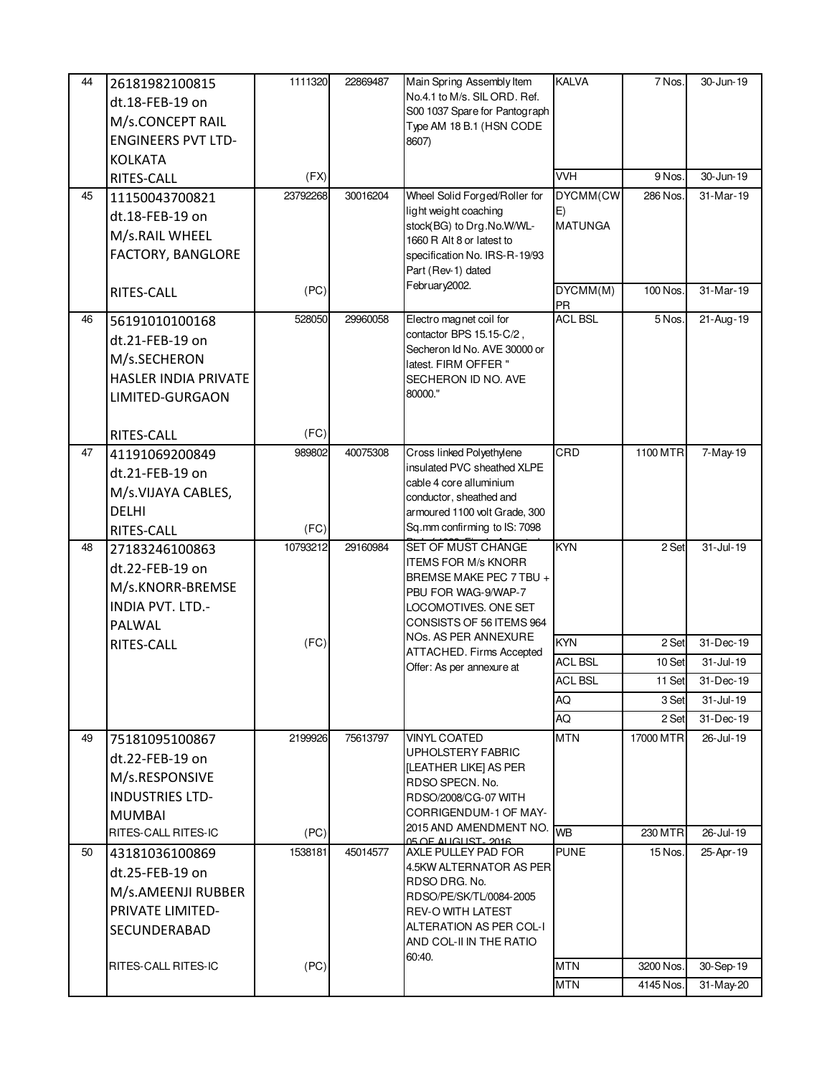| 44 | 26181982100815            | 1111320         | 22869487 | Main Spring Assembly Item                                 | <b>KALVA</b>   | 7 Nos.    | 30-Jun-19       |
|----|---------------------------|-----------------|----------|-----------------------------------------------------------|----------------|-----------|-----------------|
|    | dt.18-FEB-19 on           |                 |          | No.4.1 to M/s. SIL ORD. Ref.                              |                |           |                 |
|    | M/s.CONCEPT RAIL          |                 |          | S00 1037 Spare for Pantograph<br>Type AM 18 B.1 (HSN CODE |                |           |                 |
|    | <b>ENGINEERS PVT LTD-</b> |                 |          | 8607)                                                     |                |           |                 |
|    | <b>KOLKATA</b>            |                 |          |                                                           |                |           |                 |
|    | RITES-CALL                | (FX)            |          |                                                           | <b>VVH</b>     | 9 Nos.    | 30-Jun-19       |
| 45 | 11150043700821            | 23792268        | 30016204 | Wheel Solid Forged/Roller for                             | DYCMM(CW       | 286 Nos.  | 31-Mar-19       |
|    | dt.18-FEB-19 on           |                 |          | light weight coaching                                     | E)             |           |                 |
|    | M/s.RAIL WHEEL            |                 |          | stock(BG) to Drg.No.W/WL-<br>1660 R Alt 8 or latest to    | <b>MATUNGA</b> |           |                 |
|    | FACTORY, BANGLORE         |                 |          | specification No. IRS-R-19/93                             |                |           |                 |
|    |                           |                 |          | Part (Rev-1) dated                                        |                |           |                 |
|    | RITES-CALL                | (PC)            |          | February2002.                                             | DYCMM(M)       | 100 Nos.  | 31-Mar-19       |
|    |                           |                 |          |                                                           | <b>PR</b>      |           |                 |
| 46 | 56191010100168            | 528050          | 29960058 | Electro magnet coil for<br>contactor BPS 15.15-C/2,       | <b>ACL BSL</b> | 5 Nos.    | $21 - Aug - 19$ |
|    | dt.21-FEB-19 on           |                 |          | Secheron Id No. AVE 30000 or                              |                |           |                 |
|    | M/s.SECHERON              |                 |          | latest. FIRM OFFER "                                      |                |           |                 |
|    | HASLER INDIA PRIVATE      |                 |          | SECHERON ID NO. AVE<br>80000."                            |                |           |                 |
|    | LIMITED-GURGAON           |                 |          |                                                           |                |           |                 |
|    | RITES-CALL                | (FC)            |          |                                                           |                |           |                 |
| 47 | 41191069200849            | 989802          | 40075308 | Cross linked Polyethylene                                 | CRD            | 1100 MTR  | 7-May-19        |
|    | dt.21-FEB-19 on           |                 |          | insulated PVC sheathed XLPE                               |                |           |                 |
|    | M/s.VIJAYA CABLES,        |                 |          | cable 4 core alluminium<br>conductor, sheathed and        |                |           |                 |
|    | DELHI                     |                 |          | armoured 1100 volt Grade, 300                             |                |           |                 |
|    | RITES-CALL                | (FC)            |          | Sq.mm confirming to IS: 7098                              |                |           |                 |
| 48 | 27183246100863            | 10793212        | 29160984 | SET OF MUST CHANGE                                        | <b>KYN</b>     | 2 Set     | $31 -$ Jul-19   |
|    | dt.22-FEB-19 on           |                 |          | <b>ITEMS FOR M/s KNORR</b><br>BREMSE MAKE PEC 7 TBU +     |                |           |                 |
|    | M/s.KNORR-BREMSE          |                 |          | PBU FOR WAG-9/WAP-7                                       |                |           |                 |
|    | INDIA PVT. LTD.-          |                 |          | LOCOMOTIVES. ONE SET                                      |                |           |                 |
|    | PALWAL                    |                 |          | CONSISTS OF 56 ITEMS 964                                  |                |           |                 |
|    | RITES-CALL                | (FC)            |          | NOs. AS PER ANNEXURE<br>ATTACHED. Firms Accepted          | <b>KYN</b>     | 2 Set     | 31-Dec-19       |
|    |                           |                 |          | Offer: As per annexure at                                 | <b>ACL BSL</b> | 10 Set    | $31 -$ Jul-19   |
|    |                           |                 |          |                                                           | <b>ACL BSL</b> | 11 Set    | 31-Dec-19       |
|    |                           |                 |          |                                                           | AQ             | 3 Set     | 31-Jul-19       |
|    |                           |                 |          |                                                           | AQ             | 2 Set     | 31-Dec-19       |
| 49 | 75181095100867            | 2199926         | 75613797 | <b>VINYL COATED</b><br><b>UPHOLSTERY FABRIC</b>           | <b>MTN</b>     | 17000 MTR | 26-Jul-19       |
|    | dt.22-FEB-19 on           |                 |          | <b>ILEATHER LIKEI AS PER</b>                              |                |           |                 |
|    | M/s.RESPONSIVE            |                 |          | RDSO SPECN. No.                                           |                |           |                 |
|    | <b>INDUSTRIES LTD-</b>    |                 |          | RDSO/2008/CG-07 WITH<br>CORRIGENDUM-1 OF MAY-             |                |           |                 |
|    | <b>MUMBAI</b>             |                 |          | 2015 AND AMENDMENT NO.                                    | <b>WB</b>      |           |                 |
|    | RITES-CALL RITES-IC       | (PC)<br>1538181 |          | 05 OF ALIGUIST, 2016                                      | <b>PUNE</b>    | 230 MTR   | 26-Jul-19       |
| 50 | 43181036100869            |                 | 45014577 | AXLE PULLEY PAD FOR<br>4.5KW ALTERNATOR AS PER            |                | 15 Nos.   | 25-Apr-19       |
|    | dt.25-FEB-19 on           |                 |          | RDSO DRG. No.                                             |                |           |                 |
|    | M/s.AMEENJI RUBBER        |                 |          | RDSO/PE/SK/TL/0084-2005                                   |                |           |                 |
|    | PRIVATE LIMITED-          |                 |          | <b>REV-O WITH LATEST</b><br>ALTERATION AS PER COL-I       |                |           |                 |
|    | SECUNDERABAD              |                 |          | AND COL-II IN THE RATIO                                   |                |           |                 |
|    | RITES-CALL RITES-IC       | (PC)            |          | 60:40.                                                    | <b>MTN</b>     | 3200 Nos. | 30-Sep-19       |
|    |                           |                 |          |                                                           |                |           |                 |
|    |                           |                 |          |                                                           | <b>MTN</b>     | 4145 Nos. | 31-May-20       |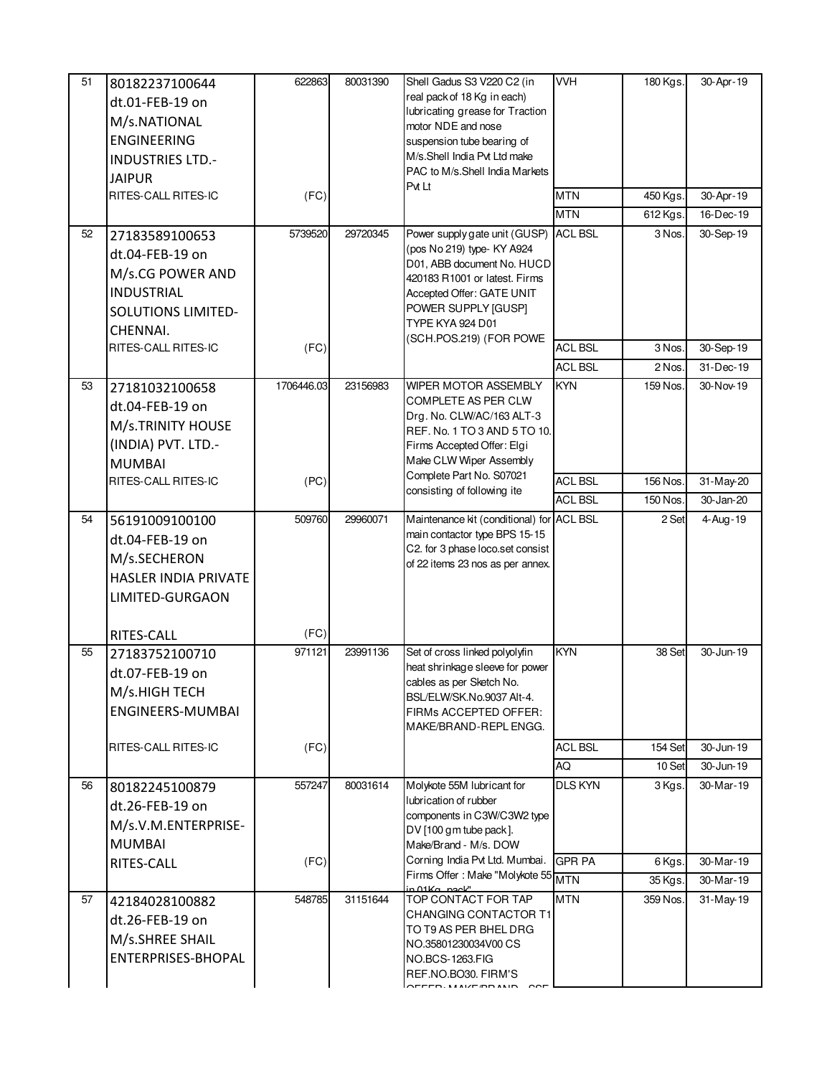| 51<br>52 | 80182237100644<br>dt.01-FEB-19 on<br>M/s.NATIONAL<br><b>ENGINEERING</b><br><b>INDUSTRIES LTD.-</b><br><b>JAIPUR</b><br>RITES-CALL RITES-IC<br>27183589100653<br>dt.04-FEB-19 on<br>M/s.CG POWER AND<br><b>INDUSTRIAL</b> | 622863<br>(FC)<br>5739520 | 80031390<br>29720345 | Shell Gadus S3 V220 C2 (in<br>real pack of 18 Kg in each)<br>lubricating grease for Traction<br>motor NDE and nose<br>suspension tube bearing of<br>M/s.Shell India Pvt Ltd make<br>PAC to M/s.Shell India Markets<br>Pvt Lt<br>Power supply gate unit (GUSP) ACL BSL<br>(pos No 219) type- KY A924<br>D01, ABB document No. HUCD<br>420183 R1001 or latest. Firms<br>Accepted Offer: GATE UNIT | <b>VVH</b><br><b>MTN</b><br><b>MTN</b> | 180 Kgs.<br>450 Kgs.<br>612 Kgs.<br>3 Nos. | 30-Apr-19<br>30-Apr-19<br>16-Dec-19<br>30-Sep-19 |
|----------|--------------------------------------------------------------------------------------------------------------------------------------------------------------------------------------------------------------------------|---------------------------|----------------------|-------------------------------------------------------------------------------------------------------------------------------------------------------------------------------------------------------------------------------------------------------------------------------------------------------------------------------------------------------------------------------------------------|----------------------------------------|--------------------------------------------|--------------------------------------------------|
|          | <b>SOLUTIONS LIMITED-</b>                                                                                                                                                                                                |                           |                      | POWER SUPPLY [GUSP]<br>TYPE KYA 924 D01                                                                                                                                                                                                                                                                                                                                                         |                                        |                                            |                                                  |
|          | CHENNAI.<br>RITES-CALL RITES-IC                                                                                                                                                                                          | (FC)                      |                      | (SCH.POS.219) (FOR POWE                                                                                                                                                                                                                                                                                                                                                                         | <b>ACL BSL</b>                         | 3 Nos.                                     | 30-Sep-19                                        |
|          |                                                                                                                                                                                                                          |                           |                      |                                                                                                                                                                                                                                                                                                                                                                                                 | <b>ACL BSL</b>                         | 2 Nos.                                     | 31-Dec-19                                        |
| 53       | 27181032100658<br>dt.04-FEB-19 on<br>M/s.TRINITY HOUSE<br>(INDIA) PVT. LTD.-<br><b>MUMBAI</b>                                                                                                                            | 1706446.03                | 23156983             | WIPER MOTOR ASSEMBLY<br><b>COMPLETE AS PER CLW</b><br>Drg. No. CLW/AC/163 ALT-3<br>REF. No. 1 TO 3 AND 5 TO 10.<br>Firms Accepted Offer: Elgi<br>Make CLW Wiper Assembly                                                                                                                                                                                                                        | <b>KYN</b>                             | 159 Nos.                                   | 30-Nov-19                                        |
|          | RITES-CALL RITES-IC                                                                                                                                                                                                      | (PC)                      |                      | Complete Part No. S07021<br>consisting of following ite                                                                                                                                                                                                                                                                                                                                         | <b>ACL BSL</b>                         | 156 Nos.                                   | 31-May-20                                        |
|          |                                                                                                                                                                                                                          |                           |                      |                                                                                                                                                                                                                                                                                                                                                                                                 | <b>ACL BSL</b>                         | 150 Nos.                                   | 30-Jan-20                                        |
| 54       | 56191009100100<br>dt.04-FEB-19 on<br>M/s.SECHERON<br>HASLER INDIA PRIVATE<br>LIMITED-GURGAON                                                                                                                             | 509760                    | 29960071             | Maintenance kit (conditional) for ACL BSL<br>main contactor type BPS 15-15<br>C2. for 3 phase loco.set consist<br>of 22 items 23 nos as per annex.                                                                                                                                                                                                                                              |                                        | 2 Set                                      | 4-Aug-19                                         |
|          | RITES-CALL                                                                                                                                                                                                               | (FC)                      |                      |                                                                                                                                                                                                                                                                                                                                                                                                 |                                        |                                            |                                                  |
| 55       | 27183752100710<br>dt.07-FEB-19 on<br>M/s.HIGH TECH<br>ENGINEERS-MUMBAI                                                                                                                                                   | 971121                    | 23991136             | Set of cross linked polyolyfin<br>heat shrinkage sleeve for power<br>cables as per Sketch No.<br>BSL/ELW/SK.No.9037 Alt-4.<br>FIRMs ACCEPTED OFFER:<br>MAKE/BRAND-REPL ENGG.                                                                                                                                                                                                                    | <b>KYN</b>                             | 38 Set                                     | 30-Jun-19                                        |
|          | RITES-CALL RITES-IC                                                                                                                                                                                                      | (FC)                      |                      |                                                                                                                                                                                                                                                                                                                                                                                                 | <b>ACL BSL</b>                         | 154 Set                                    | 30-Jun-19                                        |
|          |                                                                                                                                                                                                                          |                           |                      |                                                                                                                                                                                                                                                                                                                                                                                                 | AQ                                     | 10 Set                                     | 30-Jun-19                                        |
| 56       | 80182245100879<br>dt.26-FEB-19 on<br>M/s.V.M.ENTERPRISE-<br><b>MUMBAI</b>                                                                                                                                                | 557247                    | 80031614             | Molykote 55M lubricant for<br>lubrication of rubber<br>components in C3W/C3W2 type<br>DV [100 gm tube pack].<br>Make/Brand - M/s. DOW                                                                                                                                                                                                                                                           | <b>DLS KYN</b>                         | 3 Kgs.                                     | 30-Mar-19                                        |
|          | RITES-CALL                                                                                                                                                                                                               | (FC)                      |                      | Corning India Pvt Ltd. Mumbai.<br>Firms Offer: Make "Molykote 55 MTN                                                                                                                                                                                                                                                                                                                            | <b>GPR PA</b>                          | 6 Kgs.                                     | 30-Mar-19                                        |
| 57       | 42184028100882<br>dt.26-FEB-19 on<br>M/s.SHREE SHAIL<br>ENTERPRISES-BHOPAL                                                                                                                                               | 548785                    | 31151644             | in 01Ka nook"<br>TOP CONTACT FOR TAP<br>CHANGING CONTACTOR T1<br>TO T9 AS PER BHEL DRG<br>NO.35801230034V00 CS<br>NO.BCS-1263.FIG<br>REF.NO.BO30. FIRM'S<br>$\Lambda$                                                                                                                                                                                                                           | <b>MTN</b>                             | 35 Kgs.<br>359 Nos.                        | 30-Mar-19<br>$\overline{31}$ -May-19             |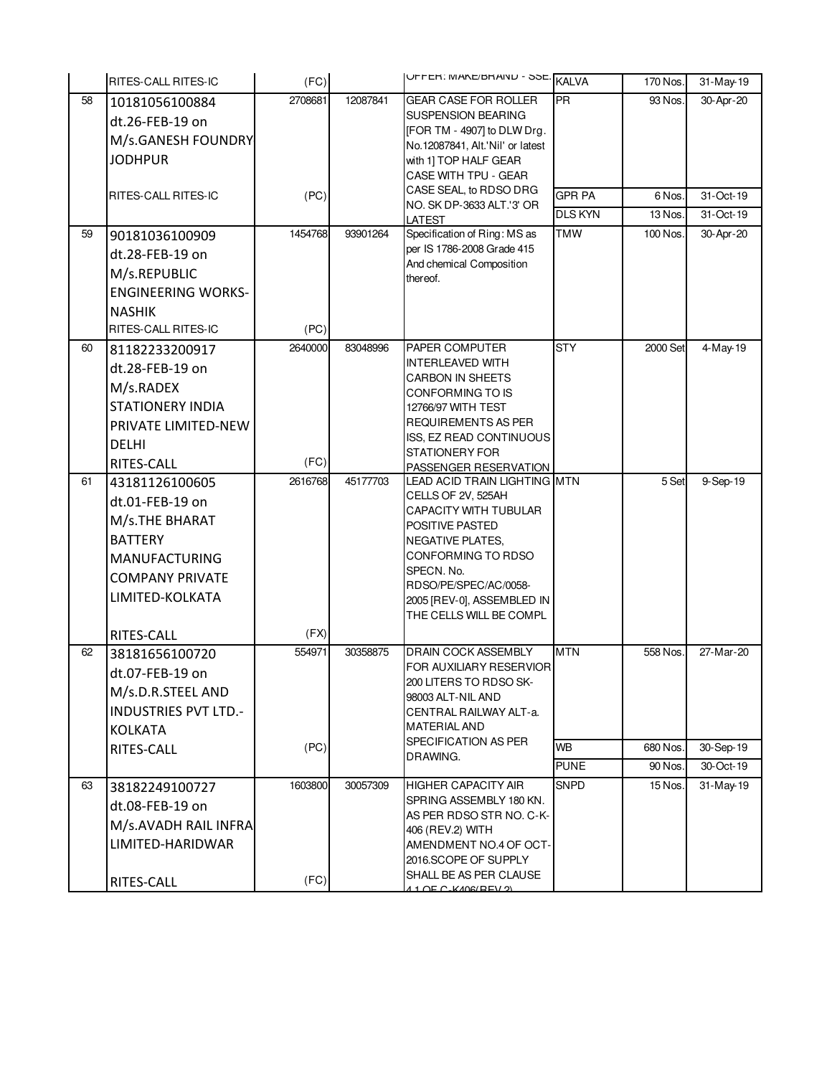|    | RITES-CALL RITES-IC                  | (FC)    |          | UFFER: MAKE/BRANU - SSE. KALVA                                  |                | 170 Nos. | 31-May-19 |
|----|--------------------------------------|---------|----------|-----------------------------------------------------------------|----------------|----------|-----------|
| 58 | 10181056100884                       | 2708681 | 12087841 | <b>GEAR CASE FOR ROLLER</b>                                     | <b>PR</b>      | 93 Nos.  | 30-Apr-20 |
|    | dt.26-FEB-19 on                      |         |          | <b>SUSPENSION BEARING</b>                                       |                |          |           |
|    | M/s.GANESH FOUNDRY                   |         |          | [FOR TM - 4907] to DLW Drg.<br>No.12087841, Alt.'Nil' or latest |                |          |           |
|    | <b>JODHPUR</b>                       |         |          | with 1] TOP HALF GEAR                                           |                |          |           |
|    |                                      |         |          | CASE WITH TPU - GEAR                                            |                |          |           |
|    | RITES-CALL RITES-IC                  | (PC)    |          | CASE SEAL, to RDSO DRG                                          | <b>GPR PA</b>  | 6 Nos.   | 31-Oct-19 |
|    |                                      |         |          | NO. SK DP-3633 ALT.'3' OR                                       | <b>DLS KYN</b> | 13 Nos.  | 31-Oct-19 |
| 59 | 90181036100909                       | 1454768 | 93901264 | LATEST<br>Specification of Ring: MS as                          | <b>TMW</b>     | 100 Nos. | 30-Apr-20 |
|    | dt.28-FEB-19 on                      |         |          | per IS 1786-2008 Grade 415                                      |                |          |           |
|    | M/s.REPUBLIC                         |         |          | And chemical Composition                                        |                |          |           |
|    | <b>ENGINEERING WORKS-</b>            |         |          | thereof.                                                        |                |          |           |
|    |                                      |         |          |                                                                 |                |          |           |
|    | <b>NASHIK</b><br>RITES-CALL RITES-IC | (PC)    |          |                                                                 |                |          |           |
| 60 |                                      | 2640000 | 83048996 | PAPER COMPUTER                                                  | <b>STY</b>     | 2000 Set | 4-May-19  |
|    | 81182233200917                       |         |          | <b>INTERLEAVED WITH</b>                                         |                |          |           |
|    | dt.28-FEB-19 on                      |         |          | CARBON IN SHEETS                                                |                |          |           |
|    | M/s.RADEX                            |         |          | CONFORMING TO IS                                                |                |          |           |
|    | <b>STATIONERY INDIA</b>              |         |          | 12766/97 WITH TEST                                              |                |          |           |
|    | PRIVATE LIMITED-NEW                  |         |          | <b>REQUIREMENTS AS PER</b><br>ISS, EZ READ CONTINUOUS           |                |          |           |
|    | <b>DELHI</b>                         |         |          | <b>STATIONERY FOR</b>                                           |                |          |           |
|    | RITES-CALL                           | (FC)    |          | PASSENGER RESERVATION                                           |                |          |           |
| 61 | 43181126100605                       | 2616768 | 45177703 | LEAD ACID TRAIN LIGHTING MTN                                    |                | 5 Set    | 9-Sep-19  |
|    | dt.01-FEB-19 on                      |         |          | CELLS OF 2V, 525AH<br>CAPACITY WITH TUBULAR                     |                |          |           |
|    | M/s.THE BHARAT                       |         |          | POSITIVE PASTED                                                 |                |          |           |
|    | <b>BATTERY</b>                       |         |          | <b>NEGATIVE PLATES,</b>                                         |                |          |           |
|    | <b>MANUFACTURING</b>                 |         |          | CONFORMING TO RDSO                                              |                |          |           |
|    | <b>COMPANY PRIVATE</b>               |         |          | SPECN. No.<br>RDSO/PE/SPEC/AC/0058-                             |                |          |           |
|    | LIMITED-KOLKATA                      |         |          | 2005 [REV-0], ASSEMBLED IN                                      |                |          |           |
|    |                                      |         |          | THE CELLS WILL BE COMPL                                         |                |          |           |
|    | RITES-CALL                           | (FX)    |          |                                                                 |                |          |           |
| 62 | 38181656100720                       | 554971  | 30358875 | DRAIN COCK ASSEMBLY                                             | <b>MTN</b>     | 558 Nos. | 27-Mar-20 |
|    | dt.07-FEB-19 on                      |         |          | FOR AUXILIARY RESERVIOR                                         |                |          |           |
|    | M/s.D.R.STEEL AND                    |         |          | 200 LITERS TO RDSO SK-<br>98003 ALT-NIL AND                     |                |          |           |
|    | <b>INDUSTRIES PVT LTD.-</b>          |         |          | CENTRAL RAILWAY ALT-a.                                          |                |          |           |
|    | KOLKATA                              |         |          | <b>MATERIAL AND</b>                                             |                |          |           |
|    | RITES-CALL                           | (PC)    |          | SPECIFICATION AS PER                                            | <b>WB</b>      | 680 Nos. | 30-Sep-19 |
|    |                                      |         |          | DRAWING.                                                        | <b>PUNE</b>    | 90 Nos.  | 30-Oct-19 |
| 63 | 38182249100727                       | 1603800 | 30057309 | <b>HIGHER CAPACITY AIR</b>                                      | <b>SNPD</b>    | 15 Nos.  | 31-May-19 |
|    | dt.08-FEB-19 on                      |         |          | SPRING ASSEMBLY 180 KN.                                         |                |          |           |
|    | M/s.AVADH RAIL INFRA                 |         |          | AS PER RDSO STR NO. C-K-                                        |                |          |           |
|    | LIMITED-HARIDWAR                     |         |          | 406 (REV.2) WITH<br>AMENDMENT NO.4 OF OCT-                      |                |          |           |
|    |                                      |         |          | 2016.SCOPE OF SUPPLY                                            |                |          |           |
|    | RITES-CALL                           | (FC)    |          | SHALL BE AS PER CLAUSE                                          |                |          |           |
|    |                                      |         |          | 4 1 OF C-KAOG(REV. 2)                                           |                |          |           |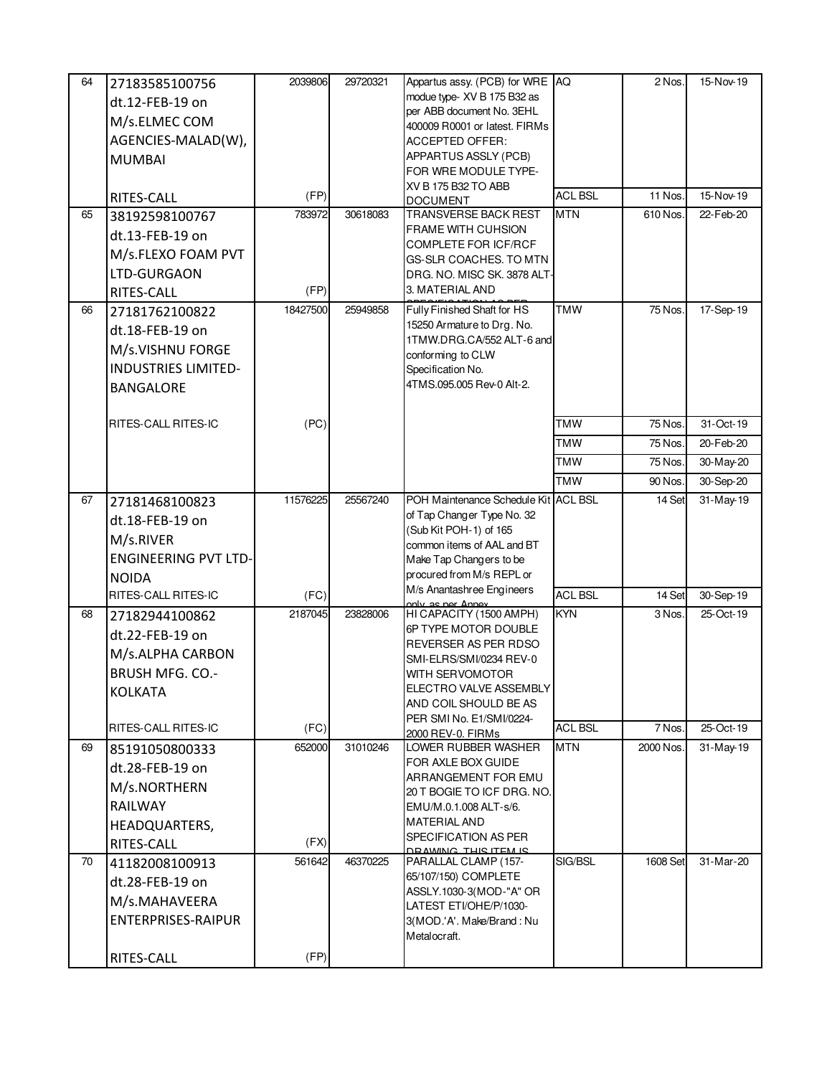| 64 | 27183585100756              | 2039806  | 29720321 | Appartus assy. (PCB) for WRE AQ                            |                | 2 Nos.    | 15-Nov-19              |
|----|-----------------------------|----------|----------|------------------------------------------------------------|----------------|-----------|------------------------|
|    | dt.12-FEB-19 on             |          |          | modue type- XV B 175 B32 as                                |                |           |                        |
|    | M/s.ELMEC COM               |          |          | per ABB document No. 3EHL<br>400009 R0001 or latest. FIRMs |                |           |                        |
|    | AGENCIES-MALAD(W),          |          |          | ACCEPTED OFFER:                                            |                |           |                        |
|    | <b>MUMBAI</b>               |          |          | APPARTUS ASSLY (PCB)                                       |                |           |                        |
|    |                             |          |          | FOR WRE MODULE TYPE-                                       |                |           |                        |
|    | RITES-CALL                  | (FP)     |          | XV B 175 B32 TO ABB                                        | <b>ACL BSL</b> | 11 Nos.   | 15-Nov-19              |
| 65 | 38192598100767              | 783972   | 30618083 | <b>DOCUMENT</b><br>TRANSVERSE BACK REST                    | <b>MTN</b>     | 610 Nos.  | 22-Feb-20              |
|    | dt.13-FEB-19 on             |          |          | FRAME WITH CUHSION                                         |                |           |                        |
|    | M/s.FLEXO FOAM PVT          |          |          | COMPLETE FOR ICF/RCF                                       |                |           |                        |
|    | LTD-GURGAON                 |          |          | GS-SLR COACHES. TO MTN                                     |                |           |                        |
|    |                             | (FP)     |          | DRG. NO. MISC SK. 3878 ALT-<br>3. MATERIAL AND             |                |           |                        |
| 66 | RITES-CALL                  | 18427500 | 25949858 | Fully Finished Shaft for HS                                | <b>TMW</b>     | 75 Nos.   | 17-Sep-19              |
|    | 27181762100822              |          |          | 15250 Armature to Drg. No.                                 |                |           |                        |
|    | dt.18-FEB-19 on             |          |          | 1TMW.DRG.CA/552 ALT-6 and                                  |                |           |                        |
|    | M/s.VISHNU FORGE            |          |          | conforming to CLW                                          |                |           |                        |
|    | <b>INDUSTRIES LIMITED-</b>  |          |          | Specification No.                                          |                |           |                        |
|    | <b>BANGALORE</b>            |          |          | 4TMS.095.005 Rev-0 Alt-2.                                  |                |           |                        |
|    | RITES-CALL RITES-IC         | (PC)     |          |                                                            | <b>TMW</b>     | 75 Nos.   | 31-Oct-19              |
|    |                             |          |          |                                                            | <b>TMW</b>     | 75 Nos.   | 20-Feb-20              |
|    |                             |          |          |                                                            | <b>TMW</b>     | 75 Nos.   | 30-May-20              |
|    |                             |          |          |                                                            | <b>TMW</b>     | 90 Nos.   |                        |
| 67 |                             | 11576225 | 25567240 | POH Maintenance Schedule Kit ACL BSL                       |                | 14 Set    | 30-Sep-20<br>31-May-19 |
|    | 27181468100823              |          |          | of Tap Changer Type No. 32                                 |                |           |                        |
|    | dt.18-FEB-19 on             |          |          | (Sub Kit POH-1) of 165                                     |                |           |                        |
|    | M/s.RIVER                   |          |          | common items of AAL and BT                                 |                |           |                        |
|    | <b>ENGINEERING PVT LTD-</b> |          |          | Make Tap Changers to be                                    |                |           |                        |
|    | <b>NOIDA</b>                |          |          | procured from M/s REPL or<br>M/s Anantashree Engineers     |                |           |                        |
|    | RITES-CALL RITES-IC         | (FC)     |          | valy as nor Annoy                                          | <b>ACL BSL</b> | 14 Set    | 30-Sep-19              |
| 68 | 27182944100862              | 2187045  | 23828006 | HI CAPACITY (1500 AMPH)                                    | <b>KYN</b>     | 3 Nos.    | 25-Oct-19              |
|    | dt.22-FEB-19 on             |          |          | 6P TYPE MOTOR DOUBLE<br>REVERSER AS PER RDSO               |                |           |                        |
|    | M/s.ALPHA CARBON            |          |          | SMI-ELRS/SMI/0234 REV-0                                    |                |           |                        |
|    | <b>BRUSH MFG. CO.-</b>      |          |          | <b>WITH SERVOMOTOR</b>                                     |                |           |                        |
|    | <b>KOLKATA</b>              |          |          | ELECTRO VALVE ASSEMBLY                                     |                |           |                        |
|    |                             |          |          | AND COIL SHOULD BE AS<br>PER SMI No. E1/SMI/0224-          |                |           |                        |
|    | RITES-CALL RITES-IC         | (FC)     |          | 2000 REV-0. FIRMs                                          | <b>ACL BSL</b> | 7 Nos.    | 25-Oct-19              |
| 69 | 85191050800333              | 652000   | 31010246 | LOWER RUBBER WASHER                                        | MTN            | 2000 Nos. | 31-May-19              |
|    | dt.28-FEB-19 on             |          |          | FOR AXLE BOX GUIDE<br>ARRANGEMENT FOR EMU                  |                |           |                        |
|    | M/s.NORTHERN                |          |          | 20 T BOGIE TO ICF DRG. NO.                                 |                |           |                        |
|    | RAILWAY                     |          |          | EMU/M.0.1.008 ALT-s/6.                                     |                |           |                        |
|    | HEADQUARTERS,               |          |          | <b>MATERIAL AND</b>                                        |                |           |                        |
|    | RITES-CALL                  | (FX)     |          | SPECIFICATION AS PER<br>DRAMING THIS ITEM IS               |                |           |                        |
| 70 | 41182008100913              | 561642   | 46370225 | PARALLAL CLAMP (157-                                       | SIG/BSL        | 1608 Set  | 31-Mar-20              |
|    | dt.28-FEB-19 on             |          |          | 65/107/150) COMPLETE                                       |                |           |                        |
|    | M/s.MAHAVEERA               |          |          | ASSLY.1030-3(MOD-"A" OR<br>LATEST ETI/OHE/P/1030-          |                |           |                        |
|    | <b>ENTERPRISES-RAIPUR</b>   |          |          | 3(MOD.'A'. Make/Brand: Nu                                  |                |           |                        |
|    |                             |          |          | Metalocraft.                                               |                |           |                        |
|    | RITES-CALL                  | (FP)     |          |                                                            |                |           |                        |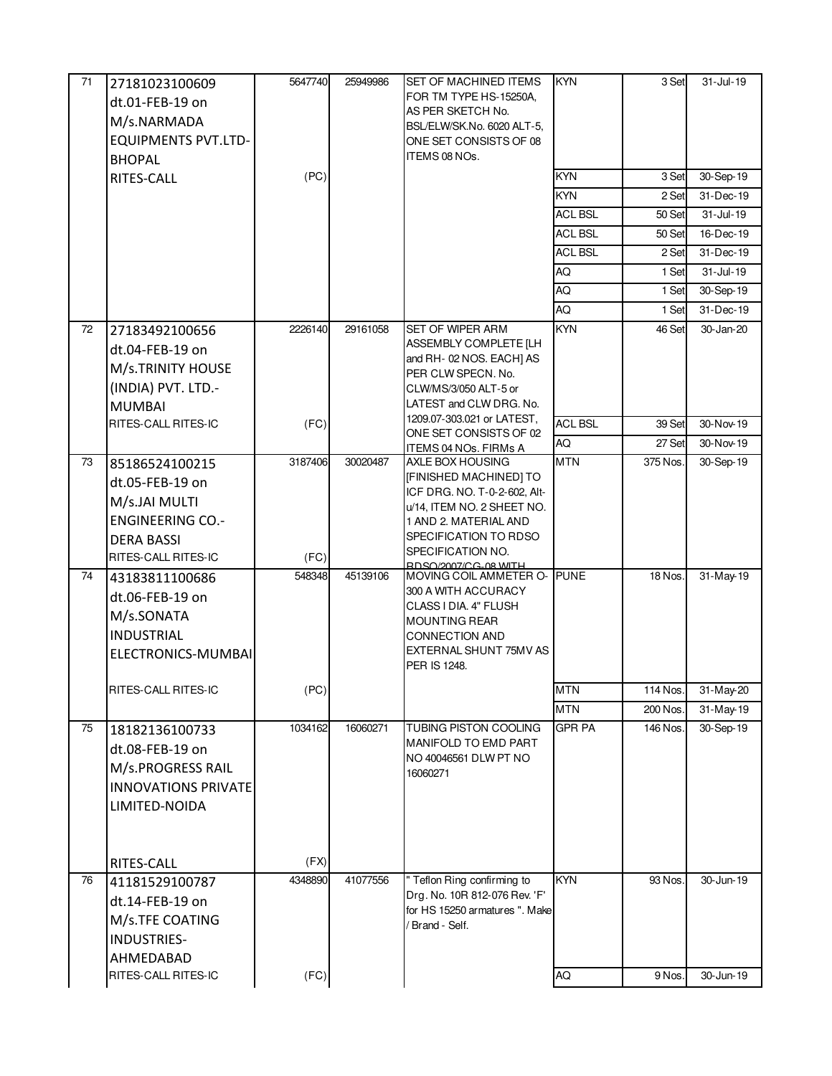| 71 | 27181023100609             | 5647740 | 25949986 | SET OF MACHINED ITEMS                                        | <b>KYN</b>     | 3 Set    | 31-Jul-19     |
|----|----------------------------|---------|----------|--------------------------------------------------------------|----------------|----------|---------------|
|    | dt.01-FEB-19 on            |         |          | FOR TM TYPE HS-15250A,                                       |                |          |               |
|    | M/s.NARMADA                |         |          | AS PER SKETCH No.<br>BSL/ELW/SK.No. 6020 ALT-5,              |                |          |               |
|    | <b>EQUIPMENTS PVT.LTD-</b> |         |          | ONE SET CONSISTS OF 08                                       |                |          |               |
|    | <b>BHOPAL</b>              |         |          | ITEMS 08 NOs.                                                |                |          |               |
|    | RITES-CALL                 | (PC)    |          |                                                              | <b>KYN</b>     | 3 Set    | 30-Sep-19     |
|    |                            |         |          |                                                              | <b>KYN</b>     | 2 Set    | 31-Dec-19     |
|    |                            |         |          |                                                              | <b>ACL BSL</b> | 50 Set   | 31-Jul-19     |
|    |                            |         |          |                                                              | ACL BSL        | 50 Set   | 16-Dec-19     |
|    |                            |         |          |                                                              | <b>ACL BSL</b> | 2 Set    | 31-Dec-19     |
|    |                            |         |          |                                                              | AQ             | 1 Set    | $31 -$ Jul-19 |
|    |                            |         |          |                                                              | AQ             | 1 Set    | 30-Sep-19     |
|    |                            |         |          |                                                              | AQ             | 1 Set    | 31-Dec-19     |
| 72 | 27183492100656             | 2226140 | 29161058 | SET OF WIPER ARM                                             | <b>KYN</b>     | 46 Set   | 30-Jan-20     |
|    | dt.04-FEB-19 on            |         |          | ASSEMBLY COMPLETE [LH                                        |                |          |               |
|    | M/s.TRINITY HOUSE          |         |          | and RH-02 NOS. EACH] AS<br>PER CLW SPECN. No.                |                |          |               |
|    | (INDIA) PVT. LTD.-         |         |          | CLW/MS/3/050 ALT-5 or                                        |                |          |               |
|    | <b>MUMBAI</b>              |         |          | LATEST and CLW DRG. No.                                      |                |          |               |
|    | RITES-CALL RITES-IC        | (FC)    |          | 1209.07-303.021 or LATEST,                                   | <b>ACL BSL</b> | 39 Set   | 30-Nov-19     |
|    |                            |         |          | ONE SET CONSISTS OF 02<br>ITEMS 04 NOs. FIRMs A              | AQ             | 27 Set   | 30-Nov-19     |
| 73 | 85186524100215             | 3187406 | 30020487 | AXLE BOX HOUSING                                             | <b>MTN</b>     | 375 Nos. | 30-Sep-19     |
|    | dt.05-FEB-19 on            |         |          | [FINISHED MACHINED] TO                                       |                |          |               |
|    | M/s.JAI MULTI              |         |          | ICF DRG. NO. T-0-2-602, Alt-                                 |                |          |               |
|    | <b>ENGINEERING CO.-</b>    |         |          | u/14, ITEM NO. 2 SHEET NO.<br>1 AND 2. MATERIAL AND          |                |          |               |
|    | <b>DERA BASSI</b>          |         |          | SPECIFICATION TO RDSO                                        |                |          |               |
|    | RITES-CALL RITES-IC        | (FC)    |          | SPECIFICATION NO.                                            |                |          |               |
| 74 | 43183811100686             | 548348  | 45139106 | RDSQ/2007/CG_08 WITH<br>MOVING COIL AMMETER O-               | <b>PUNE</b>    | 18 Nos.  | 31-May-19     |
|    | dt.06-FEB-19 on            |         |          | 300 A WITH ACCURACY                                          |                |          |               |
|    | M/s.SONATA                 |         |          | CLASS I DIA. 4" FLUSH                                        |                |          |               |
|    | <b>INDUSTRIAL</b>          |         |          | <b>MOUNTING REAR</b>                                         |                |          |               |
|    |                            |         |          | <b>CONNECTION AND</b><br>EXTERNAL SHUNT 75MV AS              |                |          |               |
|    | ELECTRONICS-MUMBAI         |         |          | PER IS 1248.                                                 |                |          |               |
|    | RITES-CALL RITES-IC        | (PC)    |          |                                                              | <b>MTN</b>     | 114 Nos. | 31-May-20     |
|    |                            |         |          |                                                              | <b>MTN</b>     | 200 Nos. | 31-May-19     |
| 75 | 18182136100733             | 1034162 | 16060271 | TUBING PISTON COOLING                                        | <b>GPR PA</b>  | 146 Nos. | $30 - Sep-19$ |
|    |                            |         |          | MANIFOLD TO EMD PART                                         |                |          |               |
|    | dt.08-FEB-19 on            |         |          | NO 40046561 DLW PT NO                                        |                |          |               |
|    | M/s.PROGRESS RAIL          |         |          | 16060271                                                     |                |          |               |
|    | <b>INNOVATIONS PRIVATE</b> |         |          |                                                              |                |          |               |
|    | LIMITED-NOIDA              |         |          |                                                              |                |          |               |
|    |                            |         |          |                                                              |                |          |               |
|    |                            |         |          |                                                              |                |          |               |
| 76 | RITES-CALL                 | (FX)    | 41077556 |                                                              | <b>KYN</b>     | 93 Nos.  | 30-Jun-19     |
|    | 41181529100787             | 4348890 |          | " Teflon Ring confirming to<br>Drg. No. 10R 812-076 Rev. 'F' |                |          |               |
|    | dt.14-FEB-19 on            |         |          | for HS 15250 armatures ". Make                               |                |          |               |
|    | M/s.TFE COATING            |         |          | Brand - Self.                                                |                |          |               |
|    | INDUSTRIES-                |         |          |                                                              |                |          |               |
|    | AHMEDABAD                  |         |          |                                                              |                |          |               |
|    | RITES-CALL RITES-IC        | (FC)    |          |                                                              | AQ             | 9 Nos.   | 30-Jun-19     |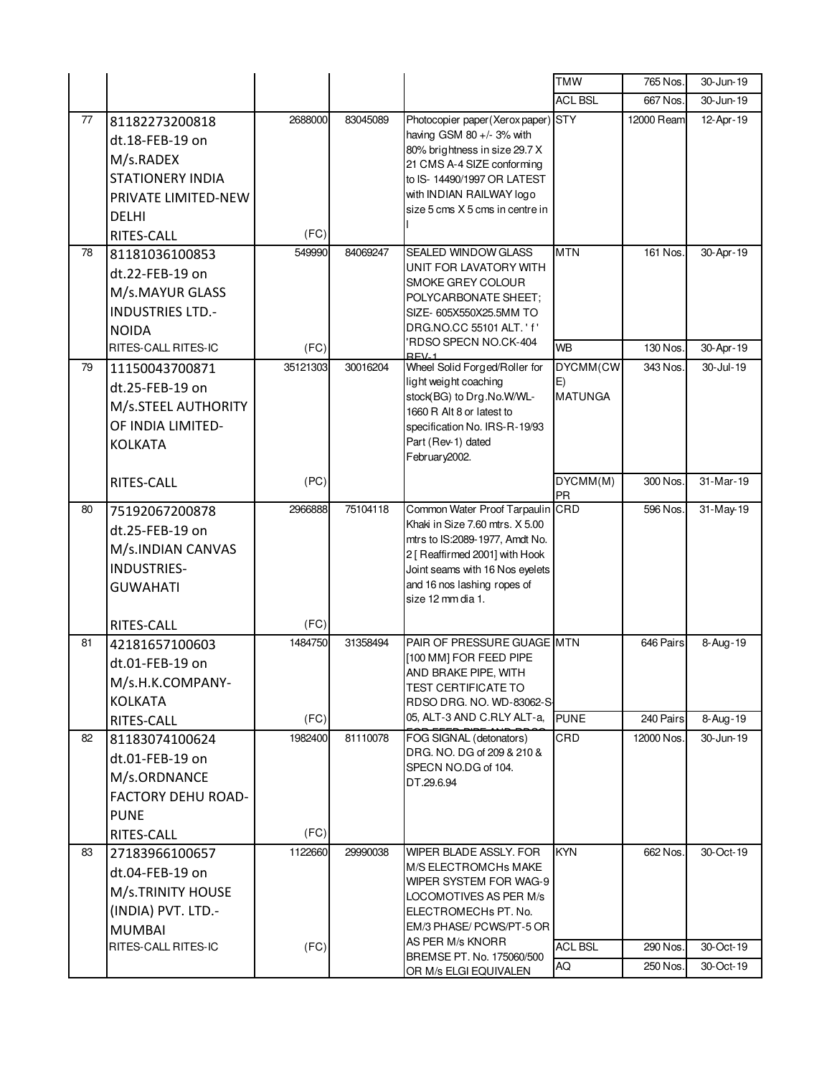|    |                                                                                                                                |                 |          |                                                                                                                                                                                                                                | <b>TMW</b>            | 765 Nos.             | 30-Jun-19              |
|----|--------------------------------------------------------------------------------------------------------------------------------|-----------------|----------|--------------------------------------------------------------------------------------------------------------------------------------------------------------------------------------------------------------------------------|-----------------------|----------------------|------------------------|
|    |                                                                                                                                |                 |          |                                                                                                                                                                                                                                | <b>ACL BSL</b>        | 667 Nos.             | 30-Jun-19              |
| 77 | 81182273200818<br>dt.18-FEB-19 on<br>M/s.RADEX<br><b>STATIONERY INDIA</b><br>PRIVATE LIMITED-NEW<br><b>DELHI</b><br>RITES-CALL | 2688000<br>(FC) | 83045089 | Photocopier paper(Xerox paper) STY<br>having GSM 80 +/- 3% with<br>80% brightness in size 29.7 X<br>21 CMS A-4 SIZE conforming<br>to IS- 14490/1997 OR LATEST<br>with INDIAN RAILWAY logo<br>size 5 cms X 5 cms in centre in   |                       | 12000 Ream           | 12-Apr-19              |
| 78 | 81181036100853                                                                                                                 | 549990          | 84069247 | SEALED WINDOW GLASS                                                                                                                                                                                                            | <b>MTN</b>            | 161 Nos.             | 30-Apr-19              |
|    | dt.22-FEB-19 on<br>M/s.MAYUR GLASS<br><b>INDUSTRIES LTD.-</b><br><b>NOIDA</b><br>RITES-CALL RITES-IC                           | (FC)            |          | UNIT FOR LAVATORY WITH<br>SMOKE GREY COLOUR<br>POLYCARBONATE SHEET;<br>SIZE- 605X550X25.5MM TO<br>DRG.NO.CC 55101 ALT. ' f'<br>RDSO SPECN NO.CK-404                                                                            | <b>WB</b>             | 130 Nos.             | 30-Apr-19              |
| 79 | 11150043700871                                                                                                                 | 35121303        | 30016204 | $PEN-1$<br>Wheel Solid Forged/Roller for                                                                                                                                                                                       | DYCMM(CW              | 343 Nos.             | 30-Jul-19              |
|    | dt.25-FEB-19 on<br>M/s.STEEL AUTHORITY<br>OF INDIA LIMITED-<br><b>KOLKATA</b>                                                  |                 |          | light weight coaching<br>stock(BG) to Drg.No.W/WL-<br>1660 R Alt 8 or latest to<br>specification No. IRS-R-19/93<br>Part (Rev-1) dated<br>February2002.                                                                        | E)<br><b>MATUNGA</b>  |                      |                        |
|    | RITES-CALL                                                                                                                     | (PC)            |          |                                                                                                                                                                                                                                | DYCMM(M)<br><b>PR</b> | 300 Nos.             | 31-Mar-19              |
| 80 | 75192067200878<br>dt.25-FEB-19 on<br>M/s.INDIAN CANVAS<br><b>INDUSTRIES-</b><br><b>GUWAHATI</b>                                | 2966888         | 75104118 | Common Water Proof Tarpaulin CRD<br>Khaki in Size 7.60 mtrs. X 5.00<br>mtrs to IS:2089-1977, Amdt No.<br>2 [ Reaffirmed 2001] with Hook<br>Joint seams with 16 Nos eyelets<br>and 16 nos lashing ropes of<br>size 12 mm dia 1. |                       | 596 Nos.             | 31-May-19              |
|    | RITES-CALL                                                                                                                     | (FC)            |          |                                                                                                                                                                                                                                |                       |                      |                        |
| 81 | 42181657100603<br>dt.01-FEB-19 on<br>M/s.H.K.COMPANY-<br>KOLKATA                                                               | 1484750         | 31358494 | PAIR OF PRESSURE GUAGE MTN<br>[100 MM] FOR FEED PIPE<br>AND BRAKE PIPE, WITH<br>TEST CERTIFICATE TO<br>RDSO DRG. NO. WD-83062-S                                                                                                |                       | 646 Pairs            | 8-Aug-19               |
|    | RITES-CALL                                                                                                                     | (FC)            |          | 05, ALT-3 AND C.RLY ALT-a,                                                                                                                                                                                                     | <b>PUNE</b>           | 240 Pairs            | 8-Aug-19               |
| 82 | 81183074100624<br>dt.01-FEB-19 on<br>M/s.ORDNANCE<br>FACTORY DEHU ROAD-<br><b>PUNE</b><br>RITES-CALL                           | 1982400<br>(FC) | 81110078 | FOG SIGNAL (detonators)<br>DRG. NO. DG of 209 & 210 &<br>SPECN NO.DG of 104.<br>DT.29.6.94                                                                                                                                     | CRD                   | 12000 Nos.           | 30-Jun-19              |
| 83 | 27183966100657<br>dt.04-FEB-19 on<br>M/s.TRINITY HOUSE<br>(INDIA) PVT. LTD.-                                                   | 1122660         | 29990038 | WIPER BLADE ASSLY. FOR<br><b>M/S ELECTROMCHs MAKE</b><br>WIPER SYSTEM FOR WAG-9<br>LOCOMOTIVES AS PER M/s<br>ELECTROMECHs PT. No.                                                                                              | <b>KYN</b>            | 662 Nos.             | 30-Oct-19              |
|    | <b>MUMBAI</b>                                                                                                                  |                 |          | EM/3 PHASE/ PCWS/PT-5 OR<br>AS PER M/s KNORR                                                                                                                                                                                   |                       |                      |                        |
|    | RITES-CALL RITES-IC                                                                                                            | (FC)            |          | BREMSE PT. No. 175060/500                                                                                                                                                                                                      | <b>ACL BSL</b><br>AQ  | 290 Nos.<br>250 Nos. | 30-Oct-19<br>30-Oct-19 |
|    |                                                                                                                                |                 |          | OR M/s ELGI EQUIVALEN                                                                                                                                                                                                          |                       |                      |                        |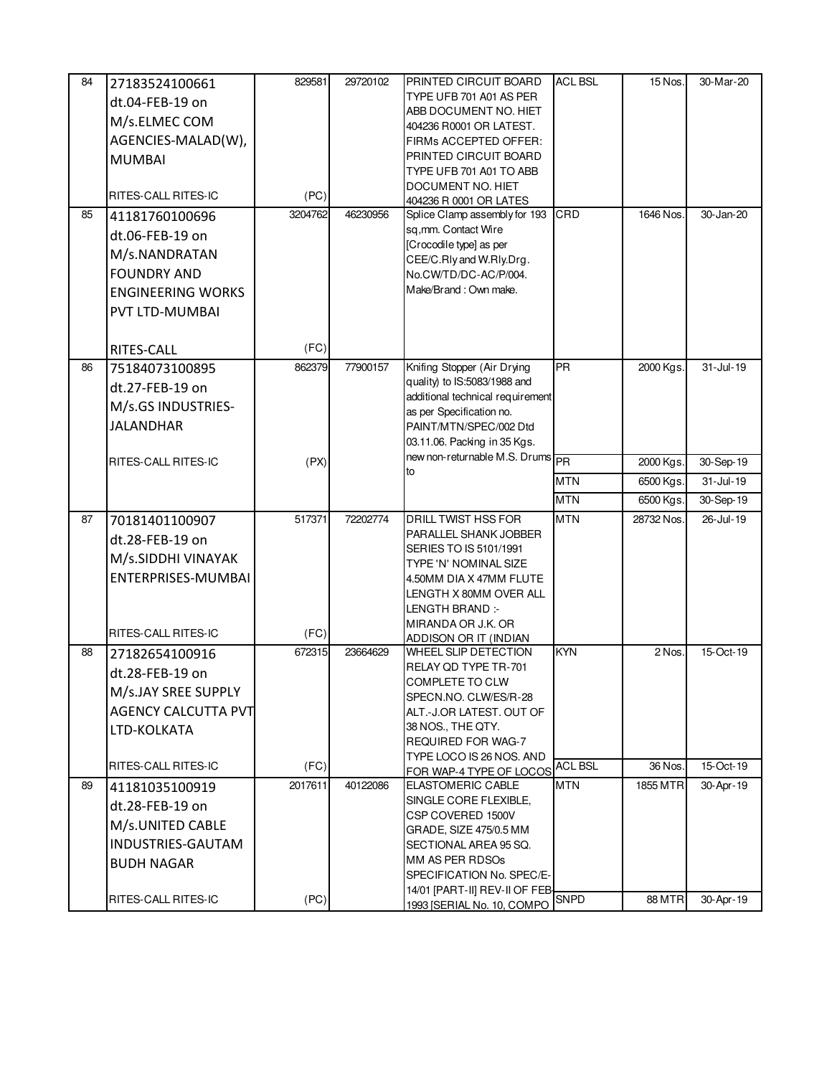| 84 | 27183524100661             | 829581  | 29720102 | <b>PRINTED CIRCUIT BOARD</b>                                 | <b>ACL BSL</b> | 15 Nos.    | 30-Mar-20     |
|----|----------------------------|---------|----------|--------------------------------------------------------------|----------------|------------|---------------|
|    | dt.04-FEB-19 on            |         |          | TYPE UFB 701 A01 AS PER                                      |                |            |               |
|    | M/s.ELMEC COM              |         |          | ABB DOCUMENT NO. HIET<br>404236 R0001 OR LATEST.             |                |            |               |
|    | AGENCIES-MALAD(W),         |         |          | FIRMs ACCEPTED OFFER:                                        |                |            |               |
|    | <b>MUMBAI</b>              |         |          | PRINTED CIRCUIT BOARD                                        |                |            |               |
|    |                            |         |          | TYPE UFB 701 A01 TO ABB                                      |                |            |               |
|    | RITES-CALL RITES-IC        | (PC)    |          | DOCUMENT NO. HIET                                            |                |            |               |
| 85 | 41181760100696             | 3204762 | 46230956 | 404236 R 0001 OR LATES<br>Splice Clamp assembly for 193      | CRD            | 1646 Nos.  | 30-Jan-20     |
|    |                            |         |          | sq,mm. Contact Wire                                          |                |            |               |
|    | dt.06-FEB-19 on            |         |          | [Crocodile type] as per                                      |                |            |               |
|    | M/s.NANDRATAN              |         |          | CEE/C.Rly and W.Rly.Drg.                                     |                |            |               |
|    | <b>FOUNDRY AND</b>         |         |          | No.CW/TD/DC-AC/P/004.                                        |                |            |               |
|    | <b>ENGINEERING WORKS</b>   |         |          | Make/Brand: Own make.                                        |                |            |               |
|    | PVT LTD-MUMBAI             |         |          |                                                              |                |            |               |
|    |                            |         |          |                                                              |                |            |               |
|    | RITES-CALL                 | (FC)    |          |                                                              |                |            |               |
| 86 | 75184073100895             | 862379  | 77900157 | Knifing Stopper (Air Drying                                  | <b>PR</b>      | 2000 Kgs.  | 31-Jul-19     |
|    | dt.27-FEB-19 on            |         |          | quality) to IS:5083/1988 and                                 |                |            |               |
|    | M/s.GS INDUSTRIES-         |         |          | additional technical requirement<br>as per Specification no. |                |            |               |
|    | <b>JALANDHAR</b>           |         |          | PAINT/MTN/SPEC/002 Dtd                                       |                |            |               |
|    |                            |         |          | 03.11.06. Packing in 35 Kgs.                                 |                |            |               |
|    | RITES-CALL RITES-IC        | (PX)    |          | new non-returnable M.S. Drums                                |                | 2000 Kgs.  | 30-Sep-19     |
|    |                            |         |          | to                                                           | <b>MTN</b>     | 6500 Kgs.  | $31 -$ Jul-19 |
|    |                            |         |          |                                                              | <b>MTN</b>     | 6500 Kgs.  | 30-Sep-19     |
| 87 | 70181401100907             | 517371  | 72202774 | <b>DRILL TWIST HSS FOR</b>                                   | <b>MTN</b>     | 28732 Nos. | 26-Jul-19     |
|    | dt.28-FEB-19 on            |         |          | PARALLEL SHANK JOBBER                                        |                |            |               |
|    | M/s.SIDDHI VINAYAK         |         |          | SERIES TO IS 5101/1991                                       |                |            |               |
|    | ENTERPRISES-MUMBAI         |         |          | TYPE 'N' NOMINAL SIZE<br>4.50MM DIA X 47MM FLUTE             |                |            |               |
|    |                            |         |          | LENGTH X 80MM OVER ALL                                       |                |            |               |
|    |                            |         |          | LENGTH BRAND :-                                              |                |            |               |
|    |                            |         |          | MIRANDA OR J.K. OR                                           |                |            |               |
|    | RITES-CALL RITES-IC        | (FC)    |          | ADDISON OR IT (INDIAN                                        |                |            |               |
| 88 | 27182654100916             | 672315  | 23664629 | WHEEL SLIP DETECTION<br>RELAY OD TYPE TR-701                 | <b>KYN</b>     | 2 Nos.     | 15-Oct-19     |
|    | dt.28-FEB-19 on            |         |          | COMPLETE TO CLW                                              |                |            |               |
|    | M/s.JAY SREE SUPPLY        |         |          | SPECN.NO. CLW/ES/R-28                                        |                |            |               |
|    | <b>AGENCY CALCUTTA PVT</b> |         |          | ALT.-J.OR LATEST. OUT OF                                     |                |            |               |
|    | LTD-KOLKATA                |         |          | 38 NOS., THE QTY.                                            |                |            |               |
|    |                            |         |          | <b>REQUIRED FOR WAG-7</b>                                    |                |            |               |
|    | RITES-CALL RITES-IC        | (FC)    |          | TYPE LOCO IS 26 NOS. AND<br>FOR WAP-4 TYPE OF LOCOS          | <b>ACL BSL</b> | 36 Nos.    | 15-Oct-19     |
| 89 | 41181035100919             | 2017611 | 40122086 | <b>ELASTOMERIC CABLE</b>                                     | <b>MTN</b>     | 1855 MTR   | 30-Apr-19     |
|    | dt.28-FEB-19 on            |         |          | SINGLE CORE FLEXIBLE,                                        |                |            |               |
|    | M/s.UNITED CABLE           |         |          | CSP COVERED 1500V                                            |                |            |               |
|    | INDUSTRIES-GAUTAM          |         |          | GRADE, SIZE 475/0.5 MM<br>SECTIONAL AREA 95 SQ.              |                |            |               |
|    | <b>BUDH NAGAR</b>          |         |          | MM AS PER RDSOs                                              |                |            |               |
|    |                            |         |          | SPECIFICATION No. SPEC/E-                                    |                |            |               |
|    |                            |         |          | 14/01 [PART-II] REV-II OF FEB-                               | <b>SNPD</b>    | 88 MTR     |               |
|    | RITES-CALL RITES-IC        | (PC)    |          | 1993 [SERIAL No. 10, COMPO                                   |                |            | 30-Apr-19     |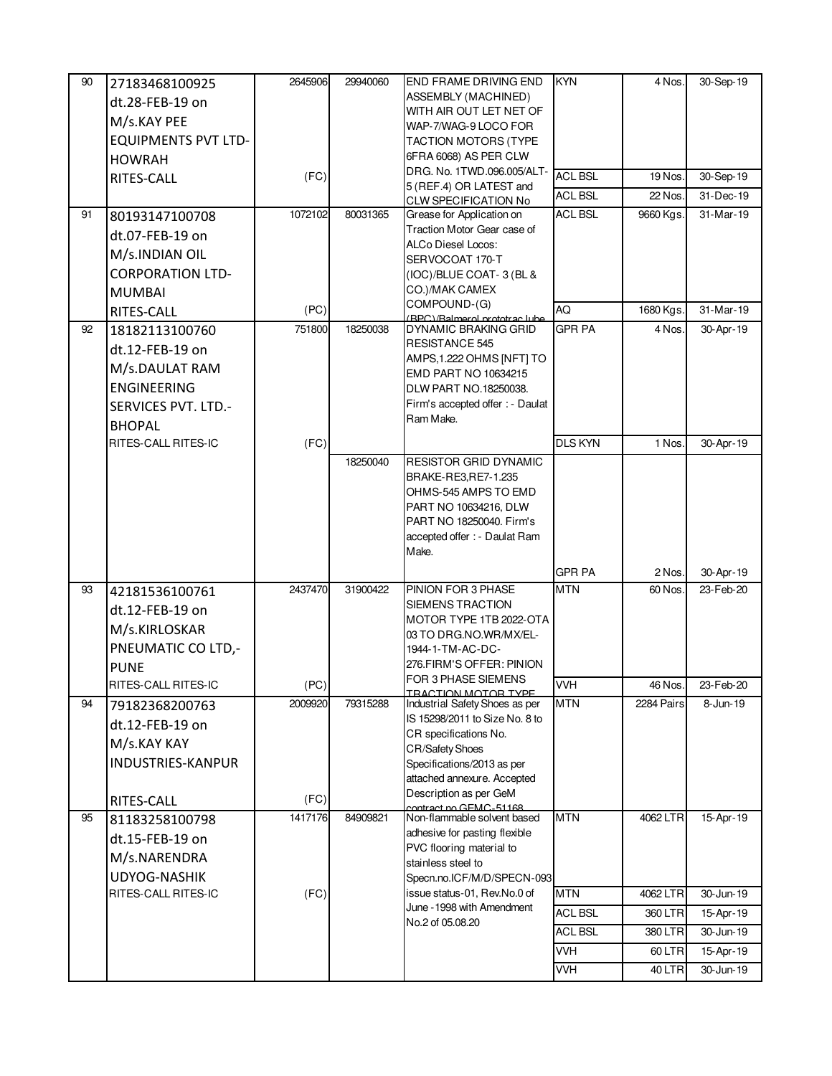| 90 | 27183468100925<br>dt.28-FEB-19 on | 2645906 | 29940060 | END FRAME DRIVING END<br>ASSEMBLY (MACHINED)                     | <b>KYN</b>     | 4 Nos.     | $\overline{30}$ -Sep-19 |
|----|-----------------------------------|---------|----------|------------------------------------------------------------------|----------------|------------|-------------------------|
|    | M/s.KAY PEE                       |         |          | WITH AIR OUT LET NET OF<br>WAP-7/WAG-9 LOCO FOR                  |                |            |                         |
|    | <b>EQUIPMENTS PVT LTD-</b>        |         |          | <b>TACTION MOTORS (TYPE</b>                                      |                |            |                         |
|    | <b>HOWRAH</b>                     |         |          | 6FRA 6068) AS PER CLW<br>DRG. No. 1TWD.096.005/ALT-              | <b>ACL BSL</b> | 19 Nos.    |                         |
|    | RITES-CALL                        | (FC)    |          | 5 (REF.4) OR LATEST and                                          | <b>ACL BSL</b> | 22 Nos.    | 30-Sep-19<br>31-Dec-19  |
| 91 | 80193147100708                    | 1072102 | 80031365 | <b>CLW SPECIFICATION No</b><br>Grease for Application on         | <b>ACL BSL</b> | 9660 Kgs.  | 31-Mar-19               |
|    | dt.07-FEB-19 on                   |         |          | Traction Motor Gear case of                                      |                |            |                         |
|    | M/s.INDIAN OIL                    |         |          | ALCo Diesel Locos:                                               |                |            |                         |
|    | <b>CORPORATION LTD-</b>           |         |          | SERVOCOAT 170-T<br>(IOC)/BLUE COAT-3 (BL &                       |                |            |                         |
|    | <b>MUMBAI</b>                     |         |          | CO.)/MAK CAMEX                                                   |                |            |                         |
|    | RITES-CALL                        | (PC)    |          | COMPOUND-(G)                                                     | AQ             | 1680 Kgs.  | 31-Mar-19               |
| 92 | 18182113100760                    | 751800  | 18250038 | RPC)/Ralmoral prototrac lubo<br>DYNAMIC BRAKING GRID             | GPR PA         | 4 Nos.     | 30-Apr-19               |
|    | dt.12-FEB-19 on                   |         |          | RESISTANCE 545                                                   |                |            |                         |
|    | M/s.DAULAT RAM                    |         |          | AMPS, 1.222 OHMS [NFT] TO<br>EMD PART NO 10634215                |                |            |                         |
|    | <b>ENGINEERING</b>                |         |          | DLW PART NO.18250038.                                            |                |            |                         |
|    | SERVICES PVT. LTD.-               |         |          | Firm's accepted offer : - Daulat                                 |                |            |                         |
|    | <b>BHOPAL</b>                     |         |          | Ram Make.                                                        |                |            |                         |
|    | RITES-CALL RITES-IC               | (FC)    |          |                                                                  | <b>DLS KYN</b> | 1 Nos.     | 30-Apr-19               |
|    |                                   |         | 18250040 | <b>RESISTOR GRID DYNAMIC</b><br>BRAKE-RE3,RE7-1.235              |                |            |                         |
|    |                                   |         |          | OHMS-545 AMPS TO EMD                                             |                |            |                         |
|    |                                   |         |          | PART NO 10634216, DLW                                            |                |            |                         |
|    |                                   |         |          | PART NO 18250040. Firm's<br>accepted offer : - Daulat Ram        |                |            |                         |
|    |                                   |         |          | Make.                                                            |                |            |                         |
|    |                                   |         |          |                                                                  | GPR PA         | 2 Nos.     | 30-Apr-19               |
| 93 | 42181536100761                    | 2437470 | 31900422 | PINION FOR 3 PHASE                                               | <b>MTN</b>     | 60 Nos.    | 23-Feb-20               |
|    | dt.12-FEB-19 on                   |         |          | SIEMENS TRACTION<br>MOTOR TYPE 1TB 2022-OTA                      |                |            |                         |
|    | M/s.KIRLOSKAR                     |         |          | 03 TO DRG.NO.WR/MX/EL-                                           |                |            |                         |
|    | PNEUMATIC CO LTD,-                |         |          | 1944-1-TM-AC-DC-                                                 |                |            |                         |
|    | <b>PUNE</b>                       |         |          | 276.FIRM'S OFFER: PINION<br>FOR 3 PHASE SIEMENS                  |                |            |                         |
|    | RITES-CALL RITES-IC               | (PC)    |          | ΤΡΑΓΤΙΩΝ ΜΩΤΩΡ ΤΥΡΕ                                              | VVH            | 46 Nos.    | 23-Feb-20               |
| 94 | 79182368200763                    | 2009920 | 79315288 | Industrial Safety Shoes as per<br>IS 15298/2011 to Size No. 8 to | <b>MTN</b>     | 2284 Pairs | 8-Jun-19                |
|    | dt.12-FEB-19 on                   |         |          | CR specifications No.                                            |                |            |                         |
|    | M/s.KAY KAY                       |         |          | <b>CR/Safety Shoes</b>                                           |                |            |                         |
|    | INDUSTRIES-KANPUR                 |         |          | Specifications/2013 as per<br>attached annexure. Accepted        |                |            |                         |
|    | RITES-CALL                        | (FC)    |          | Description as per GeM                                           |                |            |                         |
| 95 | 81183258100798                    | 1417176 | 84909821 | contract no GEMC_51168<br>Non-flammable solvent based            | <b>MTN</b>     | 4062 LTR   | 15-Apr-19               |
|    | dt.15-FEB-19 on                   |         |          | adhesive for pasting flexible                                    |                |            |                         |
|    | M/s.NARENDRA                      |         |          | PVC flooring material to<br>stainless steel to                   |                |            |                         |
|    | <b>UDYOG-NASHIK</b>               |         |          | Specn.no.ICF/M/D/SPECN-093                                       |                |            |                         |
|    | RITES-CALL RITES-IC               | (FC)    |          | issue status-01, Rev.No.0 of                                     | <b>MTN</b>     | 4062 LTR   | 30-Jun-19               |
|    |                                   |         |          | June - 1998 with Amendment<br>No.2 of 05.08.20                   | <b>ACL BSL</b> | 360 LTR    | 15-Apr-19               |
|    |                                   |         |          |                                                                  | <b>ACL BSL</b> | 380 LTR    | 30-Jun-19               |
|    |                                   |         |          |                                                                  | VVH            | 60 LTR     | 15-Apr-19               |
|    |                                   |         |          |                                                                  | <b>VVH</b>     | 40 LTR     | 30-Jun-19               |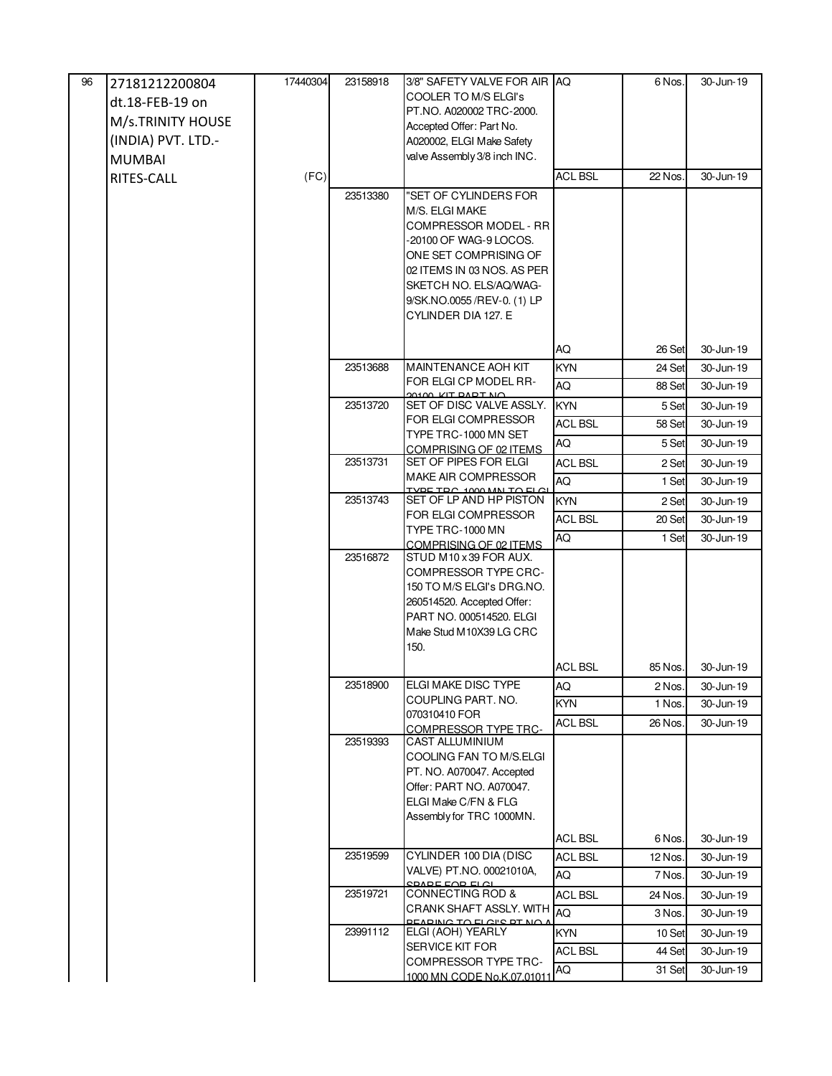| 96 | 27181212200804     | 17440304 | 23158918 | 3/8" SAFETY VALVE FOR AIR IAQ                             |                | 6 Nos.  | 30-Jun-19 |
|----|--------------------|----------|----------|-----------------------------------------------------------|----------------|---------|-----------|
|    | dt.18-FEB-19 on    |          |          | <b>COOLER TO M/S ELGI's</b>                               |                |         |           |
|    | M/s.TRINITY HOUSE  |          |          | PT.NO. A020002 TRC-2000.<br>Accepted Offer: Part No.      |                |         |           |
|    | (INDIA) PVT. LTD.- |          |          | A020002, ELGI Make Safety                                 |                |         |           |
|    | <b>MUMBAI</b>      |          |          | valve Assembly 3/8 inch INC.                              |                |         |           |
|    | RITES-CALL         | (FC)     |          |                                                           | <b>ACL BSL</b> | 22 Nos. | 30-Jun-19 |
|    |                    |          | 23513380 | "SET OF CYLINDERS FOR                                     |                |         |           |
|    |                    |          |          | M/S. ELGI MAKE                                            |                |         |           |
|    |                    |          |          | COMPRESSOR MODEL - RR                                     |                |         |           |
|    |                    |          |          | -20100 OF WAG-9 LOCOS.                                    |                |         |           |
|    |                    |          |          | ONE SET COMPRISING OF<br>02 ITEMS IN 03 NOS. AS PER       |                |         |           |
|    |                    |          |          | SKETCH NO. ELS/AQ/WAG-                                    |                |         |           |
|    |                    |          |          | 9/SK.NO.0055 /REV-0. (1) LP                               |                |         |           |
|    |                    |          |          | CYLINDER DIA 127. E                                       |                |         |           |
|    |                    |          |          |                                                           |                |         |           |
|    |                    |          |          |                                                           | AQ             | 26 Set  | 30-Jun-19 |
|    |                    |          | 23513688 | <b>MAINTENANCE AOH KIT</b><br>FOR ELGI CP MODEL RR-       | <b>KYN</b>     | 24 Set  | 30-Jun-19 |
|    |                    |          |          | <b>ON TOAD TIN OOIOO</b>                                  | AQ             | 88 Set  | 30-Jun-19 |
|    |                    |          | 23513720 | SET OF DISC VALVE ASSLY.<br>FOR ELGI COMPRESSOR           | <b>KYN</b>     | 5 Set   | 30-Jun-19 |
|    |                    |          |          | TYPE TRC-1000 MN SET                                      | <b>ACL BSL</b> | 58 Set  | 30-Jun-19 |
|    |                    |          |          | COMPRISING OF 02 ITEMS                                    | AQ             | 5 Set   | 30-Jun-19 |
|    |                    |          | 23513731 | SET OF PIPES FOR ELGI                                     | <b>ACL BSL</b> | 2 Set   | 30-Jun-19 |
|    |                    |          |          | MAKE AIR COMPRESSOR<br>VOE TOO 1000 MALTO ELG             | AQ             | 1 Set   | 30-Jun-19 |
|    |                    |          | 23513743 | SET OF LP AND HP PISTON                                   | <b>KYN</b>     | 2 Set   | 30-Jun-19 |
|    |                    |          |          | FOR ELGI COMPRESSOR<br>TYPE TRC-1000 MN                   | <b>ACL BSL</b> | 20 Set  | 30-Jun-19 |
|    |                    |          |          | COMPRISING OF 02 ITEMS                                    | AQ             | 1 Set   | 30-Jun-19 |
|    |                    |          | 23516872 | STUD M10 x 39 FOR AUX.                                    |                |         |           |
|    |                    |          |          | <b>COMPRESSOR TYPE CRC-</b>                               |                |         |           |
|    |                    |          |          | 150 TO M/S ELGI's DRG.NO.<br>260514520. Accepted Offer:   |                |         |           |
|    |                    |          |          | PART NO. 000514520. ELGI                                  |                |         |           |
|    |                    |          |          | Make Stud M10X39 LG CRC                                   |                |         |           |
|    |                    |          |          | 150.                                                      |                |         |           |
|    |                    |          |          |                                                           | <b>ACL BSL</b> | 85 Nos. | 30-Jun-19 |
|    |                    |          | 23518900 | ELGI MAKE DISC TYPE                                       | AQ             | 2 Nos.  | 30-Jun-19 |
|    |                    |          |          | COUPLING PART. NO.<br>070310410 FOR                       | <b>KYN</b>     | 1 Nos.  | 30-Jun-19 |
|    |                    |          |          | <b>COMPRESSOR TYPE TRC-</b>                               | <b>ACL BSL</b> | 26 Nos. | 30-Jun-19 |
|    |                    |          | 23519393 | <b>CAST ALLUMINIUM</b>                                    |                |         |           |
|    |                    |          |          | COOLING FAN TO M/S.ELGI                                   |                |         |           |
|    |                    |          |          | PT. NO. A070047. Accepted<br>Offer: PART NO. A070047.     |                |         |           |
|    |                    |          |          | ELGI Make C/FN & FLG                                      |                |         |           |
|    |                    |          |          | Assembly for TRC 1000MN.                                  |                |         |           |
|    |                    |          |          |                                                           | <b>ACL BSL</b> | 6 Nos.  | 30-Jun-19 |
|    |                    |          | 23519599 | CYLINDER 100 DIA (DISC                                    | <b>ACL BSL</b> | 12 Nos. | 30-Jun-19 |
|    |                    |          |          | VALVE) PT.NO. 00021010A,                                  | AQ             | 7 Nos.  | 30-Jun-19 |
|    |                    |          | 23519721 | $CDADF$ $FAD$ $FLA$<br>CONNECTING ROD &                   | <b>ACL BSL</b> | 24 Nos. | 30-Jun-19 |
|    |                    |          |          | CRANK SHAFT ASSLY. WITH<br><b>DEADING TO ELGIS DT NO.</b> | <b>AQ</b>      | 3 Nos.  | 30-Jun-19 |
|    |                    |          | 23991112 | ELGI (AOH) YEARLY                                         | <b>KYN</b>     | 10 Set  | 30-Jun-19 |
|    |                    |          |          | SERVICE KIT FOR                                           | <b>ACL BSL</b> | 44 Set  | 30-Jun-19 |
|    |                    |          |          | <b>COMPRESSOR TYPE TRC-</b>                               | AQ             | 31 Set  | 30-Jun-19 |
|    |                    |          |          | 1000 MN CODE No.K.07.01011                                |                |         |           |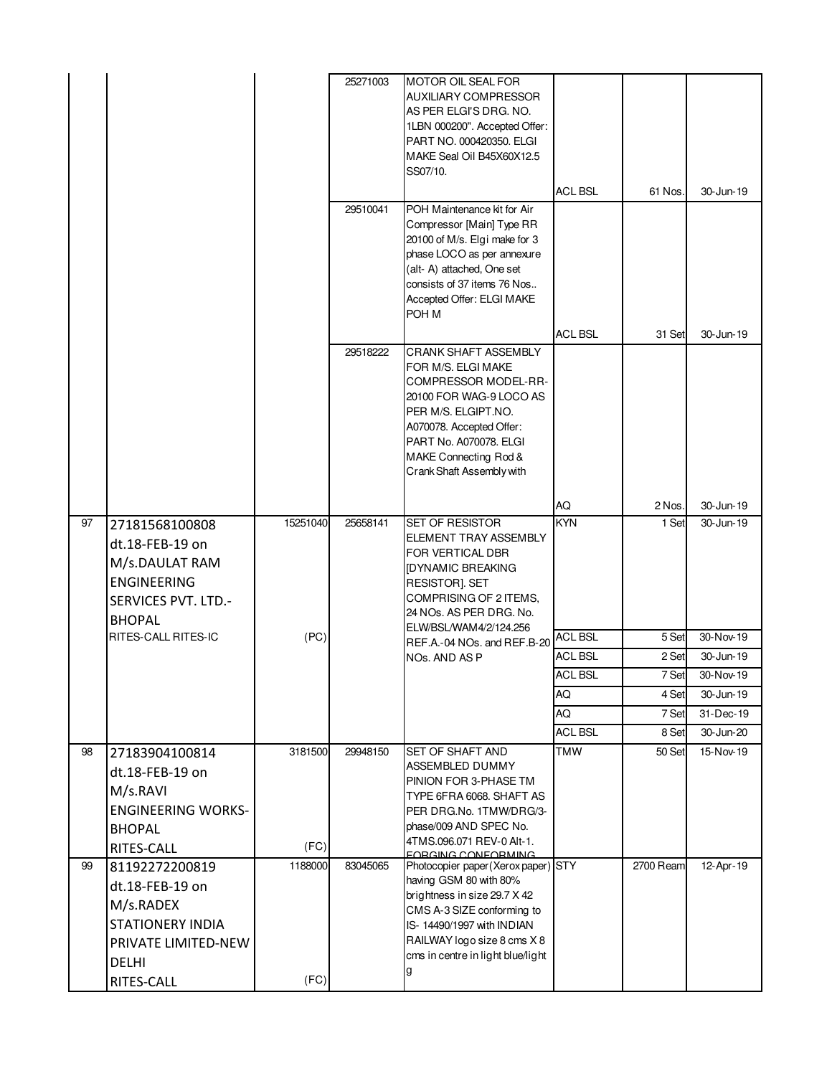|    |                                                                                                                   |                 | 25271003 | MOTOR OIL SEAL FOR<br><b>AUXILIARY COMPRESSOR</b><br>AS PER ELGI'S DRG. NO.<br>1LBN 000200". Accepted Offer:<br>PART NO. 000420350. ELGI<br>MAKE Seal Oil B45X60X12.5<br>SS07/10.                                                       | <b>ACL BSL</b> | 61 Nos.   | 30-Jun-19 |
|----|-------------------------------------------------------------------------------------------------------------------|-----------------|----------|-----------------------------------------------------------------------------------------------------------------------------------------------------------------------------------------------------------------------------------------|----------------|-----------|-----------|
|    |                                                                                                                   |                 | 29510041 | POH Maintenance kit for Air<br>Compressor [Main] Type RR<br>20100 of M/s. Elgi make for 3<br>phase LOCO as per annexure<br>(alt- A) attached, One set<br>consists of 37 items 76 Nos<br>Accepted Offer: ELGI MAKE<br>POH M              |                |           |           |
|    |                                                                                                                   |                 | 29518222 | <b>CRANK SHAFT ASSEMBLY</b><br>FOR M/S. ELGI MAKE<br>COMPRESSOR MODEL-RR-<br>20100 FOR WAG-9 LOCO AS<br>PER M/S. ELGIPT.NO.<br>A070078. Accepted Offer:<br>PART No. A070078, ELGI<br>MAKE Connecting Rod &<br>Crank Shaft Assembly with | <b>ACL BSL</b> | 31 Set    | 30-Jun-19 |
|    |                                                                                                                   |                 |          |                                                                                                                                                                                                                                         | AQ             | 2 Nos.    | 30-Jun-19 |
| 97 | 27181568100808<br>dt.18-FEB-19 on<br>M/s.DAULAT RAM<br><b>ENGINEERING</b><br>SERVICES PVT. LTD.-<br><b>BHOPAL</b> | 15251040        | 25658141 | <b>SET OF RESISTOR</b><br><b>ELEMENT TRAY ASSEMBLY</b><br>FOR VERTICAL DBR<br>[DYNAMIC BREAKING<br>RESISTOR]. SET<br>COMPRISING OF 2 ITEMS,<br>24 NOs. AS PER DRG. No.<br>ELW/BSL/WAM4/2/124.256                                        | <b>KYN</b>     | 1 Set     | 30-Jun-19 |
|    | <b>RITES-CALL RITES-IC</b>                                                                                        | (PC)            |          | REF.A.-04 NOs. and REF.B-20                                                                                                                                                                                                             | <b>ACL BSL</b> | 5 Set     | 30-Nov-19 |
|    |                                                                                                                   |                 |          | NO <sub>s</sub> . AND AS P                                                                                                                                                                                                              | <b>ACL BSL</b> | 2 Set     | 30-Jun-19 |
|    |                                                                                                                   |                 |          |                                                                                                                                                                                                                                         | <b>ACL BSL</b> | 7 Set     | 30-Nov-19 |
|    |                                                                                                                   |                 |          |                                                                                                                                                                                                                                         | AQ             | 4 Set     | 30-Jun-19 |
|    |                                                                                                                   |                 |          |                                                                                                                                                                                                                                         | AQ             | 7 Set     | 31-Dec-19 |
|    |                                                                                                                   |                 |          |                                                                                                                                                                                                                                         | <b>ACL BSL</b> | 8 Set     | 30-Jun-20 |
| 98 | 27183904100814<br>dt.18-FEB-19 on<br>M/s.RAVI<br><b>ENGINEERING WORKS-</b><br><b>BHOPAL</b><br>RITES-CALL         | 3181500<br>(FC) | 29948150 | <b>SET OF SHAFT AND</b><br>ASSEMBLED DUMMY<br>PINION FOR 3-PHASE TM<br>TYPE 6FRA 6068. SHAFT AS<br>PER DRG.No. 1TMW/DRG/3-<br>phase/009 AND SPEC No.<br>4TMS.096.071 REV-0 Alt-1.<br><b>EORGING CONFORMING</b>                          | <b>TMW</b>     | 50 Set    | 15-Nov-19 |
| 99 | 81192272200819                                                                                                    | 1188000         | 83045065 | Photocopier paper(Xerox paper) STY                                                                                                                                                                                                      |                | 2700 Ream | 12-Apr-19 |
|    | dt.18-FEB-19 on                                                                                                   |                 |          | having GSM 80 with 80%                                                                                                                                                                                                                  |                |           |           |
|    | M/s.RADEX                                                                                                         |                 |          | brightness in size 29.7 X 42<br>CMS A-3 SIZE conforming to                                                                                                                                                                              |                |           |           |
|    | <b>STATIONERY INDIA</b>                                                                                           |                 |          | IS-14490/1997 with INDIAN                                                                                                                                                                                                               |                |           |           |
|    | PRIVATE LIMITED-NEW                                                                                               |                 |          | RAILWAY logo size 8 cms X 8                                                                                                                                                                                                             |                |           |           |
|    | <b>DELHI</b>                                                                                                      |                 |          | cms in centre in light blue/light                                                                                                                                                                                                       |                |           |           |
|    | RITES-CALL                                                                                                        | (FC)            |          | g                                                                                                                                                                                                                                       |                |           |           |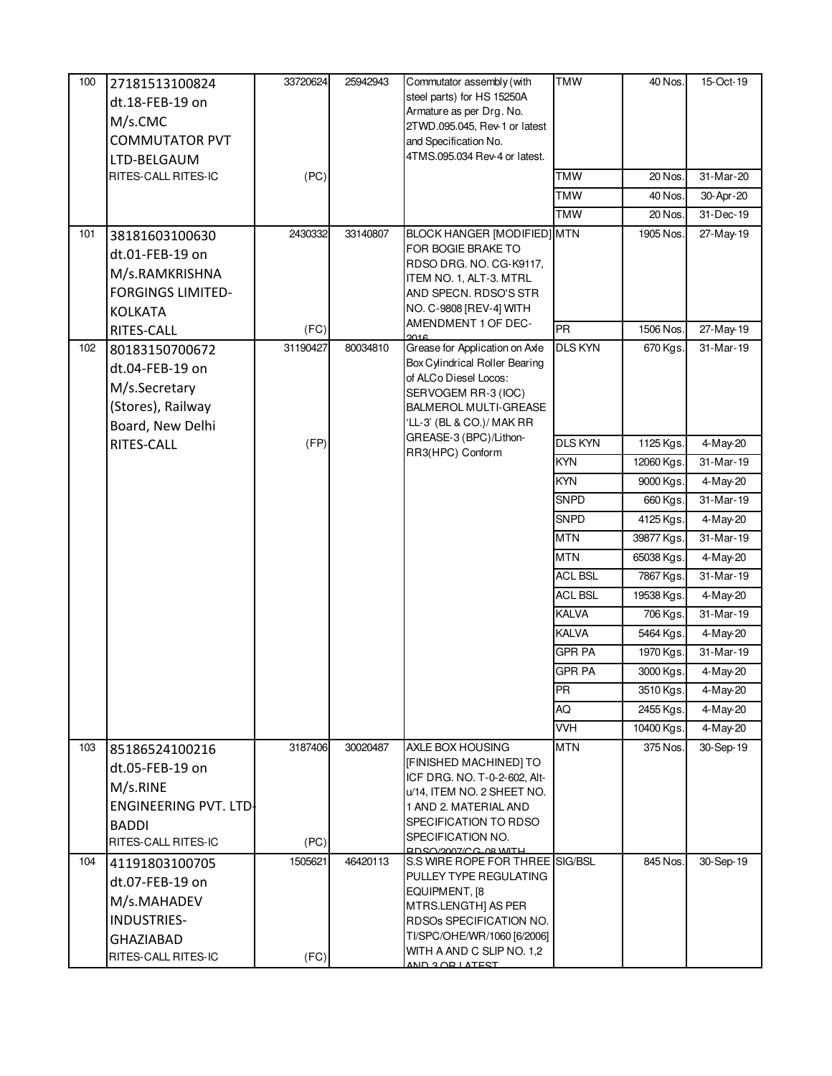| 100 | 27181513100824<br>dt.18-FEB-19 on<br>M/s.CMC<br><b>COMMUTATOR PVT</b><br>LTD-BELGAUM<br>RITES-CALL RITES-IC          | 33720624<br>(PC) | 25942943 | Commutator assembly (with<br>steel parts) for HS 15250A<br>Armature as per Drg. No.<br>2TWD.095.045, Rev-1 or latest<br>and Specification No.<br>4TMS.095.034 Rev-4 or latest.                               | <b>TMW</b><br><b>TMW</b><br><b>TMW</b> | 40 Nos.<br>20 Nos.<br>40 Nos. | 15-Oct-19<br>31-Mar-20<br>30-Apr-20 |
|-----|----------------------------------------------------------------------------------------------------------------------|------------------|----------|--------------------------------------------------------------------------------------------------------------------------------------------------------------------------------------------------------------|----------------------------------------|-------------------------------|-------------------------------------|
|     |                                                                                                                      |                  |          |                                                                                                                                                                                                              | <b>TMW</b>                             | 20 Nos.                       | 31-Dec-19                           |
| 101 | 38181603100630<br>dt.01-FEB-19 on<br>M/s.RAMKRISHNA<br><b>FORGINGS LIMITED-</b><br><b>KOLKATA</b>                    | 2430332          | 33140807 | <b>BLOCK HANGER [MODIFIED] MTN</b><br>FOR BOGIE BRAKE TO<br>RDSO DRG. NO. CG-K9117,<br>ITEM NO. 1, ALT-3. MTRL<br>AND SPECN. RDSO'S STR<br>NO. C-9808 [REV-4] WITH<br>AMENDMENT 1 OF DEC-                    |                                        | 1905 Nos.                     | 27-May-19                           |
| 102 | RITES-CALL<br>80183150700672<br>dt.04-FEB-19 on<br>M/s.Secretary<br>(Stores), Railway<br>Board, New Delhi            | (FC)<br>31190427 | 80034810 | 2016<br>Grease for Application on Axle<br>Box Cylindrical Roller Bearing<br>of ALCo Diesel Locos:<br>SERVOGEM RR-3 (IOC)<br><b>BALMEROL MULTI-GREASE</b><br>'LL-3' (BL & CO.)/ MAK RR                        | PR<br><b>DLS KYN</b>                   | 1506 Nos.<br>670 Kgs.         | 27-May-19<br>31-Mar-19              |
|     | RITES-CALL                                                                                                           | (FP)             |          | GREASE-3 (BPC)/Lithon-<br>RR3(HPC) Conform                                                                                                                                                                   | <b>DLS KYN</b>                         | 1125 Kgs.                     | 4-May-20                            |
|     |                                                                                                                      |                  |          |                                                                                                                                                                                                              | <b>KYN</b>                             | 12060 Kgs.                    | 31-Mar-19                           |
|     |                                                                                                                      |                  |          |                                                                                                                                                                                                              | <b>KYN</b>                             | 9000 Kgs.                     | 4-May-20                            |
|     |                                                                                                                      |                  |          |                                                                                                                                                                                                              | <b>SNPD</b>                            | 660 Kgs.                      | 31-Mar-19                           |
|     |                                                                                                                      |                  |          |                                                                                                                                                                                                              | <b>SNPD</b><br><b>MTN</b>              | 4125 Kgs.                     | 4-May-20<br>31-Mar-19               |
|     |                                                                                                                      |                  |          |                                                                                                                                                                                                              | <b>MTN</b>                             | 39877 Kgs.<br>65038 Kgs.      | $4$ -May-20                         |
|     |                                                                                                                      |                  |          |                                                                                                                                                                                                              | <b>ACL BSL</b>                         | 7867 Kgs.                     | 31-Mar-19                           |
|     |                                                                                                                      |                  |          |                                                                                                                                                                                                              | <b>ACL BSL</b>                         | 19538 Kgs.                    | 4-May-20                            |
|     |                                                                                                                      |                  |          |                                                                                                                                                                                                              | <b>KALVA</b>                           | 706 Kgs.                      | 31-Mar-19                           |
|     |                                                                                                                      |                  |          |                                                                                                                                                                                                              | <b>KALVA</b>                           | 5464 Kgs.                     | 4-May-20                            |
|     |                                                                                                                      |                  |          |                                                                                                                                                                                                              | <b>GPR PA</b>                          | 1970 Kgs.                     | 31-Mar-19                           |
|     |                                                                                                                      |                  |          |                                                                                                                                                                                                              | <b>GPR PA</b>                          | 3000 Kgs.                     | 4-May-20                            |
|     |                                                                                                                      |                  |          |                                                                                                                                                                                                              | <b>PR</b>                              | 3510 Kgs.                     | 4-May-20                            |
|     |                                                                                                                      |                  |          |                                                                                                                                                                                                              | AQ                                     | 2455 Kgs.                     | 4-May-20                            |
|     |                                                                                                                      |                  |          |                                                                                                                                                                                                              | <b>VVH</b>                             | 10400 Kgs.                    | 4-May-20                            |
| 103 | 85186524100216<br>dt.05-FEB-19 on<br>M/s.RINE<br><b>ENGINEERING PVT. LTD-</b><br><b>BADDI</b><br>RITES-CALL RITES-IC | 3187406<br>(PC)  | 30020487 | AXLE BOX HOUSING<br>[FINISHED MACHINED] TO<br>ICF DRG. NO. T-0-2-602, Alt-<br>u/14, ITEM NO. 2 SHEET NO.<br>1 AND 2. MATERIAL AND<br>SPECIFICATION TO RDSO<br>SPECIFICATION NO.<br>RDSO/2007/CG_08 WITH      | <b>MTN</b>                             | 375 Nos.                      | 30-Sep-19                           |
| 104 | 41191803100705<br>dt.07-FEB-19 on<br>M/s.MAHADEV<br><b>INDUSTRIES-</b><br><b>GHAZIABAD</b><br>RITES-CALL RITES-IC    | 1505621<br>(FC)  | 46420113 | S.S WIRE ROPE FOR THREE SIG/BSL<br>PULLEY TYPE REGULATING<br>EQUIPMENT, [8]<br>MTRS.LENGTH] AS PER<br>RDSOs SPECIFICATION NO.<br>TI/SPC/OHE/WR/1060 [6/2006]<br>WITH A AND C SLIP NO. 1,2<br>AND 3 OR LATEST |                                        | 845 Nos.                      | 30-Sep-19                           |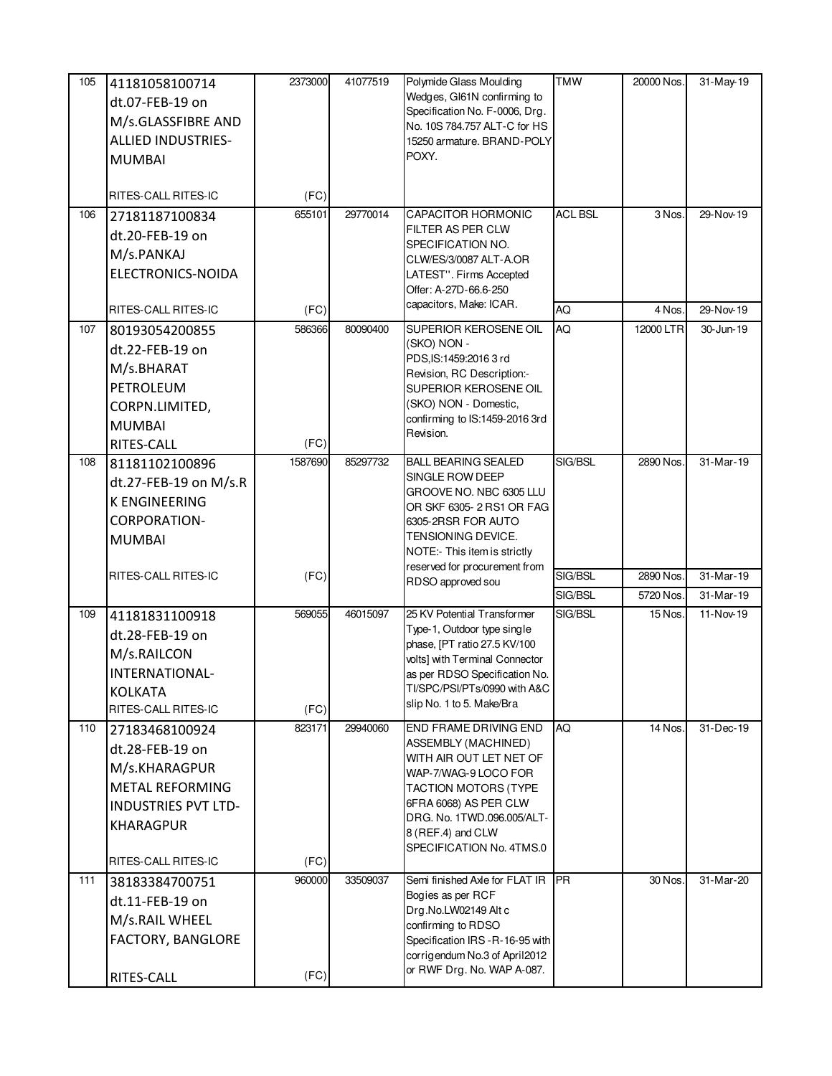| 105 | 41181058100714             | 2373000 | 41077519 | Polymide Glass Moulding                                         | <b>TMW</b>     | 20000 Nos. | 31-May-19 |
|-----|----------------------------|---------|----------|-----------------------------------------------------------------|----------------|------------|-----------|
|     | dt.07-FEB-19 on            |         |          | Wedges, GI61N confirming to                                     |                |            |           |
|     | M/s.GLASSFIBRE AND         |         |          | Specification No. F-0006, Drg.<br>No. 10S 784.757 ALT-C for HS  |                |            |           |
|     | <b>ALLIED INDUSTRIES-</b>  |         |          | 15250 armature. BRAND-POLY                                      |                |            |           |
|     | <b>MUMBAI</b>              |         |          | POXY.                                                           |                |            |           |
|     |                            |         |          |                                                                 |                |            |           |
|     | RITES-CALL RITES-IC        | (FC)    |          |                                                                 |                |            |           |
| 106 | 27181187100834             | 655101  | 29770014 | <b>CAPACITOR HORMONIC</b>                                       | <b>ACL BSL</b> | 3 Nos.     | 29-Nov-19 |
|     | dt.20-FEB-19 on            |         |          | FILTER AS PER CLW<br>SPECIFICATION NO.                          |                |            |           |
|     | M/s.PANKAJ                 |         |          | CLW/ES/3/0087 ALT-A.OR                                          |                |            |           |
|     | ELECTRONICS-NOIDA          |         |          | LATEST". Firms Accepted                                         |                |            |           |
|     |                            |         |          | Offer: A-27D-66.6-250                                           |                |            |           |
|     | RITES-CALL RITES-IC        | (FC)    |          | capacitors, Make: ICAR.                                         | AQ             | 4 Nos.     | 29-Nov-19 |
| 107 | 80193054200855             | 586366  | 80090400 | SUPERIOR KEROSENE OIL                                           | AQ             | 12000 LTR  | 30-Jun-19 |
|     | dt.22-FEB-19 on            |         |          | (SKO) NON -                                                     |                |            |           |
|     | M/s.BHARAT                 |         |          | PDS,IS:1459:2016 3 rd<br>Revision, RC Description:-             |                |            |           |
|     | PETROLEUM                  |         |          | SUPERIOR KEROSENE OIL                                           |                |            |           |
|     | CORPN.LIMITED,             |         |          | (SKO) NON - Domestic,                                           |                |            |           |
|     | <b>MUMBAI</b>              |         |          | confirming to IS:1459-2016 3rd                                  |                |            |           |
|     | RITES-CALL                 | (FC)    |          | Revision.                                                       |                |            |           |
| 108 | 81181102100896             | 1587690 | 85297732 | <b>BALL BEARING SEALED</b>                                      | SIG/BSL        | 2890 Nos.  | 31-Mar-19 |
|     | dt.27-FEB-19 on M/s.R      |         |          | SINGLE ROW DEEP                                                 |                |            |           |
|     | <b>K ENGINEERING</b>       |         |          | GROOVE NO. NBC 6305 LLU                                         |                |            |           |
|     | <b>CORPORATION-</b>        |         |          | OR SKF 6305-2 RS1 OR FAG<br>6305-2RSR FOR AUTO                  |                |            |           |
|     | <b>MUMBAI</b>              |         |          | TENSIONING DEVICE.                                              |                |            |           |
|     |                            |         |          | NOTE:- This item is strictly                                    |                |            |           |
|     | RITES-CALL RITES-IC        | (FC)    |          | reserved for procurement from                                   | SIG/BSL        | 2890 Nos.  | 31-Mar-19 |
|     |                            |         |          | RDSO approved sou                                               | SIG/BSL        | 5720 Nos.  | 31-Mar-19 |
| 109 | 41181831100918             | 569055  | 46015097 | 25 KV Potential Transformer                                     | SIG/BSL        | 15 Nos.    | 11-Nov-19 |
|     | dt.28-FEB-19 on            |         |          | Type-1, Outdoor type single                                     |                |            |           |
|     | M/s.RAILCON                |         |          | phase, [PT ratio 27.5 KV/100                                    |                |            |           |
|     | INTERNATIONAL-             |         |          | volts] with Terminal Connector<br>as per RDSO Specification No. |                |            |           |
|     | <b>KOLKATA</b>             |         |          | TI/SPC/PSI/PTs/0990 with A&C                                    |                |            |           |
|     | RITES-CALL RITES-IC        | (FC)    |          | slip No. 1 to 5. Make/Bra                                       |                |            |           |
| 110 | 27183468100924             | 823171  | 29940060 | <b>END FRAME DRIVING END</b>                                    | AQ             | 14 Nos.    | 31-Dec-19 |
|     | dt.28-FEB-19 on            |         |          | ASSEMBLY (MACHINED)                                             |                |            |           |
|     | M/s.KHARAGPUR              |         |          | WITH AIR OUT LET NET OF<br>WAP-7/WAG-9 LOCO FOR                 |                |            |           |
|     | METAL REFORMING            |         |          | <b>TACTION MOTORS (TYPE</b>                                     |                |            |           |
|     | <b>INDUSTRIES PVT LTD-</b> |         |          | 6FRA 6068) AS PER CLW                                           |                |            |           |
|     | <b>KHARAGPUR</b>           |         |          | DRG. No. 1TWD.096.005/ALT-                                      |                |            |           |
|     |                            |         |          | 8 (REF.4) and CLW                                               |                |            |           |
|     | RITES-CALL RITES-IC        | (FC)    |          | SPECIFICATION No. 4TMS.0                                        |                |            |           |
| 111 | 38183384700751             | 960000  | 33509037 | Semi finished Axle for FLAT IR                                  | IPR.           | 30 Nos.    | 31-Mar-20 |
|     | dt.11-FEB-19 on            |         |          | Bogies as per RCF                                               |                |            |           |
|     | M/s.RAIL WHEEL             |         |          | Drg.No.LW02149 Alt c<br>confirming to RDSO                      |                |            |           |
|     | FACTORY, BANGLORE          |         |          | Specification IRS - R-16-95 with                                |                |            |           |
|     |                            |         |          | corrigendum No.3 of April2012                                   |                |            |           |
|     | RITES-CALL                 | (FC)    |          | or RWF Drg. No. WAP A-087.                                      |                |            |           |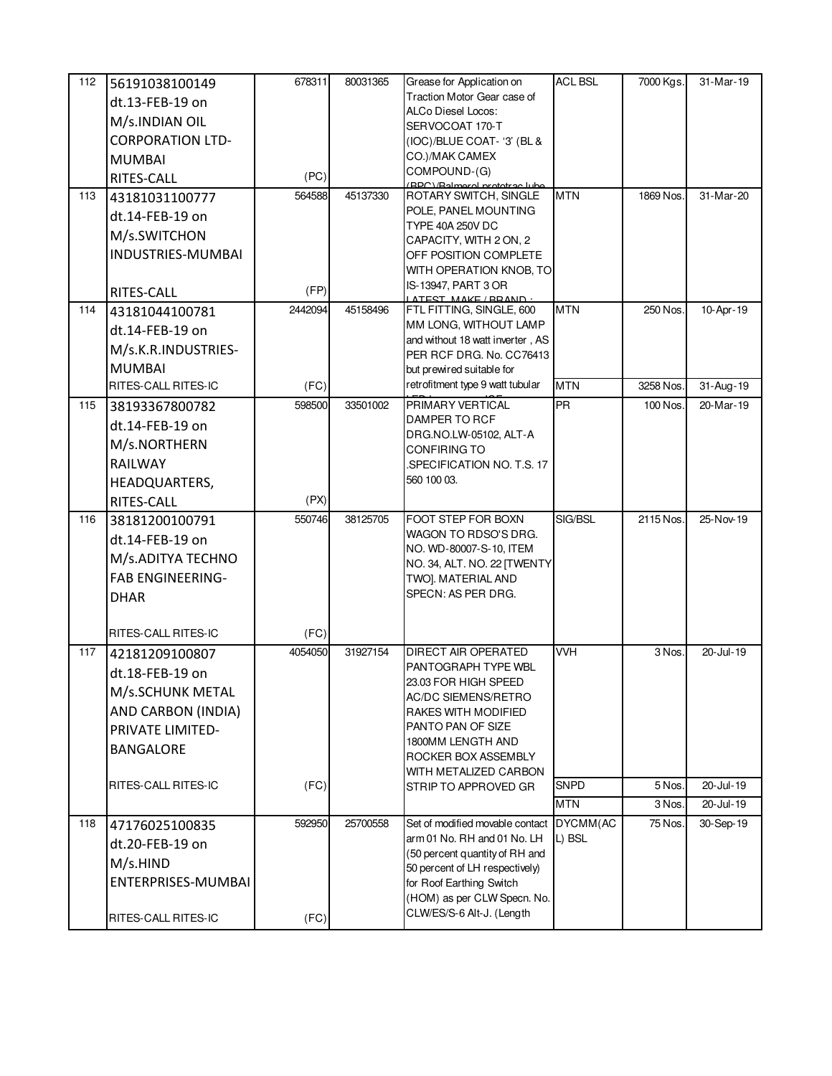| 112 | 56191038100149               | 678311  | 80031365 | Grease for Application on                                        | <b>ACL BSL</b> | 7000 Kgs. | 31-Mar-19 |
|-----|------------------------------|---------|----------|------------------------------------------------------------------|----------------|-----------|-----------|
|     | dt.13-FEB-19 on              |         |          | Traction Motor Gear case of                                      |                |           |           |
|     | M/s.INDIAN OIL               |         |          | ALCo Diesel Locos:                                               |                |           |           |
|     | <b>CORPORATION LTD-</b>      |         |          | SERVOCOAT 170-T<br>(IOC)/BLUE COAT- '3' (BL &                    |                |           |           |
|     | <b>MUMBAI</b>                |         |          | CO.)/MAK CAMEX                                                   |                |           |           |
|     | RITES-CALL                   | (PC)    |          | COMPOUND-(G)                                                     |                |           |           |
| 113 | 43181031100777               | 564588  | 45137330 | (BPC)/Ralmeral prototrac lube<br>ROTARY SWITCH, SINGLE           | <b>MTN</b>     | 1869 Nos. | 31-Mar-20 |
|     | dt.14-FEB-19 on              |         |          | POLE, PANEL MOUNTING                                             |                |           |           |
|     | M/s.SWITCHON                 |         |          | <b>TYPE 40A 250V DC</b>                                          |                |           |           |
|     | <b>INDUSTRIES-MUMBAI</b>     |         |          | CAPACITY, WITH 2 ON, 2<br>OFF POSITION COMPLETE                  |                |           |           |
|     |                              |         |          | WITH OPERATION KNOB, TO                                          |                |           |           |
|     | RITES-CALL                   | (FP)    |          | IS-13947, PART 3 OR                                              |                |           |           |
| 114 | 43181044100781               | 2442094 | 45158496 | ATEST MAKE/RRAND<br>FTL FITTING, SINGLE, 600                     | <b>MTN</b>     | 250 Nos.  | 10-Apr-19 |
|     | dt.14-FEB-19 on              |         |          | MM LONG, WITHOUT LAMP                                            |                |           |           |
|     | M/s.K.R.INDUSTRIES-          |         |          | and without 18 watt inverter, AS                                 |                |           |           |
|     | <b>MUMBAI</b>                |         |          | PER RCF DRG. No. CC76413                                         |                |           |           |
|     | RITES-CALL RITES-IC          | (FC)    |          | but prewired suitable for<br>retrofitment type 9 watt tubular    | <b>MTN</b>     | 3258 Nos. | 31-Aug-19 |
| 115 | 38193367800782               | 598500  | 33501002 | PRIMARY VERTICAL                                                 | <b>PR</b>      | 100 Nos.  | 20-Mar-19 |
|     | dt.14-FEB-19 on              |         |          | DAMPER TO RCF                                                    |                |           |           |
|     | M/s.NORTHERN                 |         |          | DRG.NO.LW-05102, ALT-A                                           |                |           |           |
|     |                              |         |          | CONFIRING TO                                                     |                |           |           |
|     | RAILWAY                      |         |          | SPECIFICATION NO. T.S. 17<br>560 100 03.                         |                |           |           |
|     | HEADQUARTERS,                | (PX)    |          |                                                                  |                |           |           |
| 116 | RITES-CALL<br>38181200100791 | 550746  | 38125705 | FOOT STEP FOR BOXN                                               | SIG/BSL        | 2115 Nos. | 25-Nov-19 |
|     |                              |         |          | WAGON TO RDSO'S DRG.                                             |                |           |           |
|     | dt.14-FEB-19 on              |         |          | NO. WD-80007-S-10, ITEM                                          |                |           |           |
|     | M/s.ADITYA TECHNO            |         |          | NO. 34, ALT. NO. 22 [TWENTY                                      |                |           |           |
|     | <b>FAB ENGINEERING-</b>      |         |          | TWO]. MATERIAL AND<br>SPECN: AS PER DRG.                         |                |           |           |
|     | <b>DHAR</b>                  |         |          |                                                                  |                |           |           |
|     | RITES-CALL RITES-IC          | (FC)    |          |                                                                  |                |           |           |
| 117 | 42181209100807               | 4054050 | 31927154 | <b>DIRECT AIR OPERATED</b>                                       | <b>VVH</b>     | 3 Nos.    | 20-Jul-19 |
|     | dt.18-FEB-19 on              |         |          | PANTOGRAPH TYPE WBL                                              |                |           |           |
|     | M/s.SCHUNK METAL             |         |          | 23.03 FOR HIGH SPEED<br>AC/DC SIEMENS/RETRO                      |                |           |           |
|     | AND CARBON (INDIA)           |         |          | RAKES WITH MODIFIED                                              |                |           |           |
|     | PRIVATE LIMITED-             |         |          | PANTO PAN OF SIZE                                                |                |           |           |
|     | <b>BANGALORE</b>             |         |          | 1800MM LENGTH AND                                                |                |           |           |
|     |                              |         |          | ROCKER BOX ASSEMBLY<br>WITH METALIZED CARBON                     |                |           |           |
|     | RITES-CALL RITES-IC          | (FC)    |          | STRIP TO APPROVED GR                                             | <b>SNPD</b>    | 5 Nos.    | 20-Jul-19 |
|     |                              |         |          |                                                                  | <b>MTN</b>     | 3 Nos.    | 20-Jul-19 |
| 118 | 47176025100835               | 592950  | 25700558 | Set of modified movable contact                                  | DYCMM(AC       | 75 Nos.   | 30-Sep-19 |
|     | dt.20-FEB-19 on              |         |          | arm 01 No. RH and 01 No. LH                                      | L) BSL         |           |           |
|     | M/s.HIND                     |         |          | (50 percent quantity of RH and<br>50 percent of LH respectively) |                |           |           |
|     | ENTERPRISES-MUMBAI           |         |          | for Roof Earthing Switch                                         |                |           |           |
|     |                              |         |          | (HOM) as per CLW Specn. No.                                      |                |           |           |
|     | RITES-CALL RITES-IC          | (FC)    |          | CLW/ES/S-6 Alt-J. (Length                                        |                |           |           |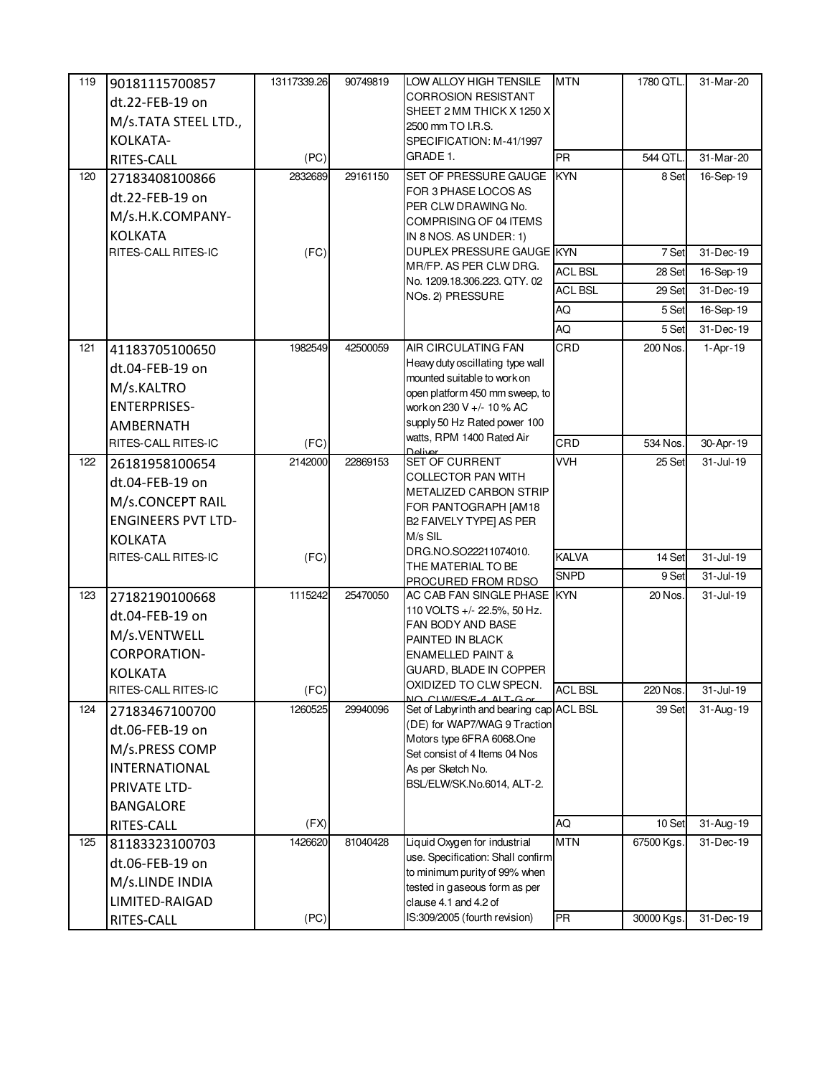| 119 | 90181115700857<br>dt.22-FEB-19 on<br>M/s.TATA STEEL LTD.,<br>KOLKATA-                                             | 13117339.26     | 90749819 | LOW ALLOY HIGH TENSILE<br><b>CORROSION RESISTANT</b><br>SHEET 2 MM THICK X 1250 X<br>2500 mm TO I.R.S.<br>SPECIFICATION: M-41/1997                                                                                | <b>MTN</b>              | 1780 QTL.                | 31-Mar-20              |
|-----|-------------------------------------------------------------------------------------------------------------------|-----------------|----------|-------------------------------------------------------------------------------------------------------------------------------------------------------------------------------------------------------------------|-------------------------|--------------------------|------------------------|
|     | RITES-CALL                                                                                                        | (PC)            |          | GRADE 1.                                                                                                                                                                                                          | <b>PR</b>               | 544 QTL                  | $31-Mar-20$            |
| 120 | 27183408100866<br>dt.22-FEB-19 on<br>M/s.H.K.COMPANY-<br><b>KOLKATA</b>                                           | 2832689         | 29161150 | SET OF PRESSURE GAUGE<br>FOR 3 PHASE LOCOS AS<br>PER CLW DRAWING No.<br>COMPRISING OF 04 ITEMS<br>IN 8 NOS. AS UNDER: 1)                                                                                          | KYN                     | 8 Set                    | 16-Sep-19              |
|     | RITES-CALL RITES-IC                                                                                               | (FC)            |          | DUPLEX PRESSURE GAUGE KYN<br>MR/FP. AS PER CLW DRG.                                                                                                                                                               |                         | 7 Set                    | 31-Dec-19              |
|     |                                                                                                                   |                 |          | No. 1209.18.306.223. QTY. 02                                                                                                                                                                                      | <b>ACL BSL</b>          | 28 Set                   | 16-Sep-19              |
|     |                                                                                                                   |                 |          | NOs. 2) PRESSURE                                                                                                                                                                                                  | <b>ACL BSL</b>          | 29 Set                   | 31-Dec-19              |
|     |                                                                                                                   |                 |          |                                                                                                                                                                                                                   | AQ                      | 5 Set                    | 16-Sep-19              |
|     |                                                                                                                   |                 |          |                                                                                                                                                                                                                   | AQ                      | 5 Set                    | $31 - Dec-19$          |
| 121 | 41183705100650<br>dt.04-FEB-19 on<br>M/s.KALTRO<br><b>ENTERPRISES-</b><br><b>AMBERNATH</b>                        | 1982549         | 42500059 | AIR CIRCULATING FAN<br>Heavy duty oscillating type wall<br>mounted suitable to work on<br>open platform 450 mm sweep, to<br>work on 230 V +/- 10 % AC<br>supply 50 Hz Rated power 100                             | CRD                     | 200 Nos.                 | 1-Apr-19               |
|     | RITES-CALL RITES-IC                                                                                               | (FC)            |          | watts, RPM 1400 Rated Air<br>Deliver                                                                                                                                                                              | CRD                     | 534 Nos.                 | 30-Apr-19              |
| 122 | 26181958100654<br>dt.04-FEB-19 on<br>M/s.CONCEPT RAIL<br><b>ENGINEERS PVT LTD-</b><br><b>KOLKATA</b>              | 2142000         | 22869153 | SET OF CURRENT<br>COLLECTOR PAN WITH<br>METALIZED CARBON STRIP<br>FOR PANTOGRAPH [AM18<br>B2 FAIVELY TYPE] AS PER<br>M/s SIL                                                                                      | <b>VVH</b>              | 25 Set                   | 31-Jul-19              |
|     | RITES-CALL RITES-IC                                                                                               | (FC)            |          | DRG.NO.SO22211074010.                                                                                                                                                                                             | <b>KALVA</b>            | 14 Set                   | 31-Jul-19              |
|     |                                                                                                                   |                 |          | THE MATERIAL TO BE<br>PROCURED FROM RDSO                                                                                                                                                                          | <b>SNPD</b>             | 9 Set                    | $31 -$ Jul-19          |
| 123 | 27182190100668<br>dt.04-FEB-19 on<br>M/s.VENTWELL<br><b>CORPORATION-</b><br><b>KOLKATA</b><br>RITES-CALL RITES-IC | 1115242<br>(FC) | 25470050 | AC CAB FAN SINGLE PHASE KYN<br>110 VOLTS +/- 22.5%, 50 Hz.<br>FAN BODY AND BASE<br>PAINTED IN BLACK<br><b>ENAMELLED PAINT &amp;</b><br>GUARD, BLADE IN COPPER<br>OXIDIZED TO CLW SPECN.<br>NO CLW/ES/E-4 ALT-G or | <b>ACL BSL</b>          | 20 Nos.<br>220 Nos.      | 31-Jul-19<br>31-Jul-19 |
| 124 | 27183467100700                                                                                                    | 1260525         | 29940096 | Set of Labyrinth and bearing cap ACL BSL                                                                                                                                                                          |                         | 39 Set                   | 31-Aug-19              |
|     | dt.06-FEB-19 on<br>M/s.PRESS COMP<br><b>INTERNATIONAL</b><br><b>PRIVATE LTD-</b><br><b>BANGALORE</b>              |                 |          | (DE) for WAP7/WAG 9 Traction<br>Motors type 6FRA 6068.One<br>Set consist of 4 Items 04 Nos<br>As per Sketch No.<br>BSL/ELW/SK.No.6014, ALT-2.                                                                     |                         |                          |                        |
|     | RITES-CALL                                                                                                        | (FX)            |          |                                                                                                                                                                                                                   | AQ                      | 10 Set                   | $31 - Aug - 19$        |
| 125 | 81183323100703<br>dt.06-FEB-19 on<br>M/s.LINDE INDIA<br>LIMITED-RAIGAD<br>RITES-CALL                              | 1426620<br>(PC) | 81040428 | Liquid Oxygen for industrial<br>use. Specification: Shall confirm<br>to minimum purity of 99% when<br>tested in gaseous form as per<br>clause 4.1 and 4.2 of<br>IS:309/2005 (fourth revision)                     | <b>MTN</b><br><b>PR</b> | 67500 Kgs.<br>30000 Kgs. | 31-Dec-19<br>31-Dec-19 |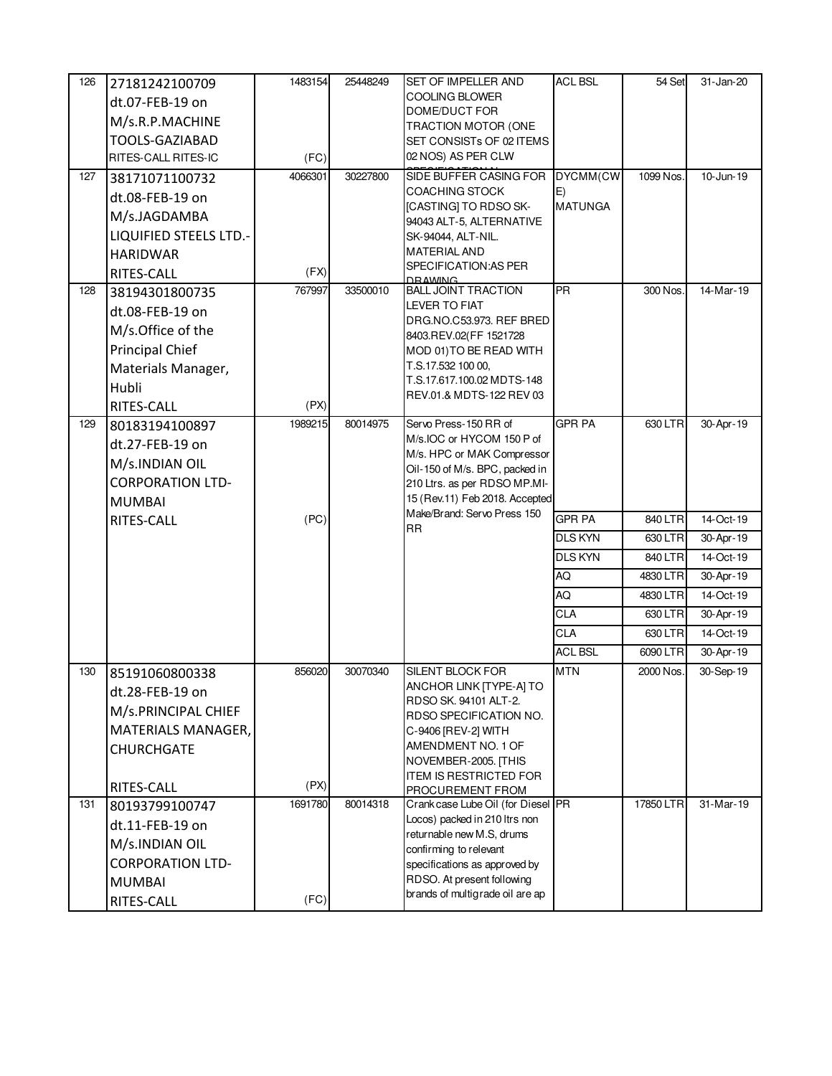| 126 | 27181242100709<br>dt.07-FEB-19 on<br>M/s.R.P.MACHINE<br>TOOLS-GAZIABAD<br>RITES-CALL RITES-IC                                 | 1483154<br>(FC) | 25448249 | SET OF IMPELLER AND<br>COOLING BLOWER<br>DOME/DUCT FOR<br>TRACTION MOTOR (ONE<br>SET CONSISTs OF 02 ITEMS<br>02 NOS) AS PER CLW                                                                                     | <b>ACL BSL</b>                   | 54 Set    | 31-Jan-20 |
|-----|-------------------------------------------------------------------------------------------------------------------------------|-----------------|----------|---------------------------------------------------------------------------------------------------------------------------------------------------------------------------------------------------------------------|----------------------------------|-----------|-----------|
| 127 | 38171071100732<br>dt.08-FEB-19 on<br>M/s.JAGDAMBA<br>LIQUIFIED STEELS LTD.-<br><b>HARIDWAR</b><br>RITES-CALL                  | 4066301<br>(FX) | 30227800 | SIDE BUFFER CASING FOR<br><b>COACHING STOCK</b><br>[CASTING] TO RDSO SK-<br>94043 ALT-5, ALTERNATIVE<br>SK-94044, ALT-NIL.<br><b>MATERIAL AND</b><br>SPECIFICATION: AS PER<br><b>DRAWING</b>                        | DYCMM(CW<br>E)<br><b>MATUNGA</b> | 1099 Nos. | 10-Jun-19 |
| 128 | 38194301800735<br>dt.08-FEB-19 on<br>M/s.Office of the<br><b>Principal Chief</b><br>Materials Manager,<br>Hubli<br>RITES-CALL | 767997<br>(PX)  | 33500010 | <b>BALL JOINT TRACTION</b><br><b>LEVER TO FIAT</b><br>DRG.NO.C53.973. REF BRED<br>8403.REV.02(FF 1521728<br>MOD 01) TO BE READ WITH<br>T.S.17.532 100 00,<br>T.S.17.617.100.02 MDTS-148<br>REV.01.& MDTS-122 REV 03 | <b>PR</b>                        | 300 Nos.  | 14-Mar-19 |
| 129 | 80183194100897<br>dt.27-FEB-19 on<br>M/s.INDIAN OIL<br><b>CORPORATION LTD-</b><br><b>MUMBAI</b>                               | 1989215         | 80014975 | Servo Press-150 RR of<br>M/s.IOC or HYCOM 150 P of<br>M/s. HPC or MAK Compressor<br>Oil-150 of M/s. BPC, packed in<br>210 Ltrs. as per RDSO MP.MI-<br>15 (Rev.11) Feb 2018. Accepted                                | <b>GPR PA</b>                    | 630 LTR   | 30-Apr-19 |
|     | RITES-CALL                                                                                                                    | (PC)            |          | Make/Brand: Servo Press 150<br><b>RR</b>                                                                                                                                                                            | <b>GPR PA</b>                    | 840 LTR   | 14-Oct-19 |
|     |                                                                                                                               |                 |          |                                                                                                                                                                                                                     | <b>DLS KYN</b>                   | 630 LTR   | 30-Apr-19 |
|     |                                                                                                                               |                 |          |                                                                                                                                                                                                                     | <b>DLS KYN</b>                   | 840 LTR   | 14-Oct-19 |
|     |                                                                                                                               |                 |          |                                                                                                                                                                                                                     | AQ                               | 4830 LTR  | 30-Apr-19 |
|     |                                                                                                                               |                 |          |                                                                                                                                                                                                                     | AQ                               | 4830 LTR  | 14-Oct-19 |
|     |                                                                                                                               |                 |          |                                                                                                                                                                                                                     | <b>CLA</b>                       | 630 LTR   | 30-Apr-19 |
|     |                                                                                                                               |                 |          |                                                                                                                                                                                                                     | <b>CLA</b>                       | 630 LTR   | 14-Oct-19 |
|     |                                                                                                                               |                 |          |                                                                                                                                                                                                                     | <b>ACL BSL</b>                   | 6090 LTR  | 30-Apr-19 |
| 130 | 85191060800338<br>dt.28-FEB-19 on<br>M/s.PRINCIPAL CHIEF<br>MATERIALS MANAGER,<br><b>CHURCHGATE</b>                           | 856020<br>(PX)  | 30070340 | SILENT BLOCK FOR<br>ANCHOR LINK [TYPE-A] TO<br>RDSO SK. 94101 ALT-2.<br>RDSO SPECIFICATION NO.<br>C-9406 [REV-2] WITH<br>AMENDMENT NO. 1 OF<br>NOVEMBER-2005. [THIS<br><b>ITEM IS RESTRICTED FOR</b>                | <b>MTN</b>                       | 2000 Nos. | 30-Sep-19 |
| 131 | RITES-CALL<br>80193799100747                                                                                                  | 1691780         | 80014318 | PROCUREMENT FROM<br>Crank case Lube Oil (for Diesel PR                                                                                                                                                              |                                  | 17850 LTR | 31-Mar-19 |
|     | dt.11-FEB-19 on<br>M/s.INDIAN OIL<br><b>CORPORATION LTD-</b><br><b>MUMBAI</b><br>RITES-CALL                                   | (FC)            |          | Locos) packed in 210 ltrs non<br>returnable new M.S, drums<br>confirming to relevant<br>specifications as approved by<br>RDSO. At present following<br>brands of multigrade oil are ap                              |                                  |           |           |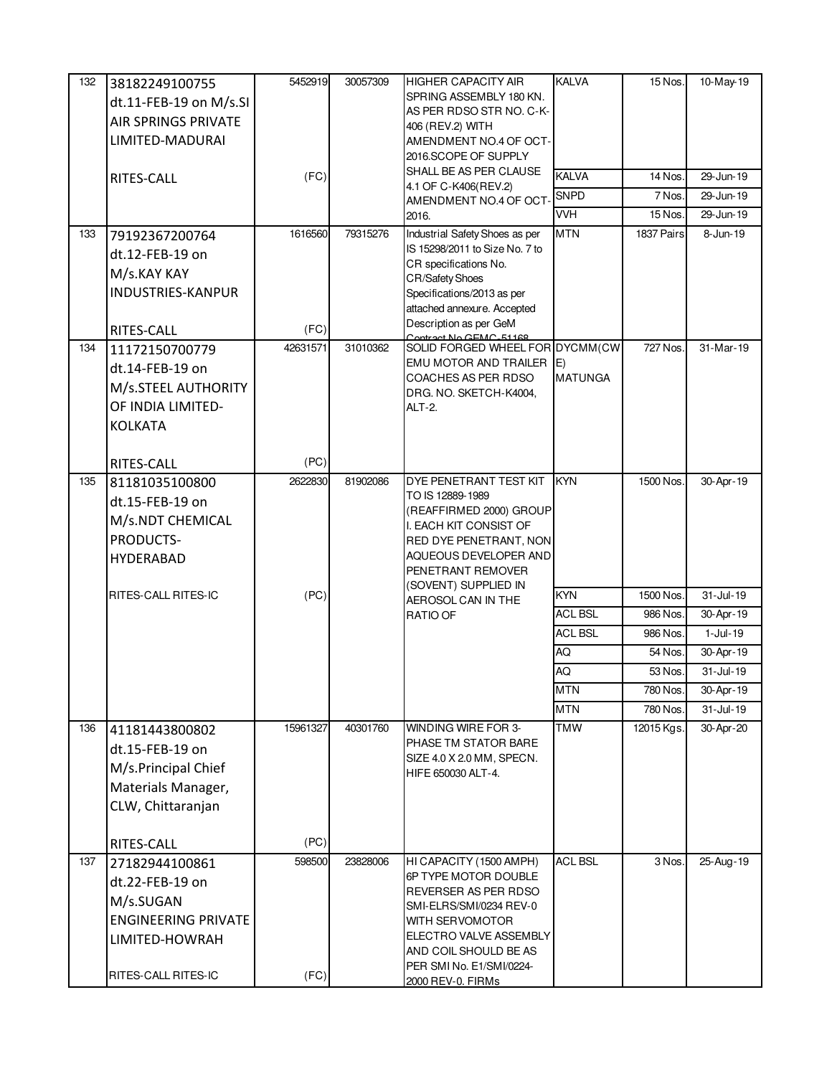| 132 | 38182249100755             | 5452919  | 30057309 | <b>HIGHER CAPACITY AIR</b>                                       | <b>KALVA</b>   | 15 Nos.    | 10-May-19     |
|-----|----------------------------|----------|----------|------------------------------------------------------------------|----------------|------------|---------------|
|     | dt.11-FEB-19 on M/s.SI     |          |          | SPRING ASSEMBLY 180 KN.                                          |                |            |               |
|     | <b>AIR SPRINGS PRIVATE</b> |          |          | AS PER RDSO STR NO. C-K-                                         |                |            |               |
|     | LIMITED-MADURAI            |          |          | 406 (REV.2) WITH<br>AMENDMENT NO.4 OF OCT-                       |                |            |               |
|     |                            |          |          | 2016.SCOPE OF SUPPLY                                             |                |            |               |
|     |                            | (FC)     |          | SHALL BE AS PER CLAUSE                                           | <b>KALVA</b>   | 14 Nos.    | 29-Jun-19     |
|     | RITES-CALL                 |          |          | 4.1 OF C-K406(REV.2)                                             | <b>SNPD</b>    | 7 Nos.     | 29-Jun-19     |
|     |                            |          |          | AMENDMENT NO.4 OF OCT-                                           | <b>VVH</b>     | 15 Nos.    | 29-Jun-19     |
|     |                            |          |          | 2016.                                                            |                |            |               |
| 133 | 79192367200764             | 1616560  | 79315276 | Industrial Safety Shoes as per<br>IS 15298/2011 to Size No. 7 to | <b>MTN</b>     | 1837 Pairs | 8-Jun-19      |
|     | dt.12-FEB-19 on            |          |          | CR specifications No.                                            |                |            |               |
|     | M/s.KAY KAY                |          |          | <b>CR/Safety Shoes</b>                                           |                |            |               |
|     | <b>INDUSTRIES-KANPUR</b>   |          |          | Specifications/2013 as per                                       |                |            |               |
|     |                            |          |          | attached annexure. Accepted                                      |                |            |               |
|     | RITES-CALL                 | (FC)     |          | Description as per GeM<br>Contract No GEMC_51168                 |                |            |               |
| 134 | 11172150700779             | 42631571 | 31010362 | SOLID FORGED WHEEL FOR DYCMM(CW                                  |                | 727 Nos.   | 31-Mar-19     |
|     | dt.14-FEB-19 on            |          |          | EMU MOTOR AND TRAILER E)                                         |                |            |               |
|     | M/s.STEEL AUTHORITY        |          |          | COACHES AS PER RDSO<br>DRG. NO. SKETCH-K4004,                    | <b>MATUNGA</b> |            |               |
|     | OF INDIA LIMITED-          |          |          | <b>ALT-2.</b>                                                    |                |            |               |
|     | <b>KOLKATA</b>             |          |          |                                                                  |                |            |               |
|     |                            |          |          |                                                                  |                |            |               |
|     | RITES-CALL                 | (PC)     |          |                                                                  |                |            |               |
| 135 | 81181035100800             | 2622830  | 81902086 | DYE PENETRANT TEST KIT                                           | <b>KYN</b>     | 1500 Nos.  | 30-Apr-19     |
|     | dt.15-FEB-19 on            |          |          | TO IS 12889-1989                                                 |                |            |               |
|     |                            |          |          | (REAFFIRMED 2000) GROUP                                          |                |            |               |
|     | M/s.NDT CHEMICAL           |          |          | I. EACH KIT CONSIST OF                                           |                |            |               |
|     | PRODUCTS-                  |          |          | RED DYE PENETRANT, NON<br>AQUEOUS DEVELOPER AND                  |                |            |               |
|     | HYDERABAD                  |          |          | PENETRANT REMOVER                                                |                |            |               |
|     |                            |          |          | (SOVENT) SUPPLIED IN                                             |                |            |               |
|     | RITES-CALL RITES-IC        | (PC)     |          | AEROSOL CAN IN THE                                               | <b>KYN</b>     | 1500 Nos.  | 31-Jul-19     |
|     |                            |          |          | RATIO OF                                                         | <b>ACL BSL</b> | 986 Nos.   | 30-Apr-19     |
|     |                            |          |          |                                                                  | <b>ACL BSL</b> | 986 Nos.   | $1-Jul-19$    |
|     |                            |          |          |                                                                  | AQ             | 54 Nos.    | 30-Apr-19     |
|     |                            |          |          |                                                                  | AQ             | 53 Nos.    | 31-Jul-19     |
|     |                            |          |          |                                                                  | <b>MTN</b>     | 780 Nos.   | 30-Apr-19     |
|     |                            |          |          |                                                                  | <b>MTN</b>     | 780 Nos.   | $31 -$ Jul-19 |
| 136 | 41181443800802             | 15961327 | 40301760 | WINDING WIRE FOR 3-                                              | <b>TMW</b>     | 12015 Kgs. | 30-Apr-20     |
|     | dt.15-FEB-19 on            |          |          | PHASE TM STATOR BARE                                             |                |            |               |
|     | M/s.Principal Chief        |          |          | SIZE 4.0 X 2.0 MM, SPECN.<br>HIFE 650030 ALT-4.                  |                |            |               |
|     | Materials Manager,         |          |          |                                                                  |                |            |               |
|     | CLW, Chittaranjan          |          |          |                                                                  |                |            |               |
|     |                            |          |          |                                                                  |                |            |               |
|     | RITES-CALL                 | (PC)     |          |                                                                  |                |            |               |
| 137 | 27182944100861             | 598500   | 23828006 | HI CAPACITY (1500 AMPH)                                          | <b>ACL BSL</b> | 3 Nos.     | 25-Aug-19     |
|     | dt.22-FEB-19 on            |          |          | 6P TYPE MOTOR DOUBLE                                             |                |            |               |
|     | M/s.SUGAN                  |          |          | REVERSER AS PER RDSO                                             |                |            |               |
|     | <b>ENGINEERING PRIVATE</b> |          |          | SMI-ELRS/SMI/0234 REV-0<br>WITH SERVOMOTOR                       |                |            |               |
|     | LIMITED-HOWRAH             |          |          | ELECTRO VALVE ASSEMBLY                                           |                |            |               |
|     |                            |          |          | AND COIL SHOULD BE AS                                            |                |            |               |
|     |                            |          |          | PER SMI No. E1/SMI/0224-                                         |                |            |               |
|     | RITES-CALL RITES-IC        | (FC)     |          | 2000 REV-0. FIRMs                                                |                |            |               |